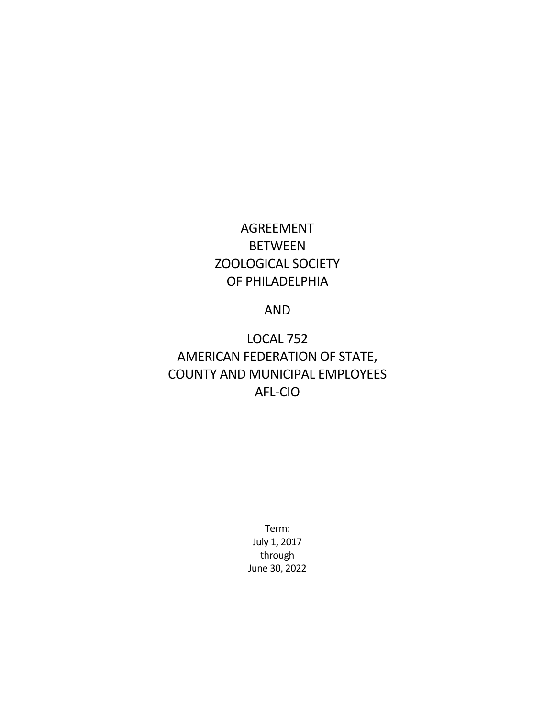# AGREEMENT BETWEEN ZOOLOGICAL SOCIETY OF PHILADELPHIA

### AND

LOCAL 752 AMERICAN FEDERATION OF STATE, COUNTY AND MUNICIPAL EMPLOYEES AFL-CIO

> Term: July 1, 2017 through June 30, 2022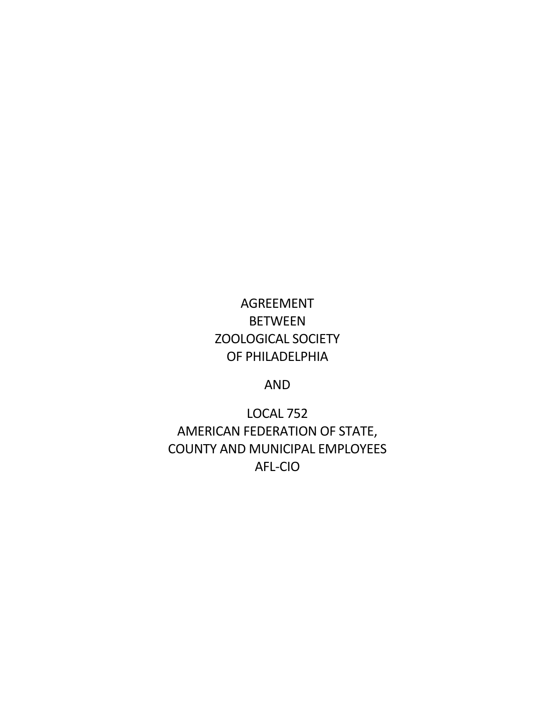# AGREEMENT BETWEEN ZOOLOGICAL SOCIETY OF PHILADELPHIA

AND

LOCAL 752 AMERICAN FEDERATION OF STATE, COUNTY AND MUNICIPAL EMPLOYEES AFL-CIO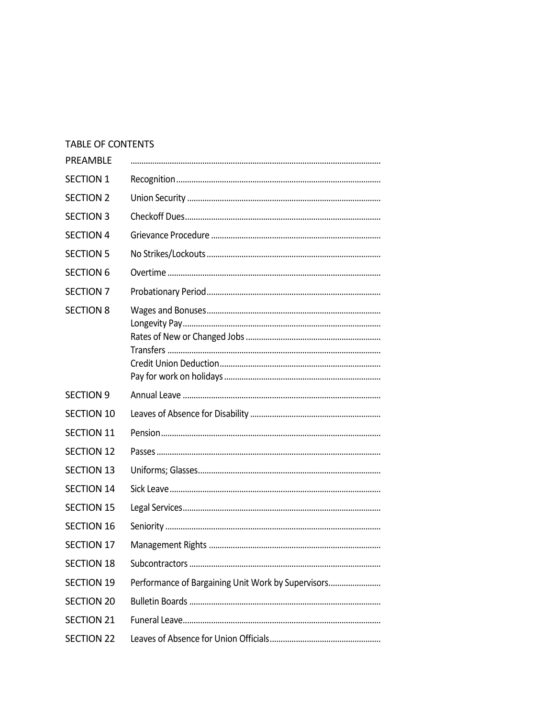#### TABLE OF CONTENTS

| PREAMBLE          |                                                    |
|-------------------|----------------------------------------------------|
| <b>SECTION 1</b>  |                                                    |
| <b>SECTION 2</b>  |                                                    |
| <b>SECTION 3</b>  |                                                    |
| <b>SECTION 4</b>  |                                                    |
| <b>SECTION 5</b>  |                                                    |
| <b>SECTION 6</b>  |                                                    |
| <b>SECTION 7</b>  |                                                    |
| <b>SECTION 8</b>  |                                                    |
| <b>SECTION 9</b>  |                                                    |
| <b>SECTION 10</b> |                                                    |
| <b>SECTION 11</b> |                                                    |
| <b>SECTION 12</b> |                                                    |
| <b>SECTION 13</b> |                                                    |
| <b>SECTION 14</b> |                                                    |
| <b>SECTION 15</b> |                                                    |
| <b>SECTION 16</b> |                                                    |
| <b>SECTION 17</b> |                                                    |
| <b>SECTION 18</b> |                                                    |
| <b>SECTION 19</b> | Performance of Bargaining Unit Work by Supervisors |
| <b>SECTION 20</b> |                                                    |
| SECTION 21        |                                                    |
| <b>SECTION 22</b> |                                                    |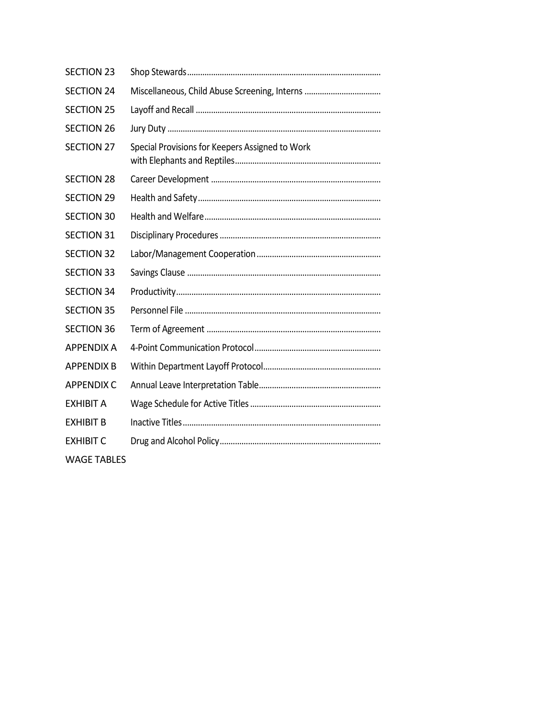| <b>SECTION 23</b>  |                                                 |
|--------------------|-------------------------------------------------|
| <b>SECTION 24</b>  | Miscellaneous, Child Abuse Screening, Interns   |
| <b>SECTION 25</b>  |                                                 |
| <b>SECTION 26</b>  |                                                 |
| <b>SECTION 27</b>  | Special Provisions for Keepers Assigned to Work |
| <b>SECTION 28</b>  |                                                 |
| <b>SECTION 29</b>  |                                                 |
| <b>SECTION 30</b>  |                                                 |
| <b>SECTION 31</b>  |                                                 |
| <b>SECTION 32</b>  |                                                 |
| <b>SECTION 33</b>  |                                                 |
| <b>SECTION 34</b>  |                                                 |
| <b>SECTION 35</b>  |                                                 |
| <b>SECTION 36</b>  |                                                 |
| <b>APPENDIX A</b>  |                                                 |
| <b>APPENDIX B</b>  |                                                 |
| <b>APPENDIX C</b>  |                                                 |
| <b>EXHIBIT A</b>   |                                                 |
| <b>EXHIBIT B</b>   |                                                 |
| <b>EXHIBIT C</b>   |                                                 |
| <b>WAGE TABLES</b> |                                                 |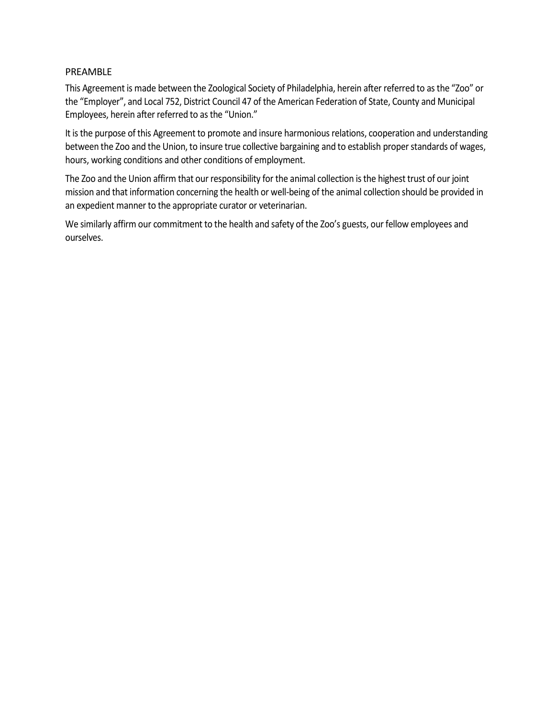#### PREAMBLE

This Agreement is made between the Zoological Society of Philadelphia, herein after referred to as the "Zoo" or the "Employer", and Local 752, District Council 47 of the American Federation of State, County and Municipal Employees, herein after referred to as the "Union."

It is the purpose of this Agreement to promote and insure harmonious relations, cooperation and understanding between the Zoo and the Union, to insure true collective bargaining and to establish proper standards of wages, hours, working conditions and other conditions of employment.

The Zoo and the Union affirm that our responsibility for the animal collection is the highest trust of our joint mission and that information concerning the health or well-being of the animal collection should be provided in an expedient manner to the appropriate curator or veterinarian.

We similarly affirm our commitment to the health and safety of the Zoo's guests, our fellow employees and ourselves.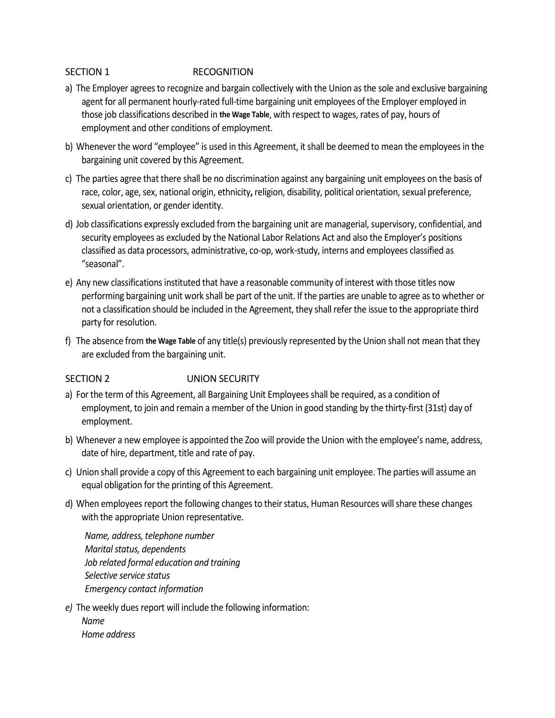#### SECTION 1 RECOGNITION

- a) The Employer agrees to recognize and bargain collectively with the Union as the sole and exclusive bargaining agent for all permanent hourly-rated full-time bargaining unit employees of the Employer employed in those job classifications described in **the Wage Table**, with respect to wages, rates of pay, hours of employment and other conditions of employment.
- b) Whenever the word "employee" is used in this Agreement, it shall be deemed to mean the employees in the bargaining unit covered by this Agreement.
- c) The parties agree that there shall be no discrimination against any bargaining unit employees on the basis of race, color, age, sex, national origin, ethnicity**,** religion, disability, political orientation, sexual preference, sexual orientation, or gender identity.
- d) Job classifications expressly excluded from the bargaining unit are managerial, supervisory, confidential, and security employees as excluded by the National Labor Relations Act and also the Employer's positions classified as data processors, administrative, co-op, work-study, interns and employees classified as "seasonal".
- e) Any new classifications instituted that have a reasonable community of interest with those titles now performing bargaining unit work shall be part of the unit. If the parties are unable to agree as to whether or not a classification should be included in the Agreement, they shall refer the issue to the appropriate third party for resolution.
- f) The absence from **the Wage Table** of any title(s) previously represented by the Union shall not mean that they are excluded from the bargaining unit.

#### SECTION 2 UNION SECURITY

- a) For the term of this Agreement, all Bargaining Unit Employees shall be required, as a condition of employment, to join and remain a member of the Union in good standing by the thirty-first (31st) day of employment.
- b) Whenever a new employee is appointed the Zoo will provide the Union with the employee's name, address, date of hire, department, title and rate of pay.
- c) Union shall provide a copy of this Agreement to each bargaining unit employee. The parties will assume an equal obligation for the printing of this Agreement.
- d) When employees report the following changes to their status, Human Resources will share these changes with the appropriate Union representative.

*Name, address, telephone number Marital status, dependents Job related formal education and training Selective service status Emergency contact information*

*e)* The weekly dues report will include the following information:

*Name Home address*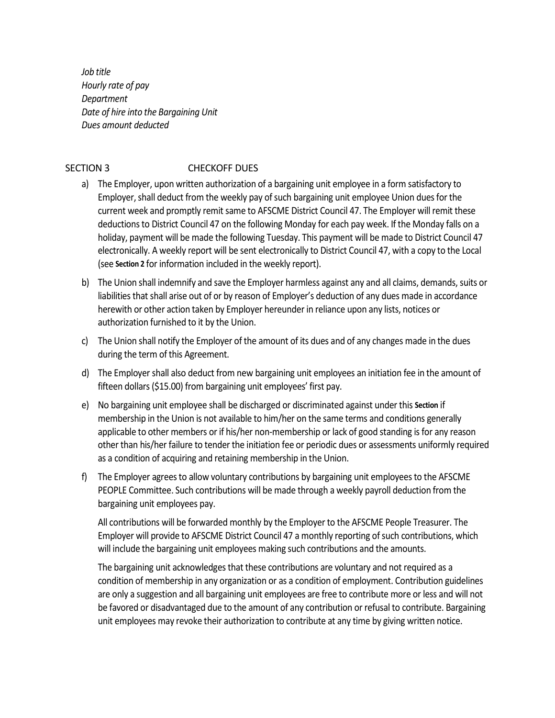*Job title Hourly rate of pay Department Date of hire into the Bargaining Unit Dues amount deducted*

#### SECTION 3 CHECKOFF DUES

- a) The Employer, upon written authorization of a bargaining unit employee in a form satisfactory to Employer, shall deduct from the weekly pay of such bargaining unit employee Union dues for the current week and promptly remit same to AFSCME District Council 47. The Employer will remit these deductions to District Council 47 on the following Monday for each pay week. If the Monday falls on a holiday, payment will be made the following Tuesday. This payment will be made to District Council 47 electronically. A weekly report will be sent electronically to District Council 47, with a copy to the Local (see **Section 2** for information included in the weekly report).
- b) The Union shall indemnify and save the Employer harmless against any and all claims, demands, suits or liabilities that shall arise out of or by reason of Employer's deduction of any dues made in accordance herewith or other action taken by Employer hereunder in reliance upon any lists, notices or authorization furnished to it by the Union.
- c) The Union shall notify the Employer of the amount of its dues and of any changes made in the dues during the term of this Agreement.
- d) The Employer shall also deduct from new bargaining unit employees an initiation fee in the amount of fifteen dollars (\$15.00) from bargaining unit employees' first pay.
- e) No bargaining unit employee shall be discharged or discriminated against under this **Section** if membership in the Union is not available to him/her on the same terms and conditions generally applicable to other members or if his/her non-membership or lack of good standing is for any reason other than his/her failure to tender the initiation fee or periodic dues or assessments uniformly required as a condition of acquiring and retaining membership in the Union.
- f) The Employer agrees to allow voluntary contributions by bargaining unit employees to the AFSCME PEOPLE Committee. Such contributions will be made through a weekly payroll deduction from the bargaining unit employees pay.

All contributions will be forwarded monthly by the Employer to the AFSCME People Treasurer. The Employer will provide to AFSCME District Council 47 a monthly reporting of such contributions, which will include the bargaining unit employees making such contributions and the amounts.

The bargaining unit acknowledges that these contributions are voluntary and not required as a condition of membership in any organization or as a condition of employment. Contribution guidelines are only a suggestion and all bargaining unit employees are free to contribute more or less and will not be favored or disadvantaged due to the amount of any contribution or refusal to contribute. Bargaining unit employees may revoke their authorization to contribute at any time by giving written notice.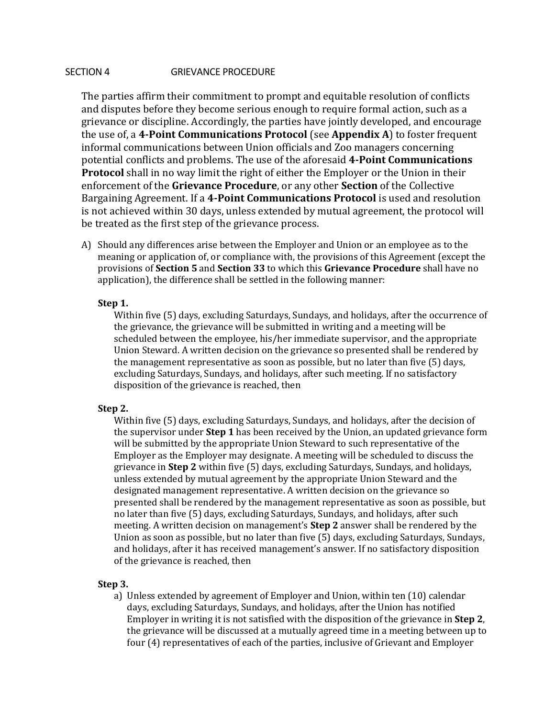#### SECTION 4 GRIEVANCE PROCEDURE

The parties affirm their commitment to prompt and equitable resolution of conflicts and disputes before they become serious enough to require formal action, such as a grievance or discipline. Accordingly, the parties have jointly developed, and encourage the use of, a **4-Point Communications Protocol** (see **Appendix A**) to foster frequent informal communications between Union officials and Zoo managers concerning potential conflicts and problems. The use of the aforesaid **4-Point Communications Protocol** shall in no way limit the right of either the Employer or the Union in their enforcement of the **Grievance Procedure**, or any other **Section** of the Collective Bargaining Agreement. If a **4-Point Communications Protocol** is used and resolution is not achieved within 30 days, unless extended by mutual agreement, the protocol will be treated as the first step of the grievance process.

A) Should any differences arise between the Employer and Union or an employee as to the meaning or application of, or compliance with, the provisions of this Agreement (except the provisions of **Section 5** and **Section 33** to which this **Grievance Procedure** shall have no application), the difference shall be settled in the following manner:

#### **Step 1.**

Within five (5) days, excluding Saturdays, Sundays, and holidays, after the occurrence of the grievance, the grievance will be submitted in writing and a meeting will be scheduled between the employee, his/her immediate supervisor, and the appropriate Union Steward. A written decision on the grievance so presented shall be rendered by the management representative as soon as possible, but no later than five (5) days, excluding Saturdays, Sundays, and holidays, after such meeting. If no satisfactory disposition of the grievance is reached, then

#### **Step 2.**

Within five (5) days, excluding Saturdays, Sundays, and holidays, after the decision of the supervisor under **Step 1** has been received by the Union, an updated grievance form will be submitted by the appropriate Union Steward to such representative of the Employer as the Employer may designate. A meeting will be scheduled to discuss the grievance in **Step 2** within five (5) days, excluding Saturdays, Sundays, and holidays, unless extended by mutual agreement by the appropriate Union Steward and the designated management representative. A written decision on the grievance so presented shall be rendered by the management representative as soon as possible, but no later than five (5) days, excluding Saturdays, Sundays, and holidays, after such meeting. A written decision on management's **Step 2** answer shall be rendered by the Union as soon as possible, but no later than five (5) days, excluding Saturdays, Sundays, and holidays, after it has received management's answer. If no satisfactory disposition of the grievance is reached, then

#### **Step 3.**

a) Unless extended by agreement of Employer and Union, within ten (10) calendar days, excluding Saturdays, Sundays, and holidays, after the Union has notified Employer in writing it is not satisfied with the disposition of the grievance in **Step 2**, the grievance will be discussed at a mutually agreed time in a meeting between up to four (4) representatives of each of the parties, inclusive of Grievant and Employer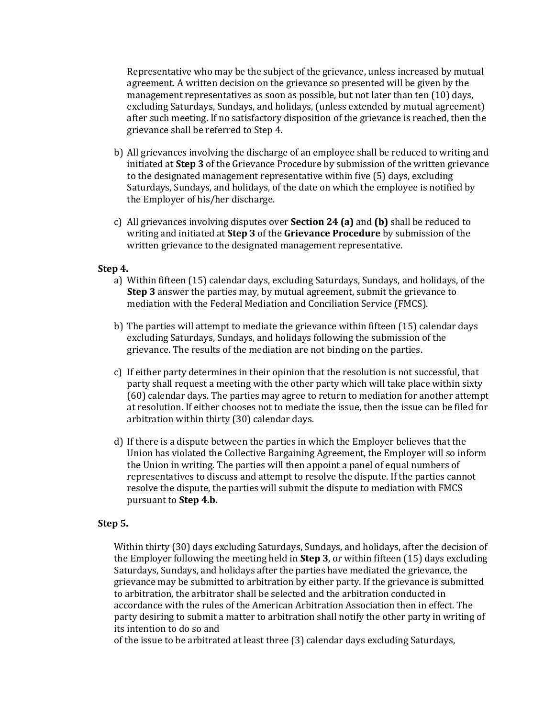Representative who may be the subject of the grievance, unless increased by mutual agreement. A written decision on the grievance so presented will be given by the management representatives as soon as possible, but not later than ten (10) days, excluding Saturdays, Sundays, and holidays, (unless extended by mutual agreement) after such meeting. If no satisfactory disposition of the grievance is reached, then the grievance shall be referred to Step 4.

- b) All grievances involving the discharge of an employee shall be reduced to writing and initiated at **Step 3** of the Grievance Procedure by submission of the written grievance to the designated management representative within five (5) days, excluding Saturdays, Sundays, and holidays, of the date on which the employee is notified by the Employer of his/her discharge.
- c) All grievances involving disputes over **Section 24 (a)** and **(b)** shall be reduced to writing and initiated at **Step 3** of the **Grievance Procedure** by submission of the written grievance to the designated management representative.

#### **Step 4.**

- a) Within fifteen (15) calendar days, excluding Saturdays, Sundays, and holidays, of the **Step 3** answer the parties may, by mutual agreement, submit the grievance to mediation with the Federal Mediation and Conciliation Service (FMCS).
- b) The parties will attempt to mediate the grievance within fifteen (15) calendar days excluding Saturdays, Sundays, and holidays following the submission of the grievance. The results of the mediation are not binding on the parties.
- c) If either party determines in their opinion that the resolution is not successful, that party shall request a meeting with the other party which will take place within sixty (60) calendar days. The parties may agree to return to mediation for another attempt at resolution. If either chooses not to mediate the issue, then the issue can be filed for arbitration within thirty (30) calendar days.
- d) If there is a dispute between the parties in which the Employer believes that the Union has violated the Collective Bargaining Agreement, the Employer will so inform the Union in writing. The parties will then appoint a panel of equal numbers of representatives to discuss and attempt to resolve the dispute. If the parties cannot resolve the dispute, the parties will submit the dispute to mediation with FMCS pursuant to **Step 4.b.**

#### **Step 5.**

Within thirty (30) days excluding Saturdays, Sundays, and holidays, after the decision of the Employer following the meeting held in **Step 3**, or within fifteen (15) days excluding Saturdays, Sundays, and holidays after the parties have mediated the grievance, the grievance may be submitted to arbitration by either party. If the grievance is submitted to arbitration, the arbitrator shall be selected and the arbitration conducted in accordance with the rules of the American Arbitration Association then in effect. The party desiring to submit a matter to arbitration shall notify the other party in writing of its intention to do so and

of the issue to be arbitrated at least three (3) calendar days excluding Saturdays,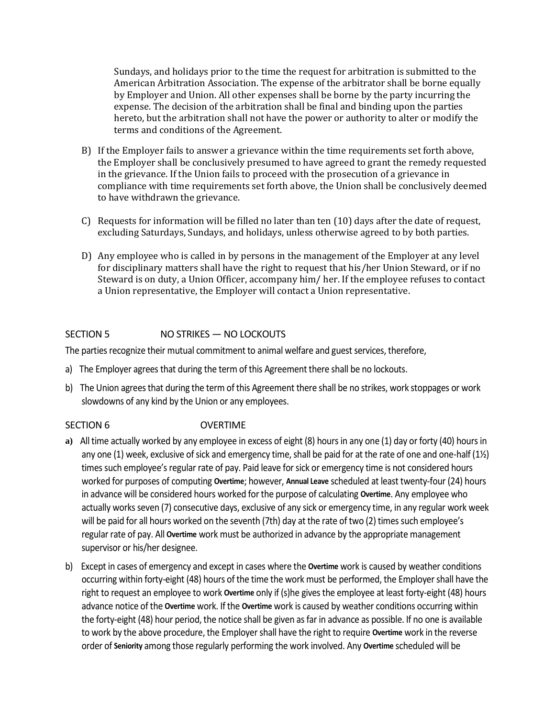Sundays, and holidays prior to the time the request for arbitration is submitted to the American Arbitration Association. The expense of the arbitrator shall be borne equally by Employer and Union. All other expenses shall be borne by the party incurring the expense. The decision of the arbitration shall be final and binding upon the parties hereto, but the arbitration shall not have the power or authority to alter or modify the terms and conditions of the Agreement.

- B) If the Employer fails to answer a grievance within the time requirements set forth above, the Employer shall be conclusively presumed to have agreed to grant the remedy requested in the grievance. If the Union fails to proceed with the prosecution of a grievance in compliance with time requirements set forth above, the Union shall be conclusively deemed to have withdrawn the grievance.
- C) Requests for information will be filled no later than ten (10) days after the date of request, excluding Saturdays, Sundays, and holidays, unless otherwise agreed to by both parties.
- D) Any employee who is called in by persons in the management of the Employer at any level for disciplinary matters shall have the right to request that his/her Union Steward, or if no Steward is on duty, a Union Officer, accompany him/ her. If the employee refuses to contact a Union representative, the Employer will contact a Union representative.

#### SECTION 5 NO STRIKES - NO LOCKOUTS

The parties recognize their mutual commitment to animal welfare and guest services, therefore,

- a)The Employer agrees that during the term of this Agreement there shall be no lockouts.
- b) The Union agrees that during the term of this Agreement there shall be no strikes, work stoppages or work slowdowns of any kind by the Union or any employees.

#### SECTION 6 OVERTIME

- **a)** All time actually worked by any employee in excess of eight (8) hours in any one (1) day or forty (40) hours in any one (1) week, exclusive of sick and emergency time, shall be paid for at the rate of one and one-half (1½) times such employee's regular rate of pay. Paid leave for sick or emergency time is not considered hours worked for purposes of computing **Overtime**; however, **Annual Leave** scheduled at least twenty-four (24) hours in advance will be considered hours worked for the purpose of calculating **Overtime**. Any employee who actually works seven (7) consecutive days, exclusive of any sick or emergency time, in any regular work week will be paid for all hours worked on the seventh (7th) day at the rate of two (2) times such employee's regular rate of pay. All **Overtime** work must be authorized in advance by the appropriate management supervisor or his/her designee.
- b)Except in cases of emergency and except in cases where the **Overtime** work is caused by weather conditions occurring within forty-eight (48) hours of the time the work must be performed, the Employer shall have the right to request an employee to work **Overtime** only if (s)he gives the employee at least forty-eight (48) hours advance notice of the **Overtime** work. If the **Overtime** work is caused by weather conditions occurring within the forty-eight (48) hour period, the notice shall be given as far in advance as possible. If no one is available to work by the above procedure, the Employer shall have the right to require **Overtime** work in the reverse order of **Seniority** among those regularly performing the work involved. Any **Overtime** scheduled will be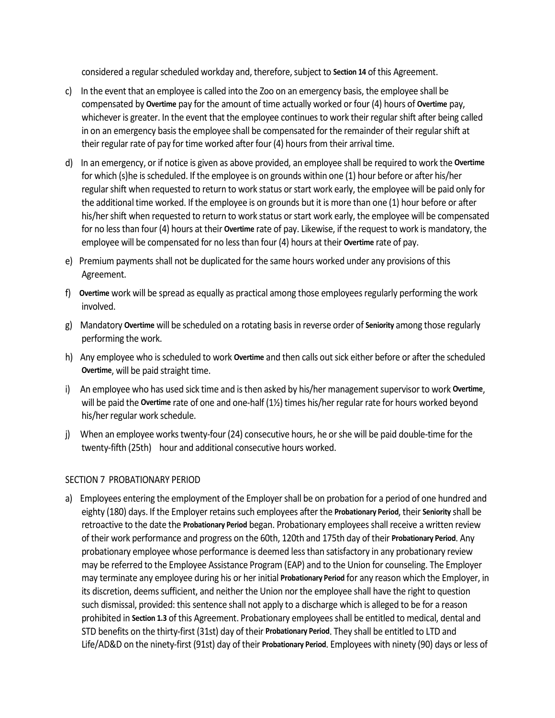considered a regular scheduled workday and, therefore, subject to **Section 14** of this Agreement.

- c)In the event that an employee is called into the Zoo on an emergency basis, the employee shall be compensated by **Overtime** pay for the amount of time actually worked or four (4) hours of **Overtime** pay, whichever is greater. In the event that the employee continues to work their regular shift after being called in on an emergency basis the employee shall be compensated for the remainder of their regular shift at their regular rate of pay for time worked after four (4) hours from their arrival time.
- d)In an emergency, or if notice is given as above provided, an employee shall be required to work the **Overtime** for which (s)he is scheduled. If the employee is on grounds within one (1) hour before or after his/her regular shift when requested to return to work status or start work early, the employee will be paid only for the additional time worked. If the employee is on grounds but it is more than one (1) hour before or after his/her shift when requested to return to work status or start work early, the employee will be compensated for no less than four (4) hours at their **Overtime** rate of pay. Likewise, if the request to work is mandatory, the employee will be compensated for no less than four (4) hours at their **Overtime** rate of pay.
- e)Premium payments shall not be duplicated for the same hours worked under any provisions of this Agreement.
- f) **Overtime** work will be spread as equally as practical among those employees regularly performing the work involved.
- g) Mandatory **Overtime** will be scheduled on a rotating basis in reverse order of **Seniority** among those regularly performing the work.
- h) Any employee who is scheduled to work **Overtime** and then calls out sick either before or after the scheduled **Overtime**, will be paid straight time.
- i) An employee who has used sick time and is then asked by his/her management supervisor to work **Overtime**, will be paid the **Overtime** rate of one and one-half (1½) times his/her regular rate for hours worked beyond his/her regular work schedule.
- j) When an employee works twenty-four (24) consecutive hours, he or she will be paid double-time for the twenty-fifth (25th) hour and additional consecutive hours worked.

#### SECTION 7 PROBATIONARY PERIOD

a) Employees entering the employment of the Employer shall be on probation for a period of one hundred and eighty (180) days. If the Employer retains such employees after the **Probationary Period**, their **Seniority** shall be retroactive to the date the **Probationary Period** began. Probationary employees shall receive a written review of their work performance and progress on the 60th, 120th and 175th day of their **Probationary Period**. Any probationary employee whose performance is deemed less than satisfactory in any probationary review may be referred to the Employee Assistance Program (EAP) and to the Union for counseling. The Employer may terminate any employee during his or her initial **Probationary Period** for any reason which the Employer, in its discretion, deems sufficient, and neither the Union nor the employee shall have the right to question such dismissal, provided: this sentence shall not apply to a discharge which is alleged to be for a reason prohibited in **Section 1.3** of this Agreement. Probationary employees shall be entitled to medical, dental and STD benefits on the thirty-first (31st) day of their **Probationary Period**. They shall be entitled to LTD and Life/AD&D on the ninety-first (91st) day of their **Probationary Period**. Employees with ninety (90) days or less of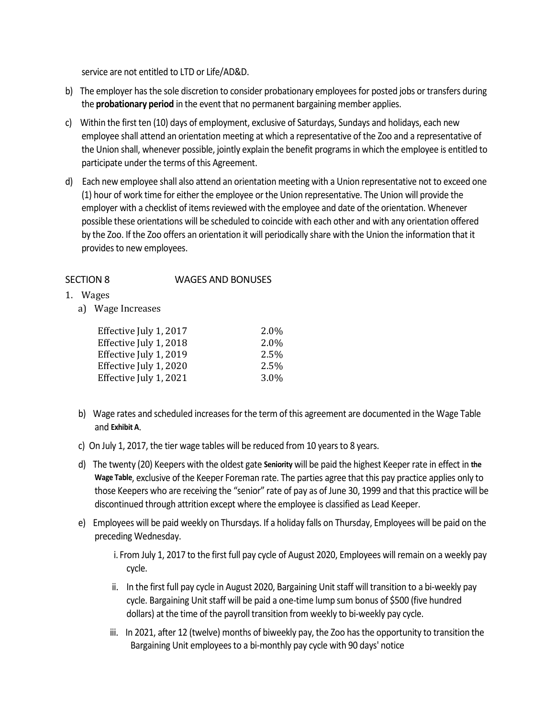service are not entitled to LTD or Life/AD&D.

- b) The employer has the sole discretion to consider probationary employees for posted jobs or transfers during the **probationary period** in the event that no permanent bargaining member applies.
- c) Within the first ten (10) days of employment, exclusive of Saturdays, Sundays and holidays, each new employee shall attend an orientation meeting at which a representative of the Zoo and a representative of the Union shall, whenever possible, jointly explain the benefit programs in which the employee is entitled to participate under the terms of this Agreement.
- d) Each new employee shall also attend an orientation meeting with a Union representative not to exceed one (1) hour of work time for either the employee or the Union representative. The Union will provide the employer with a checklist of items reviewed with the employee and date of the orientation. Whenever possible these orientations will be scheduled to coincide with each other and with any orientation offered by the Zoo. If the Zoo offers an orientation it will periodically share with the Union the information that it provides to new employees.

#### SECTION 8 WAGES AND BONUSES

- 1. Wages
	- a) Wage Increases

| 2.0% |
|------|
| 2.0% |
| 2.5% |
| 2.5% |
| 3.0% |
|      |

- b) Wage rates and scheduled increases for the term of this agreement are documented in the Wage Table and **Exhibit A**.
- c) On July 1, 2017, the tier wage tables will be reduced from 10 years to 8 years.
- d) The twenty (20) Keepers with the oldest gate **Seniority** will be paid the highest Keeper rate in effect in **the Wage Table**, exclusive of the Keeper Foreman rate. The parties agree that this pay practice applies only to those Keepers who are receiving the "senior" rate of pay as of June 30, 1999 and that this practice will be discontinued through attrition except where the employee is classified as Lead Keeper.
- e) Employees will be paid weekly on Thursdays. If a holiday falls on Thursday, Employees will be paid on the preceding Wednesday.

i. From July 1, 2017 to the first full pay cycle of August 2020, Employees will remain on a weekly pay cycle.

- ii. In the first full pay cycle in August 2020, Bargaining Unit staff will transition to a bi-weekly pay cycle. Bargaining Unit staff will be paid a one-time lump sum bonus of \$500 (five hundred dollars) at the time of the payroll transition from weekly to bi-weekly pay cycle.
- iii. In 2021, after 12 (twelve) months of biweekly pay, the Zoo has the opportunity to transition the Bargaining Unit employees to a bi-monthly pay cycle with 90 days' notice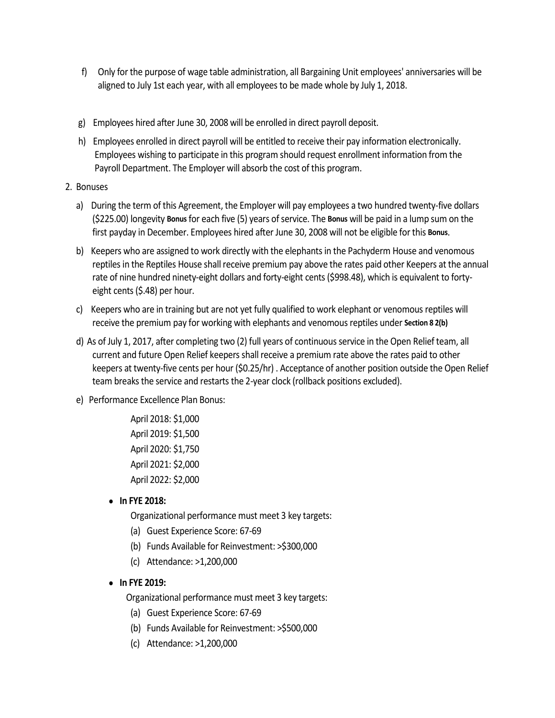- f) Only for the purpose of wage table administration, all Bargaining Unit employees' anniversaries will be aligned to July 1st each year, with all employees to be made whole by July 1, 2018.
- g) Employees hired after June 30, 2008 will be enrolled in direct payroll deposit.
- h) Employees enrolled in direct payroll will be entitled to receive their pay information electronically. Employees wishing to participate in this program should request enrollment information from the Payroll Department. The Employer will absorb the cost of this program.
- 2. Bonuses
	- a) During the term of this Agreement, the Employer will pay employees a two hundred twenty-five dollars (\$225.00) longevity **Bonus** for each five (5) years of service. The **Bonus** will be paid in a lump sum on the first payday in December. Employees hired after June 30, 2008 will not be eligible for this **Bonus**.
	- b) Keepers who are assigned to work directly with the elephants in the Pachyderm House and venomous reptiles in the Reptiles House shall receive premium pay above the rates paid other Keepers at the annual rate of nine hundred ninety-eight dollars and forty-eight cents (\$998.48), which is equivalent to fortyeight cents (\$.48) per hour.
	- c) Keepers who are in training but are not yet fully qualified to work elephant or venomous reptiles will receive the premium pay for working with elephants and venomous reptiles under **Section 8 2(b)**
	- d) As of July 1, 2017, after completing two (2) full years of continuous service in the Open Relief team, all current and future Open Relief keepers shall receive a premium rate above the rates paid to other keepers at twenty-five cents per hour (\$0.25/hr) . Acceptance of another position outside the Open Relief team breaks the service and restarts the 2-year clock (rollback positions excluded).
	- e) Performance Excellence Plan Bonus:
		- April 2018: \$1,000 April 2019: \$1,500 April 2020: \$1,750 April 2021: \$2,000 April 2022: \$2,000
		- **In FYE 2018:**

Organizational performance must meet 3 key targets:

- (a) Guest Experience Score: 67-69
- (b) Funds Available for Reinvestment: >\$300,000
- (c) Attendance: >1,200,000
- **In FYE 2019:**

Organizational performance must meet 3 key targets:

- (a) Guest Experience Score: 67-69
- (b) Funds Available for Reinvestment: >\$500,000
- (c) Attendance: >1,200,000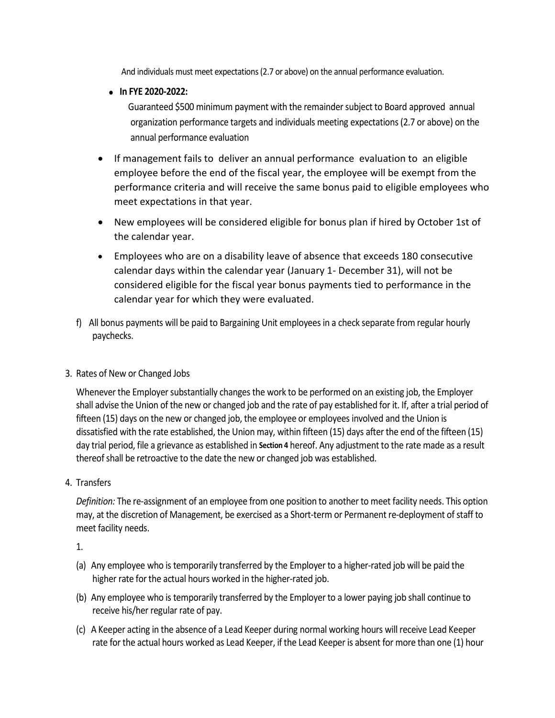And individuals must meet expectations (2.7 or above) on the annual performance evaluation.

• **In FYE 2020-2022:**

 Guaranteed \$500 minimum payment with the remainder subject to Board approved annual organization performance targets and individuals meeting expectations (2.7 or above) on the annual performance evaluation

- If management fails to deliver an annual performance evaluation to an eligible employee before the end of the fiscal year, the employee will be exempt from the performance criteria and will receive the same bonus paid to eligible employees who meet expectations in that year.
- New employees will be considered eligible for bonus plan if hired by October 1st of the calendar year.
- Employees who are on a disability leave of absence that exceeds 180 consecutive calendar days within the calendar year (January 1- December 31), will not be considered eligible for the fiscal year bonus payments tied to performance in the calendar year for which they were evaluated.
- f) All bonus payments will be paid to Bargaining Unit employees in a check separate from regular hourly paychecks.
- 3. Rates of New or Changed Jobs

Whenever the Employer substantially changes the work to be performed on an existing job, the Employer shall advise the Union of the new or changed job and the rate of pay established for it. If, after a trial period of fifteen (15) days on the new or changed job, the employee or employees involved and the Union is dissatisfied with the rate established, the Union may, within fifteen (15) days after the end of the fifteen (15) day trial period, file a grievance as established in **Section 4** hereof. Any adjustment to the rate made as a result thereof shall be retroactive to the date the new or changed job was established.

4. Transfers

*Definition:* The re-assignment of an employee from one position to another to meet facility needs. This option may, at the discretion of Management, be exercised as a Short-term or Permanent re-deployment of staff to meet facility needs.

1.

- (a) Any employee who is temporarily transferred by the Employer to a higher-rated job will be paid the higher rate for the actual hours worked in the higher-rated job.
- (b) Any employee who is temporarily transferred by the Employer to a lower paying job shall continue to receive his/her regular rate of pay.
- (c) A Keeper acting in the absence of a Lead Keeper during normal working hours will receive Lead Keeper rate for the actual hours worked as Lead Keeper, if the Lead Keeper is absent for more than one (1) hour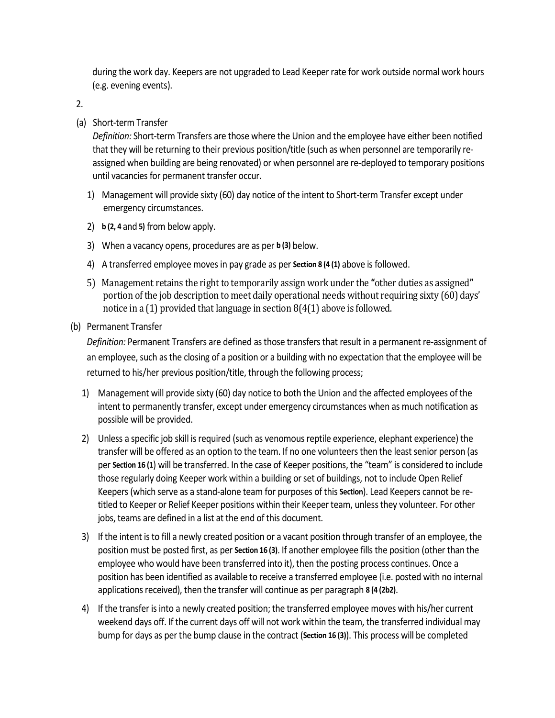during the work day. Keepers are not upgraded to Lead Keeper rate for work outside normal work hours (e.g. evening events).

2.

(a) Short-term Transfer

*Definition:* Short-term Transfers are those where the Union and the employee have either been notified that they will be returning to their previous position/title (such as when personnel are temporarily reassigned when building are being renovated) or when personnel are re-deployed to temporary positions until vacancies for permanent transfer occur.

- 1) Management will provide sixty (60) day notice of the intent to Short-term Transfer except under emergency circumstances.
- 2) **b (2, 4** and **5)** from below apply.
- 3) When a vacancy opens, procedures are as per **b (3)** below.
- 4) A transferred employee moves in pay grade as per **Section 8 (4 (1)** above is followed.
- 5) Management retains the right to temporarily assign work under the **"**other duties as assigned**"**  portion of the job description to meet daily operational needs without requiring sixty (60) days' notice in a (1) provided that language in section 8(4(1) above is followed.
- (b) Permanent Transfer

*Definition:* Permanent Transfers are defined as those transfers that result in a permanent re-assignment of an employee, such as the closing of a position or a building with no expectation that the employee will be returned to his/her previous position/title, through the following process;

- 1) Management will provide sixty (60) day notice to both the Union and the affected employees of the intent to permanently transfer, except under emergency circumstances when as much notification as possible will be provided.
- 2) Unless a specific job skill is required (such as venomous reptile experience, elephant experience) the transfer will be offered as an option to the team. If no one volunteers then the least senior person (as per **Section 16 (1**) will be transferred. In the case of Keeper positions, the "team" is considered to include those regularly doing Keeper work within a building or set of buildings, not to include Open Relief Keepers (which serve as a stand-alone team for purposes of this **Section**). Lead Keepers cannot be retitled to Keeper or Relief Keeper positions within their Keeper team, unless they volunteer. For other jobs, teams are defined in a list at the end of this document.
- 3) If the intent is to fill a newly created position or a vacant position through transfer of an employee, the position must be posted first, as per **Section 16 (3)**. If another employee fills the position (other than the employee who would have been transferred into it), then the posting process continues. Once a position has been identified as available to receive a transferred employee (i.e. posted with no internal applications received), then the transfer will continue as per paragraph **8 (4 (2b2)**.
- 4) If the transfer is into a newly created position; the transferred employee moves with his/her current weekend days off. If the current days off will not work within the team, the transferred individual may bump for days as per the bump clause in the contract (**Section 16 (3)**). This process will be completed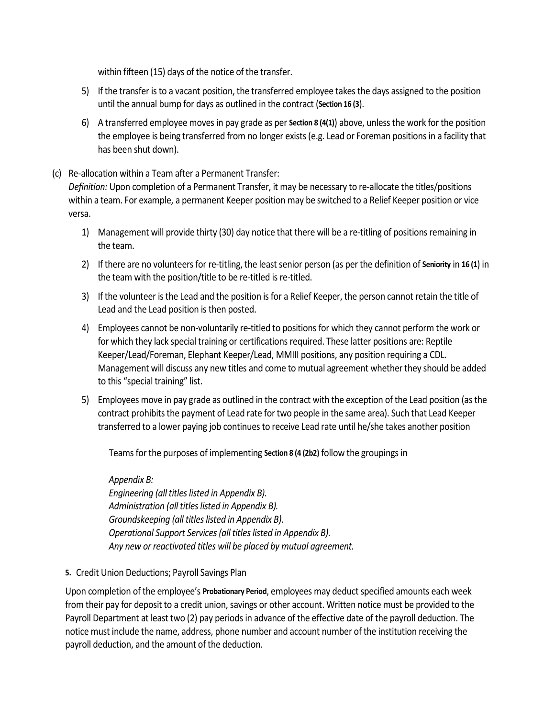within fifteen (15) days of the notice of the transfer.

- 5) If the transfer is to a vacant position, the transferred employee takes the days assigned to the position until the annual bump for days as outlined in the contract (**Section 16 (3**).
- 6) A transferred employee moves in pay grade as per **Section 8 (4(1)**) above, unless the work for the position the employee is being transferred from no longer exists (e.g. Lead or Foreman positions in a facility that has been shut down).

#### (c) Re-allocation within a Team after a Permanent Transfer:

*Definition:* Upon completion of a Permanent Transfer, it may be necessary to re-allocate the titles/positions within a team. For example, a permanent Keeper position may be switched to a Relief Keeper position or vice versa.

- 1) Management will provide thirty (30) day notice that there will be a re-titling of positions remaining in the team.
- 2) If there are no volunteers for re-titling, the least senior person (as per the definition of **Seniority** in **16 (1**) in the team with the position/title to be re-titled is re-titled.
- 3) If the volunteer is the Lead and the position is for a Relief Keeper, the person cannot retain the title of Lead and the Lead position is then posted.
- 4) Employees cannot be non-voluntarily re-titled to positions for which they cannot perform the work or for which they lack special training or certifications required. These latter positions are: Reptile Keeper/Lead/Foreman, Elephant Keeper/Lead, MMIII positions, any position requiring a CDL. Management will discuss any new titles and come to mutual agreement whether they should be added to this "special training" list.
- 5) Employees move in pay grade as outlined in the contract with the exception of the Lead position (as the contract prohibits the payment of Lead rate for two people in the same area). Such that Lead Keeper transferred to a lower paying job continues to receive Lead rate until he/she takes another position

Teams for the purposes of implementing **Section 8 (4 (2b2)** follow the groupings in

# *Appendix B:*

*Engineering (all titles listed in Appendix B). Administration (all titles listed in Appendix B). Groundskeeping (all titles listed in Appendix B). Operational Support Services (all titles listed in Appendix B). Any new or reactivated titles will be placed by mutual agreement.*

**5.** Credit Union Deductions; Payroll Savings Plan

Upon completion of the employee's **Probationary Period**, employees may deduct specified amounts each week from their pay for deposit to a credit union, savings or other account. Written notice must be provided to the Payroll Department at least two (2) pay periods in advance of the effective date of the payroll deduction. The notice must include the name, address, phone number and account number of the institution receiving the payroll deduction, and the amount of the deduction.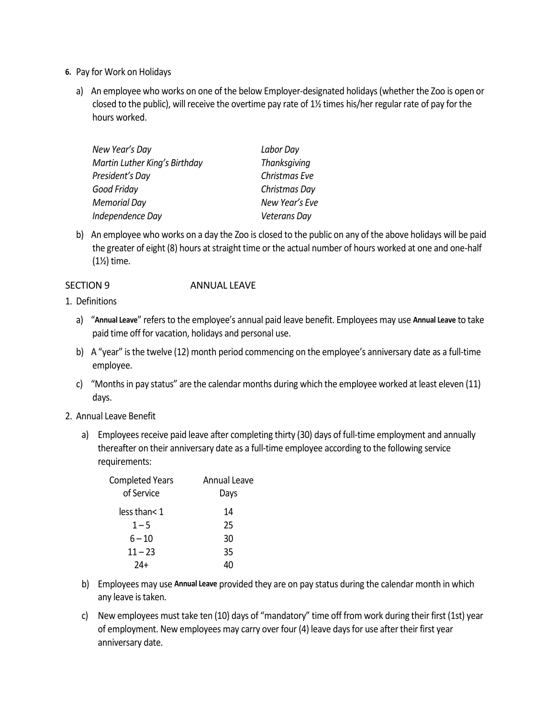- **6.** Pay for Work on Holidays
	- a) An employee who works on one of the below Employer-designated holidays (whether the Zoo is open or closed to the public), will receive the overtime pay rate of 1½ times his/her regular rate of pay for the hours worked.

| New Year's Day                | Labor Day           |  |
|-------------------------------|---------------------|--|
| Martin Luther King's Birthday | <b>Thanksgiving</b> |  |
| President's Day               | Christmas Eve       |  |
| Good Friday                   | Christmas Day       |  |
| Memorial Day                  | New Year's Eve      |  |
| Independence Day              | <b>Veterans Day</b> |  |
|                               |                     |  |

b) An employee who works on a day the Zoo is closed to the public on any of the above holidays will be paid the greater of eight (8) hours at straight time or the actual number of hours worked at one and one-half (1½) time.

#### SECTION 9 ANNUAL LEAVE

- 1. Definitions
	- a) "**Annual Leave**" refers to the employee's annual paid leave benefit. Employees may use **Annual Leave** to take paid time off for vacation, holidays and personal use.
	- b) A "year" is the twelve (12) month period commencing on the employee's anniversary date as a full-time employee.
	- c) "Months in pay status" are the calendar months during which the employee worked at least eleven (11) days.
- 2. Annual Leave Benefit
	- a) Employees receive paid leave after completing thirty (30) days of full-time employment and annually thereafter on their anniversary date as a full-time employee according to the following service requirements:

| <b>Completed Years</b><br>of Service | Annual Leave<br>Days |
|--------------------------------------|----------------------|
| less than< 1                         | 14                   |
| $1 - 5$                              | 25                   |
| $6 - 10$                             | 30                   |
| $11 - 23$                            | 35                   |
|                                      |                      |

- b) Employees may use **Annual Leave** provided they are on pay status during the calendar month in which any leave is taken.
- c) New employees must take ten (10) days of "mandatory" time off from work during their first (1st) year of employment. New employees may carry over four (4) leave days for use after their first year anniversary date.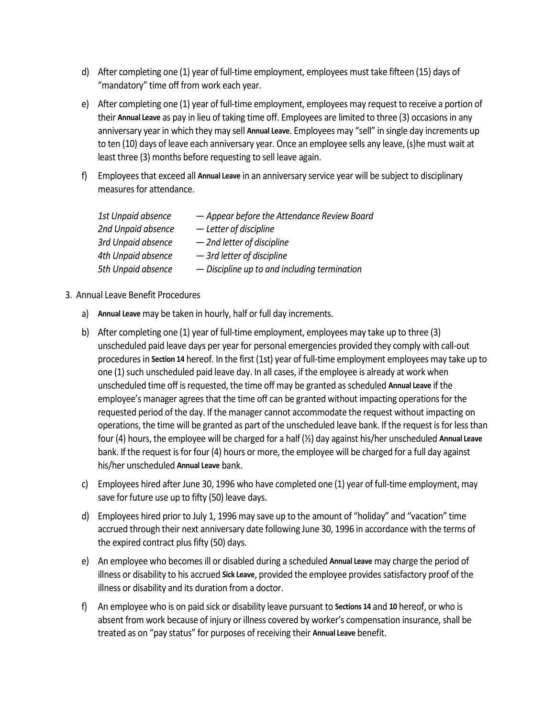- d) After completing one (1) year of full-time employment, employees must take fifteen (15) days of "mandatory" time off from work each year.
- e) After completing one (1) year of full-time employment, employees may request to receive a portion of their **Annual Leave** as pay in lieu of taking time off. Employees are limited to three (3) occasions in any anniversary year in which they may sell **Annual Leave**. Employees may "sell" in single day increments up to ten (10) days of leave each anniversary year. Once an employee sells any leave, (s)he must wait at least three (3) months before requesting to sell leave again.
- f) Employees that exceed all **Annual Leave** in an anniversary service year will be subject to disciplinary measures for attendance.

| 1st Unpaid absence | - Appear before the Attendance Review Board  |
|--------------------|----------------------------------------------|
| 2nd Unpaid absence | - Letter of discipline                       |
| 3rd Unpaid absence | - 2nd letter of discipline                   |
| 4th Unpaid absence | - 3rd letter of discipline                   |
| 5th Unpaid absence | - Discipline up to and including termination |

#### 3. Annual Leave Benefit Procedures

- a) **Annual Leave** may be taken in hourly, half or full day increments.
- b) After completing one (1) year of full-time employment, employees may take up to three (3) unscheduled paid leave days per year for personal emergencies provided they comply with call-out procedures in **Section 14** hereof. In the first (1st) year of full-time employment employees may take up to one (1) such unscheduled paid leave day. In all cases, if the employee is already at work when unscheduled time off is requested, the time off may be granted as scheduled **Annual Leave** if the employee's manager agrees that the time off can be granted without impacting operations for the requested period of the day. If the manager cannot accommodate the request without impacting on operations, the time will be granted as part of the unscheduled leave bank. If the request is for less than four (4) hours, the employee will be charged for a half (½) day against his/her unscheduled **Annual Leave** bank. If the request is for four (4) hours or more, the employee will be charged for a full day against his/her unscheduled **Annual Leave** bank.
- c) Employees hired after June 30, 1996 who have completed one (1) year of full-time employment, may save for future use up to fifty (50) leave days.
- d) Employees hired prior to July 1, 1996 may save up to the amount of "holiday" and "vacation" time accrued through their next anniversary date following June 30, 1996 in accordance with the terms of the expired contract plus fifty (50) days.
- e) An employee who becomes ill or disabled during a scheduled **Annual Leave** may charge the period of illness or disability to his accrued **Sick Leave**, provided the employee provides satisfactory proof of the illness or disability and its duration from a doctor.
- f) An employee who is on paid sick or disability leave pursuant to **Sections 14** and **10** hereof, or who is absent from work because of injury or illness covered by worker's compensation insurance, shall be treated as on "pay status" for purposes of receiving their **Annual Leave** benefit.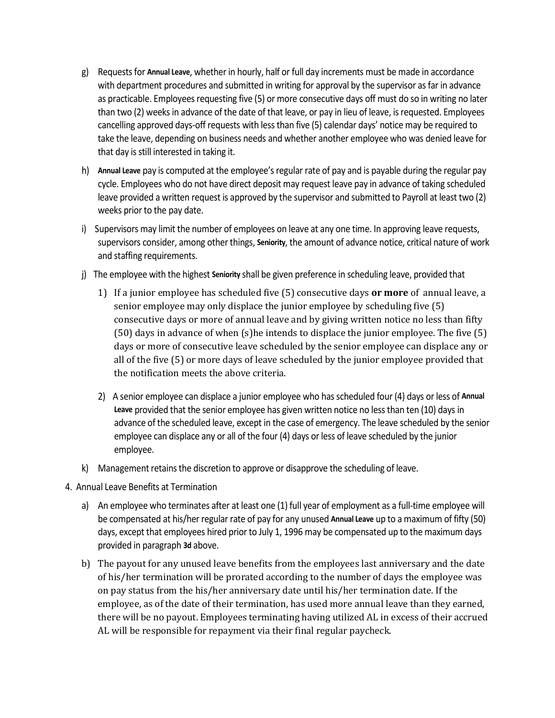- g) Requests for **Annual Leave**, whether in hourly, half or full day increments must be made in accordance with department procedures and submitted in writing for approval by the supervisor as far in advance as practicable. Employees requesting five (5) or more consecutive days off must do so in writing no later than two (2) weeks in advance of the date of that leave, or pay in lieu of leave, is requested. Employees cancelling approved days-off requests with less than five (5) calendar days' notice may be required to take the leave, depending on business needs and whether another employee who was denied leave for that day is still interested in taking it.
- h) **Annual Leave** pay is computed at the employee's regular rate of pay and is payable during the regular pay cycle. Employees who do not have direct deposit may request leave pay in advance of taking scheduled leave provided a written request is approved by the supervisor and submitted to Payroll at least two (2) weeks prior to the pay date.
- i) Supervisors may limit the number of employees on leave at any one time. In approving leave requests, supervisors consider, among other things, **Seniority**, the amount of advance notice, critical nature of work and staffing requirements.
- j)The employee with the highest **Seniority** shall be given preference in scheduling leave, provided that
	- 1) If a junior employee has scheduled five (5) consecutive days **or more** of annual leave, a senior employee may only displace the junior employee by scheduling five (5) consecutive days or more of annual leave and by giving written notice no less than fifty (50) days in advance of when (s)he intends to displace the junior employee. The five (5) days or more of consecutive leave scheduled by the senior employee can displace any or all of the five (5) or more days of leave scheduled by the junior employee provided that the notification meets the above criteria.
	- 2) A senior employee can displace a junior employee who has scheduled four (4) days or less of **Annual Leave** provided that the senior employee has given written notice no less than ten (10) days in advance of the scheduled leave, except in the case of emergency. The leave scheduled by the senior employee can displace any or all of the four (4) days or less of leave scheduled by the junior employee.
- k) Management retains the discretion to approve or disapprove the scheduling of leave.
- 4. Annual Leave Benefits at Termination
	- a) An employee who terminates after at least one (1) full year of employment as a full-time employee will be compensated at his/her regular rate of pay for any unused **Annual Leave** up to a maximum of fifty (50) days, except that employees hired prior to July 1, 1996 may be compensated up to the maximum days provided in paragraph **3d** above.
	- b) The payout for any unused leave benefits from the employees last anniversary and the date of his/her termination will be prorated according to the number of days the employee was on pay status from the his/her anniversary date until his/her termination date. If the employee, as of the date of their termination, has used more annual leave than they earned, there will be no payout. Employees terminating having utilized AL in excess of their accrued AL will be responsible for repayment via their final regular paycheck.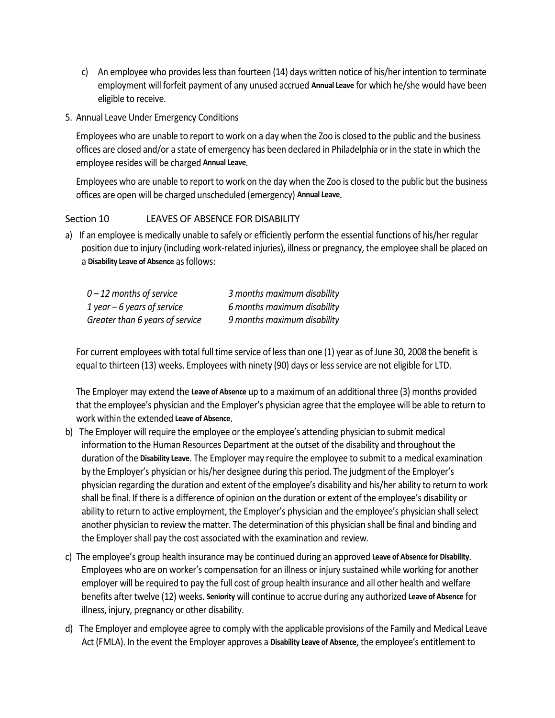- c) An employee who provides less than fourteen (14) days written notice of his/her intention to terminate employment will forfeit payment of any unused accrued **Annual Leave** for which he/she would have been eligible to receive.
- 5. Annual Leave Under Emergency Conditions

Employees who are unable to report to work on a day when the Zoo is closed to the public and the business offices are closed and/or a state of emergency has been declared in Philadelphia or in the state in which the employee resides will be charged **Annual Leave**.

Employees who are unable to report to work on the day when the Zoo is closed to the public but the business offices are open will be charged unscheduled (emergency) **Annual Leave**.

#### Section 10 LEAVES OF ABSENCE FOR DISABILITY

a)If an employee is medically unable to safely or efficiently perform the essential functions of his/her regular position due to injury (including work-related injuries), illness or pregnancy, the employee shall be placed on a **Disability Leave of Absence** as follows:

| $0 - 12$ months of service      | 3 months maximum disability |
|---------------------------------|-----------------------------|
| 1 year $-6$ years of service    | 6 months maximum disability |
| Greater than 6 years of service | 9 months maximum disability |

For current employees with total full time service of less than one (1) year as of June 30, 2008 the benefit is equal to thirteen (13) weeks. Employees with ninety (90) days or less service are not eligible for LTD.

The Employer may extend the **Leave of Absence** up to a maximum of an additional three (3) months provided that the employee's physician and the Employer's physician agree that the employee will be able to return to work within the extended **Leave of Absence**.

- b)The Employer will require the employee or the employee's attending physician to submit medical information to the Human Resources Department at the outset of the disability and throughout the duration of the **Disability Leave**. The Employer may require the employee to submit to a medical examination by the Employer's physician or his/her designee during this period. The judgment of the Employer's physician regarding the duration and extent of the employee's disability and his/her ability to return to work shall be final. If there is a difference of opinion on the duration or extent of the employee's disability or ability to return to active employment, the Employer's physician and the employee's physician shall select another physician to review the matter. The determination of this physician shall be final and binding and the Employer shall pay the cost associated with the examination and review.
- c) The employee's group health insurance may be continued during an approved **Leave of Absence for Disability**. Employees who are on worker's compensation for an illness or injury sustained while working for another employer will be required to pay the full cost of group health insurance and all other health and welfare benefits after twelve (12) weeks. **Seniority** will continue to accrue during any authorized **Leave of Absence** for illness, injury, pregnancy or other disability.
- d)The Employer and employee agree to comply with the applicable provisions of the Family and Medical Leave Act (FMLA). In the event the Employer approves a **Disability Leave of Absence**, the employee's entitlement to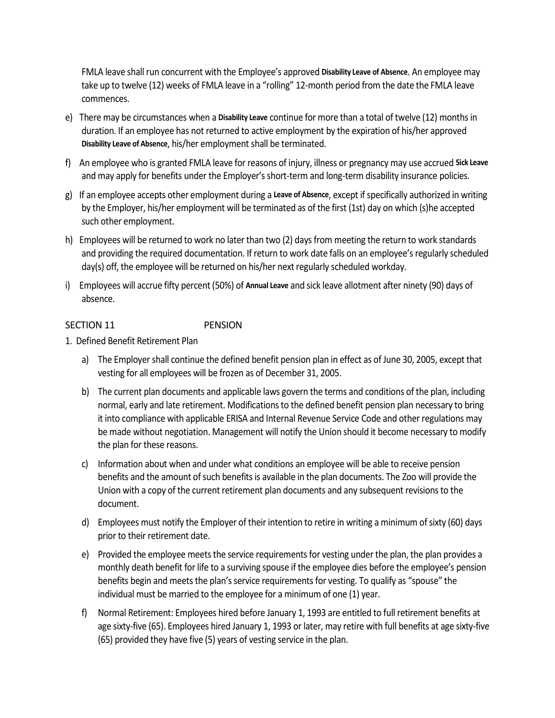FMLA leave shall run concurrent with the Employee's approved **Disability Leave of Absence**. An employee may take up to twelve (12) weeks of FMLA leave in a "rolling" 12-month period from the date the FMLA leave commences.

- e)There may be circumstances when a **Disability Leave** continue for more than a total of twelve (12) months in duration. If an employee has not returned to active employment by the expiration of his/her approved **Disability Leave of Absence**, his/her employment shall be terminated.
- f)An employee who is granted FMLA leave for reasons of injury, illness or pregnancy may use accrued **Sick Leave** and may apply for benefits under the Employer's short-term and long-term disability insurance policies.
- g)If an employee accepts other employment during a **Leave of Absence**, except if specifically authorized in writing by the Employer, his/her employment will be terminated as of the first (1st) day on which (s)he accepted such other employment.
- h)Employees will be returned to work no later than two (2) days from meeting the return to work standards and providing the required documentation. If return to work date falls on an employee's regularly scheduled day(s) off, the employee will be returned on his/her next regularly scheduled workday.
- i)Employees will accrue fifty percent (50%) of **Annual Leave** and sick leave allotment after ninety (90) days of absence.

#### SECTION 11 PENSION

- 1. Defined Benefit Retirement Plan
	- a) The Employer shall continue the defined benefit pension plan in effect as of June 30, 2005, except that vesting for all employees will be frozen as of December 31, 2005.
	- b) The current plan documents and applicable laws govern the terms and conditions of the plan, including normal, early and late retirement. Modifications to the defined benefit pension plan necessary to bring it into compliance with applicable ERISA and Internal Revenue Service Code and other regulations may be made without negotiation. Management will notify the Union should it become necessary to modify the plan for these reasons.
	- c) Information about when and under what conditions an employee will be able to receive pension benefits and the amount of such benefits is available in the plan documents. The Zoo will provide the Union with a copy of the current retirement plan documents and any subsequent revisions to the document.
	- d) Employees must notify the Employer of their intention to retire in writing a minimum of sixty (60) days prior to their retirement date.
	- e) Provided the employee meets the service requirements for vesting under the plan, the plan provides a monthly death benefit for life to a surviving spouse if the employee dies before the employee's pension benefits begin and meets the plan's service requirements for vesting. To qualify as "spouse" the individual must be married to the employee for a minimum of one (1) year.
	- f) Normal Retirement: Employees hired before January 1, 1993 are entitled to full retirement benefits at age sixty-five (65). Employees hired January 1, 1993 or later, may retire with full benefits at age sixty-five (65) provided they have five (5) years of vesting service in the plan.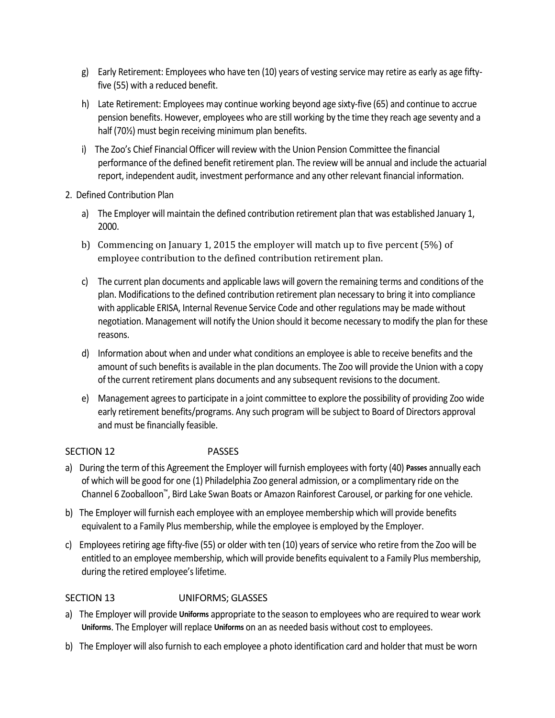- g) Early Retirement: Employees who have ten (10) years of vesting service may retire as early as age fiftyfive (55) with a reduced benefit.
- h) Late Retirement: Employees may continue working beyond age sixty-five (65) and continue to accrue pension benefits. However, employees who are still working by the time they reach age seventy and a half (70½) must begin receiving minimum plan benefits.
- i) The Zoo's Chief Financial Officer will review with the Union Pension Committee the financial performance of the defined benefit retirement plan. The review will be annual and include the actuarial report, independent audit, investment performance and any other relevant financial information.
- 2. Defined Contribution Plan
	- a) The Employer will maintain the defined contribution retirement plan that was established January 1, 2000.
	- b) Commencing on January 1, 2015 the employer will match up to five percent (5%) of employee contribution to the defined contribution retirement plan.
	- c) The current plan documents and applicable laws will govern the remaining terms and conditions of the plan. Modifications to the defined contribution retirement plan necessary to bring it into compliance with applicable ERISA, Internal Revenue Service Code and other regulations may be made without negotiation. Management will notify the Union should it become necessary to modify the plan for these reasons.
	- d) Information about when and under what conditions an employee is able to receive benefits and the amount of such benefits is available in the plan documents. The Zoo will provide the Union with a copy of the current retirement plans documents and any subsequent revisions to the document.
	- e) Management agrees to participate in a joint committee to explore the possibility of providing Zoo wide early retirement benefits/programs. Any such program will be subject to Board of Directors approval and must be financially feasible.

### SECTION 12 PASSES

- a)During the term of this Agreement the Employer will furnish employees with forty (40) **Passes** annually each of which will be good for one (1) Philadelphia Zoo general admission, or a complimentary ride on the Channel 6 Zooballoon™, Bird Lake Swan Boats or Amazon Rainforest Carousel, or parking for one vehicle.
- b)The Employer will furnish each employee with an employee membership which will provide benefits equivalent to a Family Plus membership, while the employee is employed by the Employer.
- c)Employees retiring age fifty-five (55) or older with ten (10) years of service who retire from the Zoo will be entitled to an employee membership, which will provide benefits equivalent to a Family Plus membership, during the retired employee's lifetime.

#### SECTION 13 UNIFORMS; GLASSES

- a)The Employer will provide **Uniforms** appropriate to the season to employees who are required to wear work **Uniforms**. The Employer will replace **Uniforms** on an as needed basis without cost to employees.
- b)The Employer will also furnish to each employee a photo identification card and holder that must be worn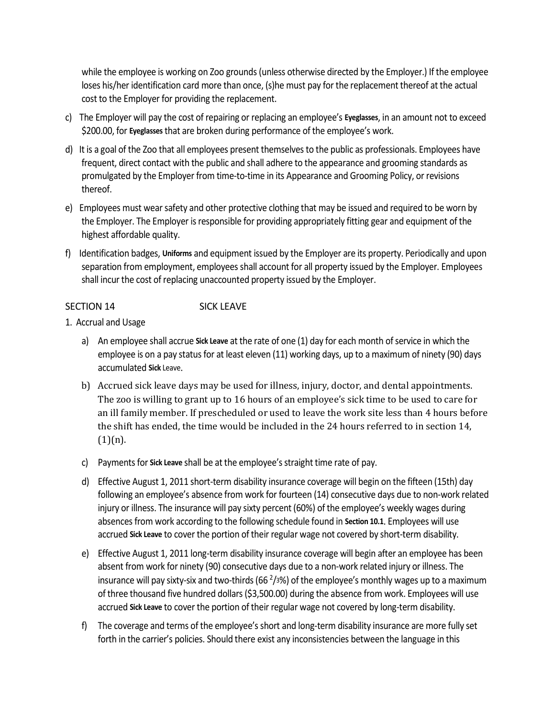while the employee is working on Zoo grounds (unless otherwise directed by the Employer.) If the employee loses his/her identification card more than once, (s)he must pay for the replacement thereof at the actual cost to the Employer for providing the replacement.

- c)The Employer will pay the cost of repairing or replacing an employee's **Eyeglasses**, in an amount not to exceed \$200.00, for **Eyeglasses** that are broken during performance of the employee's work.
- d)It is a goal of the Zoo that all employees present themselves to the public as professionals. Employees have frequent, direct contact with the public and shall adhere to the appearance and grooming standards as promulgated by the Employer from time-to-time in its Appearance and Grooming Policy, or revisions thereof.
- e)Employees must wear safety and other protective clothing that may be issued and required to be worn by the Employer. The Employer is responsible for providing appropriately fitting gear and equipment of the highest affordable quality.
- f)Identification badges, **Uniforms** and equipment issued by the Employer are its property. Periodically and upon separation from employment, employees shall account for all property issued by the Employer. Employees shall incur the cost of replacing unaccounted property issued by the Employer.

#### SECTION 14 SICK LEAVE

- 1. Accrual and Usage
	- a) An employee shall accrue **Sick Leave** at the rate of one (1) day for each month of service in which the employee is on a pay status for at least eleven (11) working days, up to a maximum of ninety (90) days accumulated **Sick** Leave.
	- b) Accrued sick leave days may be used for illness, injury, doctor, and dental appointments. The zoo is willing to grant up to 16 hours of an employee's sick time to be used to care for an ill family member. If prescheduled or used to leave the work site less than 4 hours before the shift has ended, the time would be included in the 24 hours referred to in section 14,  $(1)(n)$ .
	- c) Payments for **Sick Leave** shall be at the employee's straight time rate of pay.
	- d) Effective August 1, 2011 short-term disability insurance coverage will begin on the fifteen (15th) day following an employee's absence from work for fourteen (14) consecutive days due to non-work related injury or illness. The insurance will pay sixty percent (60%) of the employee's weekly wages during absences from work according to the following schedule found in **Section 10.1**. Employees will use accrued **Sick Leave** to cover the portion of their regular wage not covered by short-term disability.
	- e) Effective August 1, 2011 long-term disability insurance coverage will begin after an employee has been absent from work for ninety (90) consecutive days due to a non-work related injury or illness. The insurance will pay sixty-six and two-thirds (66  $^{2}/3%$ ) of the employee's monthly wages up to a maximum of three thousand five hundred dollars (\$3,500.00) during the absence from work. Employees will use accrued **Sick Leave** to cover the portion of their regular wage not covered by long-term disability.
	- f) The coverage and terms of the employee's short and long-term disability insurance are more fully set forth in the carrier's policies. Should there exist any inconsistencies between the language in this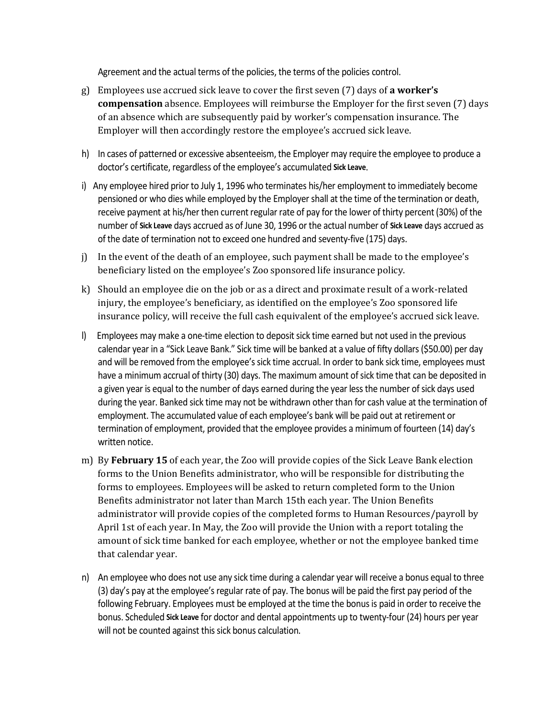Agreement and the actual terms of the policies, the terms of the policies control.

- g) Employees use accrued sick leave to cover the first seven (7) days of **a worker's compensation** absence. Employees will reimburse the Employer for the first seven (7) days of an absence which are subsequently paid by worker's compensation insurance. The Employer will then accordingly restore the employee's accrued sick leave.
- h) In cases of patterned or excessive absenteeism, the Employer may require the employee to produce a doctor's certificate, regardless of the employee's accumulated **Sick Leave**.
- i) Any employee hired prior to July 1, 1996 who terminates his/her employment to immediately become pensioned or who dies while employed by the Employer shall at the time of the termination or death, receive payment at his/her then current regular rate of pay for the lower of thirty percent (30%) of the number of **Sick Leave** days accrued as of June 30, 1996 or the actual number of **Sick Leave** days accrued as of the date of termination not to exceed one hundred and seventy-five (175) days.
- j) In the event of the death of an employee, such payment shall be made to the employee's beneficiary listed on the employee's Zoo sponsored life insurance policy.
- k) Should an employee die on the job or as a direct and proximate result of a work-related injury, the employee's beneficiary, as identified on the employee's Zoo sponsored life insurance policy, will receive the full cash equivalent of the employee's accrued sick leave.
- l) Employees may make a one-time election to deposit sick time earned but not used in the previous calendar year in a "Sick Leave Bank." Sick time will be banked at a value of fifty dollars (\$50.00) per day and will be removed from the employee's sick time accrual. In order to bank sick time, employees must have a minimum accrual of thirty (30) days. The maximum amount of sick time that can be deposited in a given year is equal to the number of days earned during the year less the number of sick days used during the year. Banked sick time may not be withdrawn other than for cash value at the termination of employment. The accumulated value of each employee's bank will be paid out at retirement or termination of employment, provided that the employee provides a minimum of fourteen (14) day's written notice.
- m) By **February 15** of each year, the Zoo will provide copies of the Sick Leave Bank election forms to the Union Benefits administrator, who will be responsible for distributing the forms to employees. Employees will be asked to return completed form to the Union Benefits administrator not later than March 15th each year*.* The Union Benefits administrator will provide copies of the completed forms to Human Resources/payroll by April 1st of each year. In May, the Zoo will provide the Union with a report totaling the amount of sick time banked for each employee, whether or not the employee banked time that calendar year.
- n) An employee who does not use any sick time during a calendar year will receive a bonus equal to three (3) day's pay at the employee's regular rate of pay. The bonus will be paid the first pay period of the following February. Employees must be employed at the time the bonus is paid in order to receive the bonus. Scheduled **Sick Leave** for doctor and dental appointments up to twenty-four (24) hours per year will not be counted against this sick bonus calculation.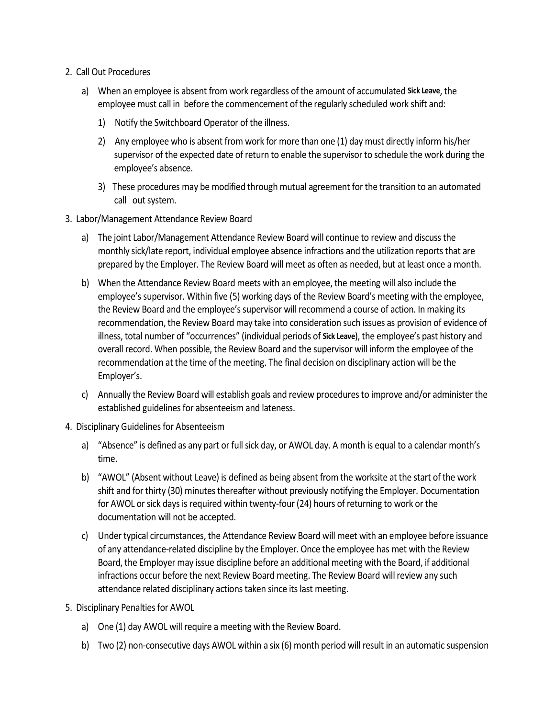- 2. Call Out Procedures
	- a) When an employee is absent from work regardless of the amount of accumulated **Sick Leave**, the employee must call in before the commencement of the regularly scheduled work shift and:
		- 1) Notify the Switchboard Operator of the illness.
		- 2) Any employee who is absent from work for more than one (1) day must directly inform his/her supervisor of the expected date of return to enable the supervisor to schedule the work during the employee's absence.
		- 3)These procedures may be modified through mutual agreement for the transition to an automated call out system.
- 3. Labor/Management Attendance Review Board
	- a) The joint Labor/Management Attendance Review Board will continue to review and discuss the monthly sick/late report, individual employee absence infractions and the utilization reports that are prepared by the Employer. The Review Board will meet as often as needed, but at least once a month.
	- b) When the Attendance Review Board meets with an employee, the meeting will also include the employee's supervisor. Within five (5) working days of the Review Board's meeting with the employee, the Review Board and the employee's supervisor will recommend a course of action. In making its recommendation, the Review Board may take into consideration such issues as provision of evidence of illness, total number of "occurrences" (individual periods of **Sick Leave**), the employee's past history and overall record. When possible, the Review Board and the supervisor will inform the employee of the recommendation at the time of the meeting. The final decision on disciplinary action will be the Employer's.
	- c) Annually the Review Board will establish goals and review procedures to improve and/or administer the established guidelines for absenteeism and lateness.
- 4. Disciplinary Guidelines for Absenteeism
	- a) "Absence" is defined as any part or full sick day, or AWOL day. A month is equal to a calendar month's time.
	- b) "AWOL" (Absent without Leave) is defined as being absent from the worksite at the start of the work shift and for thirty (30) minutes thereafter without previously notifying the Employer. Documentation for AWOL or sick days is required within twenty-four (24) hours of returning to work or the documentation will not be accepted.
	- c) Under typical circumstances, the Attendance Review Board will meet with an employee before issuance of any attendance-related discipline by the Employer. Once the employee has met with the Review Board, the Employer may issue discipline before an additional meeting with the Board, if additional infractions occur before the next Review Board meeting. The Review Board will review any such attendance related disciplinary actions taken since its last meeting.
- 5. Disciplinary Penalties for AWOL
	- a) One (1) day AWOL will require a meeting with the Review Board.
	- b) Two (2) non-consecutive days AWOL within a six (6) month period will result in an automatic suspension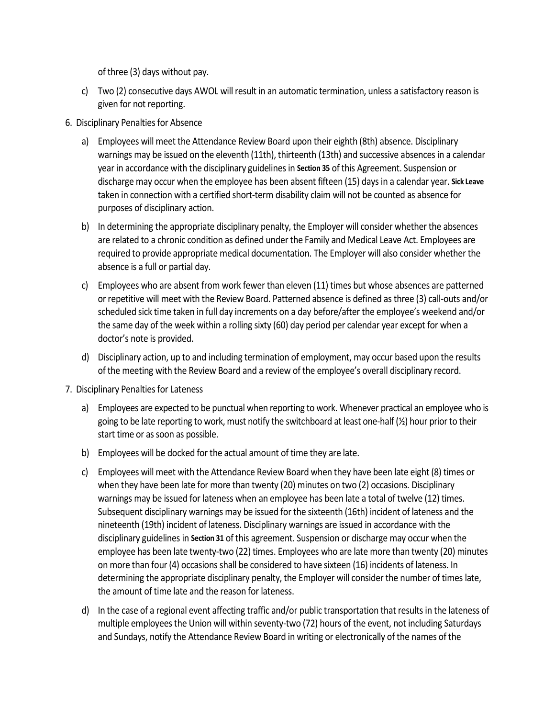of three (3) days without pay.

- c) Two (2) consecutive days AWOL will result in an automatic termination, unless a satisfactory reason is given for not reporting.
- 6. Disciplinary Penalties for Absence
	- a) Employees will meet the Attendance Review Board upon their eighth (8th) absence. Disciplinary warnings may be issued on the eleventh (11th), thirteenth (13th) and successive absences in a calendar year in accordance with the disciplinary guidelines in **Section 35** of this Agreement. Suspension or discharge may occur when the employee has been absent fifteen (15) days in a calendar year. **Sick Leave** taken in connection with a certified short-term disability claim will not be counted as absence for purposes of disciplinary action.
	- b) In determining the appropriate disciplinary penalty, the Employer will consider whether the absences are related to a chronic condition as defined under the Family and Medical Leave Act. Employees are required to provide appropriate medical documentation. The Employer will also consider whether the absence is a full or partial day.
	- c) Employees who are absent from work fewer than eleven (11) times but whose absences are patterned or repetitive will meet with the Review Board. Patterned absence is defined as three (3) call-outs and/or scheduled sick time taken in full day increments on a day before/after the employee's weekend and/or the same day of the week within a rolling sixty (60) day period per calendar year except for when a doctor's note is provided.
	- d) Disciplinary action, up to and including termination of employment, may occur based upon the results of the meeting with the Review Board and a review of the employee's overall disciplinary record.
- 7. Disciplinary Penalties for Lateness
	- a) Employees are expected to be punctual when reporting to work. Whenever practical an employee who is going to be late reporting to work, must notify the switchboard at least one-half  $\mathcal{V}_2$ ) hour prior to their start time or as soon as possible.
	- b) Employees will be docked for the actual amount of time they are late.
	- c) Employees will meet with the Attendance Review Board when they have been late eight (8) times or when they have been late for more than twenty (20) minutes on two (2) occasions. Disciplinary warnings may be issued for lateness when an employee has been late a total of twelve (12) times. Subsequent disciplinary warnings may be issued for the sixteenth (16th) incident of lateness and the nineteenth (19th) incident of lateness. Disciplinary warnings are issued in accordance with the disciplinary guidelines in **Section 31** of this agreement. Suspension or discharge may occur when the employee has been late twenty-two (22) times. Employees who are late more than twenty (20) minutes on more than four (4) occasions shall be considered to have sixteen (16) incidents of lateness. In determining the appropriate disciplinary penalty, the Employer will consider the number of times late, the amount of time late and the reason for lateness.
	- d) In the case of a regional event affecting traffic and/or public transportation that results in the lateness of multiple employees the Union will within seventy-two (72) hours of the event, not including Saturdays and Sundays, notify the Attendance Review Board in writing or electronically of the names of the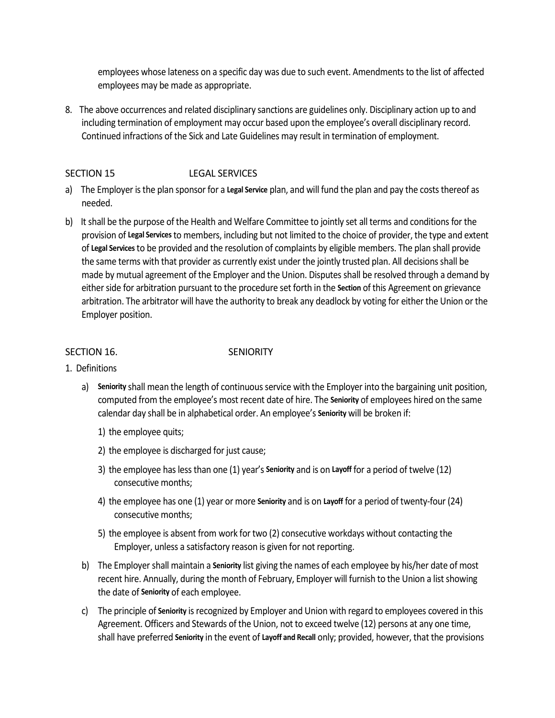employees whose lateness on a specific day was due to such event. Amendments to the list of affected employees may be made as appropriate.

8.The above occurrences and related disciplinary sanctions are guidelines only. Disciplinary action up to and including termination of employment may occur based upon the employee's overall disciplinary record. Continued infractions of the Sick and Late Guidelines may result in termination of employment.

#### SECTION 15 LEGAL SERVICES

- a)The Employer is the plan sponsor for a **Legal Service** plan, and will fund the plan and pay the costs thereof as needed.
- b)It shall be the purpose of the Health and Welfare Committee to jointly set all terms and conditions for the provision of **Legal Services** to members, including but not limited to the choice of provider, the type and extent of **Legal Services** to be provided and the resolution of complaints by eligible members. The plan shall provide the same terms with that provider as currently exist under the jointly trusted plan. All decisions shall be made by mutual agreement of the Employer and the Union. Disputes shall be resolved through a demand by either side for arbitration pursuant to the procedure set forth in the **Section** of this Agreement on grievance arbitration. The arbitrator will have the authority to break any deadlock by voting for either the Union or the Employer position.

#### SECTION 16. SENIORITY

- 1. Definitions
	- a) **Seniority** shall mean the length of continuous service with the Employer into the bargaining unit position, computed from the employee's most recent date of hire. The **Seniority** of employees hired on the same calendar day shall be in alphabetical order. An employee's **Seniority** will be broken if:
		- 1) the employee quits;
		- 2) the employee is discharged for just cause;
		- 3) the employee has less than one (1) year's **Seniority** and is on **Layoff** for a period of twelve (12) consecutive months;
		- 4) the employee has one (1) year or more **Seniority** and is on **Layoff** for a period of twenty-four (24) consecutive months;
		- 5) the employee is absent from work for two (2) consecutive workdays without contacting the Employer, unless a satisfactory reason is given for not reporting.
	- b) The Employer shall maintain a **Seniority** list giving the names of each employee by his/her date of most recent hire. Annually, during the month of February, Employer will furnish to the Union a list showing the date of **Seniority** of each employee.
	- c) The principle of **Seniority** is recognized by Employer and Union with regard to employees covered in this Agreement. Officers and Stewards of the Union, not to exceed twelve (12) persons at any one time, shall have preferred **Seniority** in the event of **Layoff and Recall** only; provided, however, that the provisions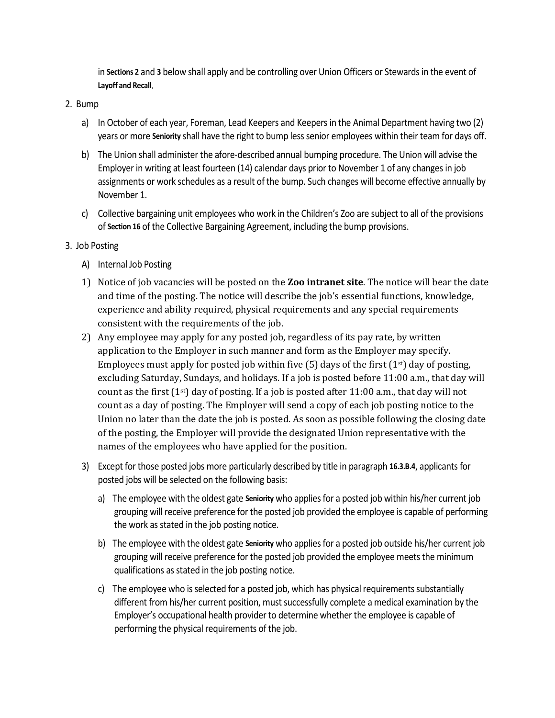in **Sections 2** and **3** below shall apply and be controlling over Union Officers or Stewards in the event of **Layoff and Recall**.

#### 2. Bump

- a) In October of each year, Foreman, Lead Keepers and Keepers in the Animal Department having two (2) years or more **Seniority** shall have the right to bump less senior employees within their team for days off.
- b) The Union shall administer the afore-described annual bumping procedure. The Union will advise the Employer in writing at least fourteen (14) calendar days prior to November 1 of any changes in job assignments or work schedules as a result of the bump. Such changes will become effective annually by November 1.
- c) Collective bargaining unit employees who work in the Children's Zoo are subject to all of the provisions of **Section 16** of the Collective Bargaining Agreement, including the bump provisions.

#### 3. Job Posting

- A) Internal Job Posting
- 1) Notice of job vacancies will be posted on the **Zoo intranet site**. The notice will bear the date and time of the posting. The notice will describe the job's essential functions, knowledge, experience and ability required, physical requirements and any special requirements consistent with the requirements of the job.
- 2) Any employee may apply for any posted job, regardless of its pay rate, by written application to the Employer in such manner and form as the Employer may specify. Employees must apply for posted job within five  $(5)$  days of the first  $(1<sup>st</sup>)$  day of posting, excluding Saturday, Sundays, and holidays. If a job is posted before 11:00 a.m., that day will count as the first  $(1^{st})$  day of posting. If a job is posted after 11:00 a.m., that day will not count as a day of posting. The Employer will send a copy of each job posting notice to the Union no later than the date the job is posted. As soon as possible following the closing date of the posting, the Employer will provide the designated Union representative with the names of the employees who have applied for the position.
- 3) Except for those posted jobs more particularly described by title in paragraph **16.3.B.4**, applicants for posted jobs will be selected on the following basis:
	- a) The employee with the oldest gate **Seniority** who applies for a posted job within his/her current job grouping will receive preference for the posted job provided the employee is capable of performing the work as stated in the job posting notice.
	- b) The employee with the oldest gate **Seniority** who applies for a posted job outside his/her current job grouping will receive preference for the posted job provided the employee meets the minimum qualifications as stated in the job posting notice.
	- c) The employee who is selected for a posted job, which has physical requirements substantially different from his/her current position, must successfully complete a medical examination by the Employer's occupational health provider to determine whether the employee is capable of performing the physical requirements of the job.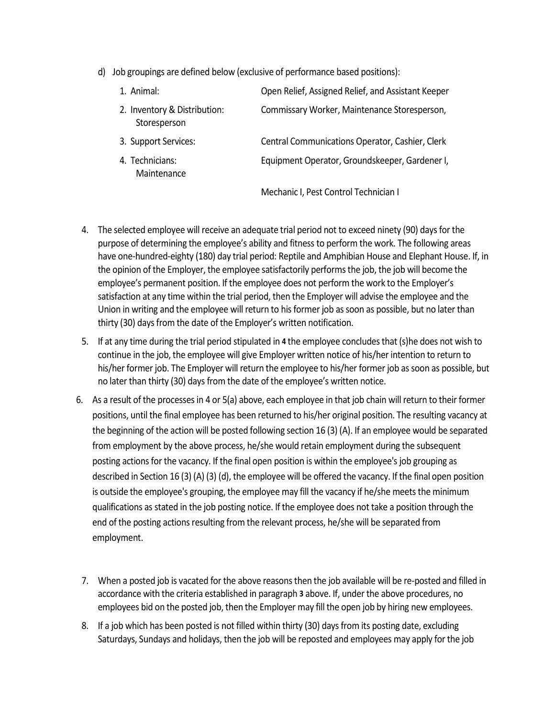d) Job groupings are defined below (exclusive of performance based positions):

| 1. Animal:                                   | Open Relief, Assigned Relief, and Assistant Keeper |
|----------------------------------------------|----------------------------------------------------|
| 2. Inventory & Distribution:<br>Storesperson | Commissary Worker, Maintenance Storesperson,       |
| 3. Support Services:                         | Central Communications Operator, Cashier, Clerk    |
| 4. Technicians:<br>Maintenance               | Equipment Operator, Groundskeeper, Gardener I,     |
|                                              | Mechanic I, Pest Control Technician I              |

- 4. The selected employee will receive an adequate trial period not to exceed ninety (90) days for the purpose of determining the employee's ability and fitness to perform the work. The following areas have one-hundred-eighty (180) day trial period: Reptile and Amphibian House and Elephant House. If, in the opinion of the Employer, the employee satisfactorily performs the job, the job will become the employee's permanent position. If the employee does not perform the work to the Employer's satisfaction at any time within the trial period, then the Employer will advise the employee and the Union in writing and the employee will return to his former job as soon as possible, but no later than thirty (30) days from the date of the Employer's written notification.
- 5. If at any time during the trial period stipulated in **4** the employee concludes that (s)he does not wish to continue in the job, the employee will give Employer written notice of his/her intention to return to his/her former job. The Employer will return the employee to his/her former job as soon as possible, but no later than thirty (30) days from the date of the employee's written notice.
- 6. As a result of the processes in 4 or 5(a) above, each employee in that job chain will return to their former positions, until the final employee has been returned to his/her original position. The resulting vacancy at the beginning of the action will be posted following section 16 (3) (A). If an employee would be separated from employment by the above process, he/she would retain employment during the subsequent posting actions for the vacancy. If the final open position is within the employee's job grouping as described in Section 16 (3) (A) (3) (d), the employee will be offered the vacancy. If the final open position is outside the employee's grouping, the employee may fill the vacancy if he/she meets the minimum qualifications as stated in the job posting notice. If the employee does not take a position through the end of the posting actions resulting from the relevant process, he/she will be separated from employment.
	- 7. When a posted job is vacated for the above reasons then the job available will be re-posted and filled in accordance with the criteria established in paragraph **3** above. If, under the above procedures, no employees bid on the posted job, then the Employer may fill the open job by hiring new employees.
- 8. If a job which has been posted is not filled within thirty (30) days from its posting date, excluding Saturdays, Sundays and holidays, then the job will be reposted and employees may apply for the job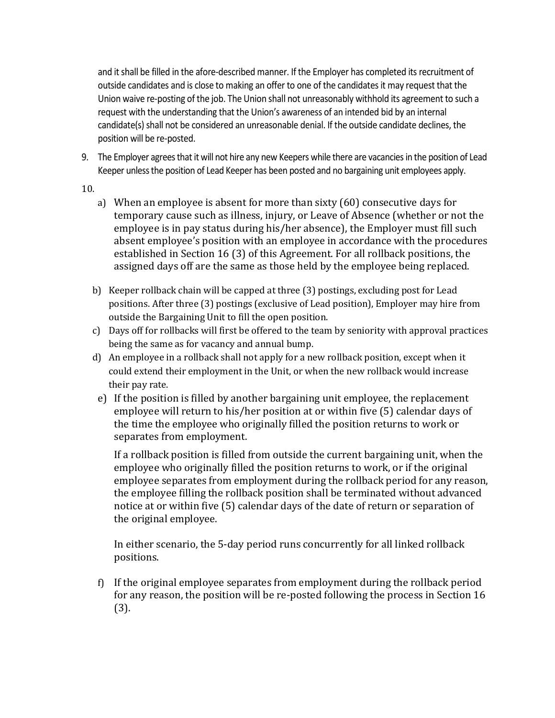and it shall be filled in the afore-described manner. If the Employer has completed its recruitment of outside candidates and is close to making an offer to one of the candidates it may request that the Union waive re-posting of the job. The Union shall not unreasonably withhold its agreement to such a request with the understanding that the Union's awareness of an intended bid by an internal candidate(s) shall not be considered an unreasonable denial. If the outside candidate declines, the position will be re-posted.

- 9. The Employer agrees that it will not hire any new Keepers while there are vacancies in the position of Lead Keeper unless the position of Lead Keeper has been posted and no bargaining unit employees apply.
- 10.
	- a) When an employee is absent for more than sixty (60) consecutive days for temporary cause such as illness, injury, or Leave of Absence (whether or not the employee is in pay status during his/her absence), the Employer must fill such absent employee's position with an employee in accordance with the procedures established in Section 16 (3) of this Agreement. For all rollback positions, the assigned days off are the same as those held by the employee being replaced.
	- b) Keeper rollback chain will be capped at three (3) postings, excluding post for Lead positions. After three (3) postings (exclusive of Lead position), Employer may hire from outside the Bargaining Unit to fill the open position.
	- c) Days off for rollbacks will first be offered to the team by seniority with approval practices being the same as for vacancy and annual bump.
	- d) An employee in a rollback shall not apply for a new rollback position, except when it could extend their employment in the Unit, or when the new rollback would increase their pay rate.
	- e) If the position is filled by another bargaining unit employee, the replacement employee will return to his/her position at or within five (5) calendar days of the time the employee who originally filled the position returns to work or separates from employment.

If a rollback position is filled from outside the current bargaining unit, when the employee who originally filled the position returns to work, or if the original employee separates from employment during the rollback period for any reason, the employee filling the rollback position shall be terminated without advanced notice at or within five (5) calendar days of the date of return or separation of the original employee.

In either scenario, the 5-day period runs concurrently for all linked rollback positions.

f) If the original employee separates from employment during the rollback period for any reason, the position will be re-posted following the process in Section 16 (3).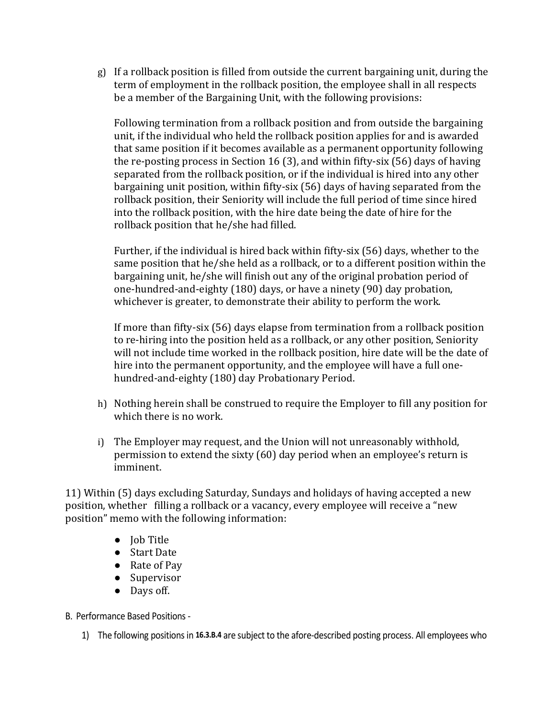g) If a rollback position is filled from outside the current bargaining unit, during the term of employment in the rollback position, the employee shall in all respects be a member of the Bargaining Unit, with the following provisions:

Following termination from a rollback position and from outside the bargaining unit, if the individual who held the rollback position applies for and is awarded that same position if it becomes available as a permanent opportunity following the re-posting process in Section 16 (3), and within fifty-six (56) days of having separated from the rollback position, or if the individual is hired into any other bargaining unit position, within fifty-six (56) days of having separated from the rollback position, their Seniority will include the full period of time since hired into the rollback position, with the hire date being the date of hire for the rollback position that he/she had filled.

Further, if the individual is hired back within fifty-six (56) days, whether to the same position that he/she held as a rollback, or to a different position within the bargaining unit, he/she will finish out any of the original probation period of one-hundred-and-eighty (180) days, or have a ninety (90) day probation, whichever is greater, to demonstrate their ability to perform the work.

If more than fifty-six (56) days elapse from termination from a rollback position to re-hiring into the position held as a rollback, or any other position, Seniority will not include time worked in the rollback position, hire date will be the date of hire into the permanent opportunity, and the employee will have a full onehundred-and-eighty (180) day Probationary Period.

- h) Nothing herein shall be construed to require the Employer to fill any position for which there is no work.
- i) The Employer may request, and the Union will not unreasonably withhold, permission to extend the sixty (60) day period when an employee's return is imminent.

11) Within (5) days excluding Saturday, Sundays and holidays of having accepted a new position, whether filling a rollback or a vacancy, every employee will receive a "new position" memo with the following information:

- Job Title
- Start Date
- Rate of Pay
- Supervisor
- Days off.

B. Performance Based Positions -

1) The following positions in **16.3.B.4** are subject to the afore-described posting process. All employees who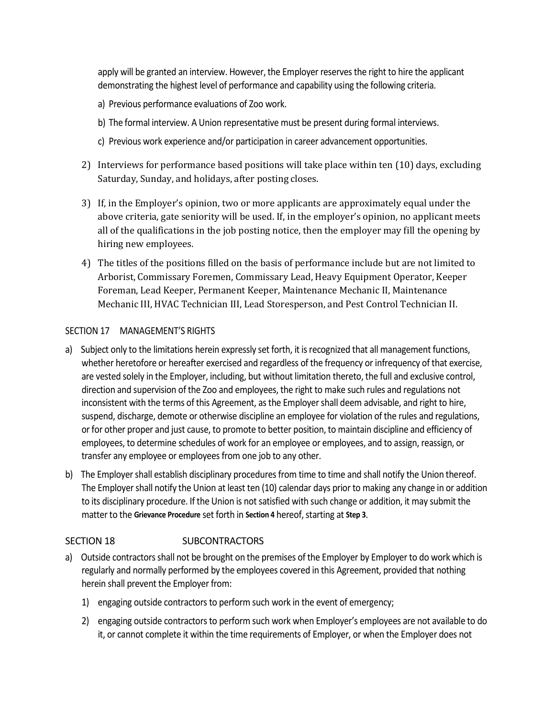apply will be granted an interview. However, the Employer reserves the right to hire the applicant demonstrating the highest level of performance and capability using the following criteria.

- a) Previous performance evaluations of Zoo work.
- b) The formal interview. A Union representative must be present during formal interviews.
- c) Previous work experience and/or participation in career advancement opportunities.
- 2) Interviews for performance based positions will take place within ten (10) days, excluding Saturday, Sunday, and holidays, after posting closes.
- 3) If, in the Employer's opinion, two or more applicants are approximately equal under the above criteria, gate seniority will be used. If, in the employer's opinion, no applicant meets all of the qualifications in the job posting notice, then the employer may fill the opening by hiring new employees.
- 4) The titles of the positions filled on the basis of performance include but are not limited to Arborist, Commissary Foremen, Commissary Lead, Heavy Equipment Operator, Keeper Foreman, Lead Keeper, Permanent Keeper, Maintenance Mechanic II, Maintenance Mechanic III, HVAC Technician III, Lead Storesperson, and Pest Control Technician II.

#### SECTION 17 MANAGEMENT'S RIGHTS

- a)Subject only to the limitations herein expressly set forth, it is recognized that all management functions, whether heretofore or hereafter exercised and regardless of the frequency or infrequency of that exercise, are vested solely in the Employer, including, but without limitation thereto, the full and exclusive control, direction and supervision of the Zoo and employees, the right to make such rules and regulations not inconsistent with the terms of this Agreement, as the Employer shall deem advisable, and right to hire, suspend, discharge, demote or otherwise discipline an employee for violation of the rules and regulations, or for other proper and just cause, to promote to better position, to maintain discipline and efficiency of employees, to determine schedules of work for an employee or employees, and to assign, reassign, or transfer any employee or employees from one job to any other.
- b)The Employer shall establish disciplinary procedures from time to time and shall notify the Union thereof. The Employer shall notify the Union at least ten (10) calendar days prior to making any change in or addition to its disciplinary procedure. If the Union is not satisfied with such change or addition, it may submit the matter to the **Grievance Procedure** set forth in **Section 4** hereof, starting at **Step 3**.

#### SECTION 18 SUBCONTRACTORS

- a)Outside contractors shall not be brought on the premises of the Employer by Employer to do work which is regularly and normally performed by the employees covered in this Agreement, provided that nothing herein shall prevent the Employer from:
	- 1) engaging outside contractors to perform such work in the event of emergency;
	- 2) engaging outside contractors to perform such work when Employer's employees are not available to do it, or cannot complete it within the time requirements of Employer, or when the Employer does not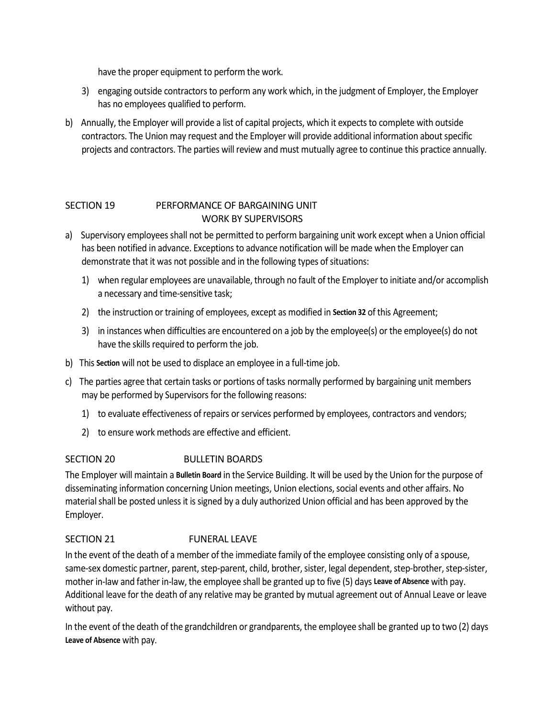have the proper equipment to perform the work.

- 3) engaging outside contractors to perform any work which, in the judgment of Employer, the Employer has no employees qualified to perform.
- b)Annually, the Employer will provide a list of capital projects, which it expects to complete with outside contractors. The Union may request and the Employer will provide additional information about specific projects and contractors. The parties will review and must mutually agree to continue this practice annually.

#### SECTION 19 PERFORMANCE OF BARGAINING UNIT WORK BY SUPERVISORS

- a)Supervisory employees shall not be permitted to perform bargaining unit work except when a Union official has been notified in advance. Exceptions to advance notification will be made when the Employer can demonstrate that it was not possible and in the following types of situations:
	- 1) when regular employees are unavailable, through no fault of the Employer to initiate and/or accomplish a necessary and time-sensitive task;
	- 2) the instruction or training of employees, except as modified in **Section 32** of this Agreement;
	- 3) in instances when difficulties are encountered on a job by the employee(s) or the employee(s) do not have the skills required to perform the job.
- b)This **Section** will not be used to displace an employee in a full-time job.
- c)The parties agree that certain tasks or portions of tasks normally performed by bargaining unit members may be performed by Supervisors for the following reasons:
	- 1) to evaluate effectiveness of repairs or services performed by employees, contractors and vendors;
	- 2) to ensure work methods are effective and efficient.

#### SECTION 20 BULLETIN BOARDS

The Employer will maintain a **Bulletin Board** in the Service Building. It will be used by the Union for the purpose of disseminating information concerning Union meetings, Union elections, social events and other affairs. No material shall be posted unless it is signed by a duly authorized Union official and has been approved by the Employer.

#### SECTION 21 FUNERAL LEAVE

In the event of the death of a member of the immediate family of the employee consisting only of a spouse, same-sex domestic partner, parent, step-parent, child, brother, sister, legal dependent, step-brother, step-sister, mother in-law and father in-law, the employee shall be granted up to five (5) days **Leave of Absence** with pay. Additional leave for the death of any relative may be granted by mutual agreement out of Annual Leave or leave without pay.

In the event of the death of the grandchildren or grandparents, the employee shall be granted up to two (2) days **Leave of Absence** with pay.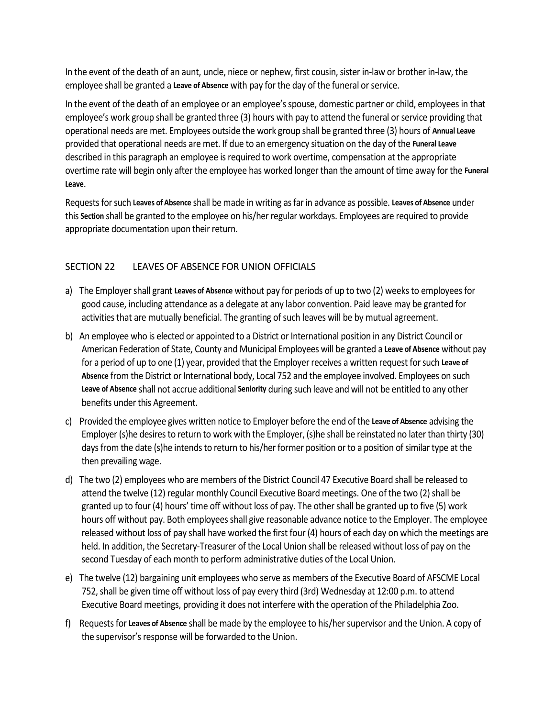In the event of the death of an aunt, uncle, niece or nephew, first cousin, sister in-law or brother in-law, the employee shall be granted a **Leave of Absence** with pay for the day of the funeral or service.

In the event of the death of an employee or an employee's spouse, domestic partner or child, employees in that employee's work group shall be granted three (3) hours with pay to attend the funeral or service providing that operational needs are met. Employees outside the work group shall be granted three (3) hours of **Annual Leave** provided that operational needs are met. If due to an emergency situation on the day of the **Funeral Leave** described in this paragraph an employee is required to work overtime, compensation at the appropriate overtime rate will begin only after the employee has worked longer than the amount of time away for the **Funeral Leave**.

Requests for such **Leaves of Absence** shall be made in writing as far in advance as possible. **Leaves of Absence** under this **Section** shall be granted to the employee on his/her regular workdays. Employees are required to provide appropriate documentation upon their return.

#### SECTION 22 LEAVES OF ABSENCE FOR UNION OFFICIALS

- a)The Employer shall grant **Leaves of Absence** without pay for periods of up to two (2) weeks to employees for good cause, including attendance as a delegate at any labor convention. Paid leave may be granted for activities that are mutually beneficial. The granting of such leaves will be by mutual agreement.
- b)An employee who is elected or appointed to a District or International position in any District Council or American Federation of State, County and Municipal Employees will be granted a **Leave of Absence** without pay for a period of up to one (1) year, provided that the Employer receives a written request for such **Leave of Absence** from the District or International body, Local 752 and the employee involved. Employees on such **Leave of Absence** shall not accrue additional **Seniority** during such leave and will not be entitled to any other benefits under this Agreement.
- c)Provided the employee gives written notice to Employer before the end of the **Leave of Absence** advising the Employer (s)he desires to return to work with the Employer, (s)he shall be reinstated no later than thirty (30) days from the date (s)he intends to return to his/her former position or to a position of similar type at the then prevailing wage.
- d)The two (2) employees who are members of the District Council 47 Executive Board shall be released to attend the twelve (12) regular monthly Council Executive Board meetings. One of the two (2) shall be granted up to four (4) hours' time off without loss of pay. The other shall be granted up to five (5) work hours off without pay. Both employees shall give reasonable advance notice to the Employer. The employee released without loss of pay shall have worked the first four (4) hours of each day on which the meetings are held. In addition, the Secretary-Treasurer of the Local Union shall be released without loss of pay on the second Tuesday of each month to perform administrative duties of the Local Union.
- e)The twelve (12) bargaining unit employees who serve as members of the Executive Board of AFSCME Local 752, shall be given time off without loss of pay every third (3rd) Wednesday at 12:00 p.m. to attend Executive Board meetings, providing it does not interfere with the operation of the Philadelphia Zoo.
- f)Requests for **Leaves of Absence** shall be made by the employee to his/her supervisor and the Union. A copy of the supervisor's response will be forwarded to the Union.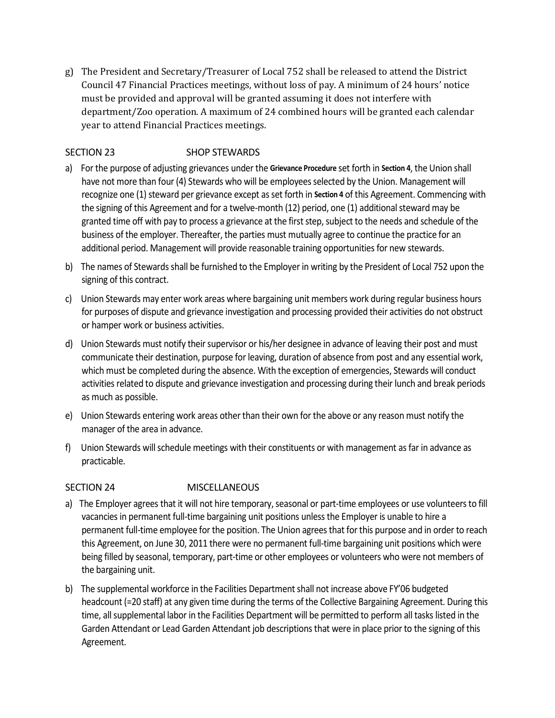g) The President and Secretary/Treasurer of Local 752 shall be released to attend the District Council 47 Financial Practices meetings, without loss of pay. A minimum of 24 hours' notice must be provided and approval will be granted assuming it does not interfere with department/Zoo operation. A maximum of 24 combined hours will be granted each calendar year to attend Financial Practices meetings.

#### SECTION 23 SHOP STEWARDS

- a)For the purpose of adjusting grievances under the **Grievance Procedure** set forth in **Section 4**, the Union shall have not more than four (4) Stewards who will be employees selected by the Union. Management will recognize one (1) steward per grievance except as set forth in **Section 4** of this Agreement. Commencing with the signing of this Agreement and for a twelve-month (12) period, one (1) additional steward may be granted time off with pay to process a grievance at the first step, subject to the needs and schedule of the business of the employer. Thereafter, the parties must mutually agree to continue the practice for an additional period. Management will provide reasonable training opportunities for new stewards.
- b)The names of Stewards shall be furnished to the Employer in writing by the President of Local 752 upon the signing of this contract.
- c)Union Stewards may enter work areas where bargaining unit members work during regular business hours for purposes of dispute and grievance investigation and processing provided their activities do not obstruct or hamper work or business activities.
- d)Union Stewards must notify their supervisor or his/her designee in advance of leaving their post and must communicate their destination, purpose for leaving, duration of absence from post and any essential work, which must be completed during the absence. With the exception of emergencies, Stewards will conduct activities related to dispute and grievance investigation and processing during their lunch and break periods as much as possible.
- e)Union Stewards entering work areas other than their own for the above or any reason must notify the manager of the area in advance.
- f)Union Stewards will schedule meetings with their constituents or with management as far in advance as practicable.

#### SECTION 24 MISCELLANEOUS

- a)The Employer agrees that it will not hire temporary, seasonal or part-time employees or use volunteers to fill vacancies in permanent full-time bargaining unit positions unless the Employer is unable to hire a permanent full-time employee for the position. The Union agrees that for this purpose and in order to reach this Agreement, on June 30, 2011 there were no permanent full-time bargaining unit positions which were being filled by seasonal, temporary, part-time or other employees or volunteers who were not members of the bargaining unit.
- b)The supplemental workforce in the Facilities Department shall not increase above FY'06 budgeted headcount (=20 staff) at any given time during the terms of the Collective Bargaining Agreement. During this time, all supplemental labor in the Facilities Department will be permitted to perform all tasks listed in the Garden Attendant or Lead Garden Attendant job descriptions that were in place prior to the signing of this Agreement.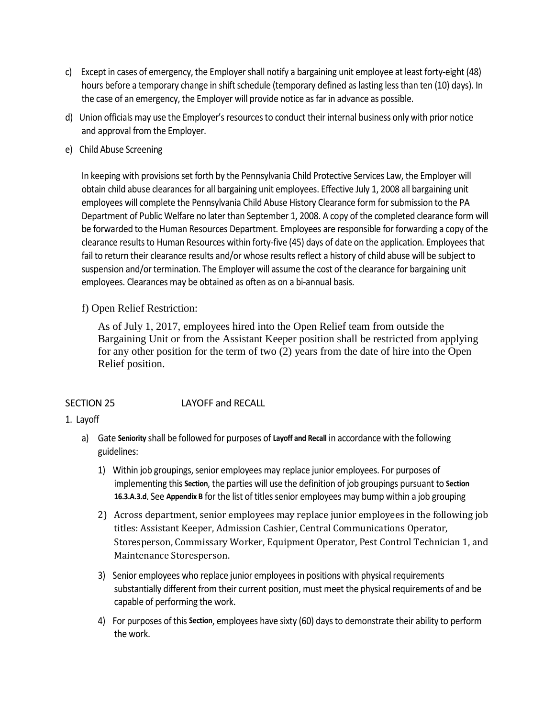- c)Except in cases of emergency, the Employer shall notify a bargaining unit employee at least forty-eight (48) hours before a temporary change in shift schedule (temporary defined as lasting less than ten (10) days). In the case of an emergency, the Employer will provide notice as far in advance as possible.
- d)Union officials may use the Employer's resources to conduct their internal business only with prior notice and approval from the Employer.
- e)Child Abuse Screening

In keeping with provisions set forth by the Pennsylvania Child Protective Services Law, the Employer will obtain child abuse clearances for all bargaining unit employees. Effective July 1, 2008 all bargaining unit employees will complete the Pennsylvania Child Abuse History Clearance form for submission to the PA Department of Public Welfare no later than September 1, 2008. A copy of the completed clearance form will be forwarded to the Human Resources Department. Employees are responsible for forwarding a copy of the clearance results to Human Resources within forty-five (45) days of date on the application. Employees that fail to return their clearance results and/or whose results reflect a history of child abuse will be subject to suspension and/or termination. The Employer will assume the cost of the clearance for bargaining unit employees. Clearances may be obtained as often as on a bi-annual basis.

f) Open Relief Restriction:

 As of July 1, 2017, employees hired into the Open Relief team from outside the Bargaining Unit or from the Assistant Keeper position shall be restricted from applying for any other position for the term of two (2) years from the date of hire into the Open Relief position.

#### SECTION 25 LAYOFF and RECALL

#### 1. Layoff

- a) Gate **Seniority** shall be followed for purposes of **Layoff and Recall** in accordance with the following guidelines:
	- 1) Within job groupings, senior employees may replace junior employees. For purposes of implementing this **Section**, the parties will use the definition of job groupings pursuant to **Section 16.3.A.3.d**. See **Appendix B** for the list of titles senior employees may bump within a job grouping
	- 2) Across department, senior employees may replace junior employees in the following job titles: Assistant Keeper, Admission Cashier, Central Communications Operator, Storesperson, Commissary Worker, Equipment Operator, Pest Control Technician 1, and Maintenance Storesperson.
	- 3) Senior employees who replace junior employees in positions with physical requirements substantially different from their current position, must meet the physical requirements of and be capable of performing the work.
	- 4) For purposes of this **Section**, employees have sixty (60) days to demonstrate their ability to perform the work.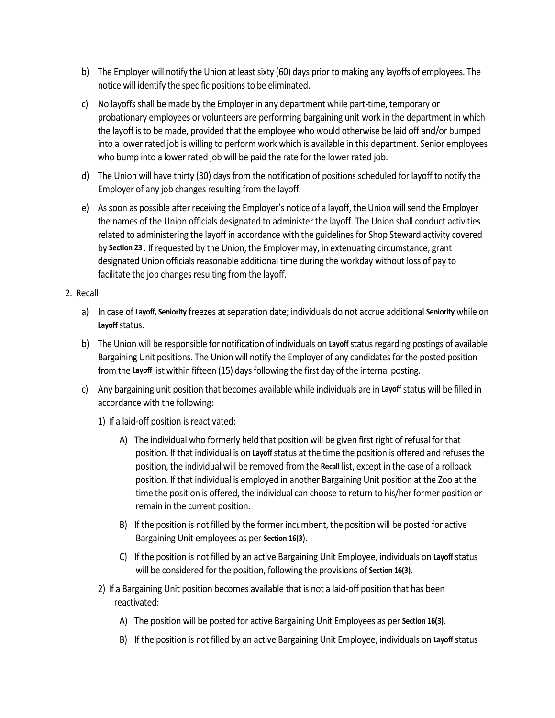- b) The Employer will notify the Union at least sixty (60) days prior to making any layoffs of employees. The notice will identify the specific positions to be eliminated.
- c) No layoffs shall be made by the Employer in any department while part-time, temporary or probationary employees or volunteers are performing bargaining unit work in the department in which the layoff is to be made, provided that the employee who would otherwise be laid off and/or bumped into a lower rated job is willing to perform work which is available in this department. Senior employees who bump into a lower rated job will be paid the rate for the lower rated job.
- d) The Union will have thirty (30) days from the notification of positions scheduled for layoff to notify the Employer of any job changes resulting from the layoff.
- e) As soon as possible after receiving the Employer's notice of a layoff, the Union will send the Employer the names of the Union officials designated to administer the layoff. The Union shall conduct activities related to administering the layoff in accordance with the guidelines for Shop Steward activity covered by **Section 23** . If requested by the Union, the Employer may, in extenuating circumstance; grant designated Union officials reasonable additional time during the workday without loss of pay to facilitate the job changes resulting from the layoff.

## 2. Recall

- a) In case of **Layoff, Seniority** freezes at separation date; individuals do not accrue additional **Seniority** while on **Layoff**status.
- b) The Union will be responsible for notification of individuals on **Layoff**status regarding postings of available Bargaining Unit positions. The Union will notify the Employer of any candidates for the posted position from the **Layoff** list within fifteen (15) days following the first day of the internal posting.
- c) Any bargaining unit position that becomes available while individuals are in **Layoff**status will be filled in accordance with the following:
	- 1) If a laid-off position is reactivated:
		- A) The individual who formerly held that position will be given first right of refusal for that position. If that individual is on **Layoff**status at the time the position is offered and refuses the position, the individual will be removed from the **Recall** list, except in the case of a rollback position. If that individual is employed in another Bargaining Unit position at the Zoo at the time the position is offered, the individual can choose to return to his/her former position or remain in the current position.
		- B) If the position is not filled by the former incumbent, the position will be posted for active Bargaining Unit employees as per **Section 16(3**).
		- C) If the position is not filled by an active Bargaining Unit Employee, individuals on **Layoff**status will be considered for the position, following the provisions of **Section 16(3)**.
	- 2) If a Bargaining Unit position becomes available that is not a laid-off position that has been reactivated:
		- A) The position will be posted for active Bargaining Unit Employees as per **Section 16(3)**.
		- B) If the position is not filled by an active Bargaining Unit Employee, individuals on **Layoff**status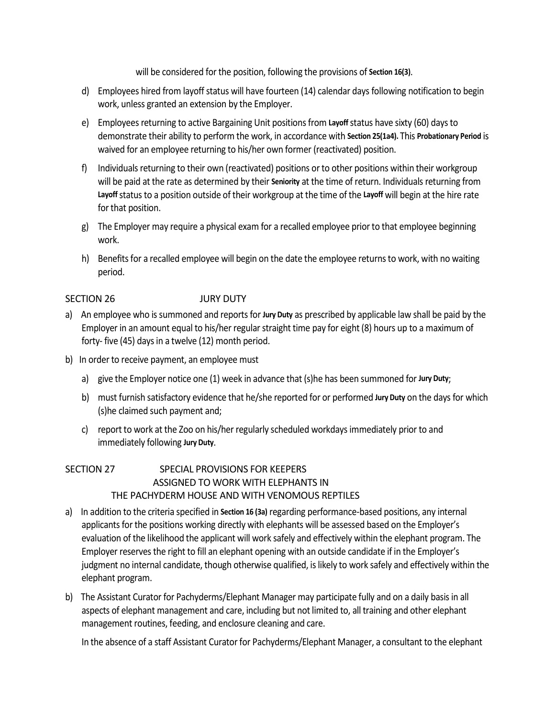will be considered for the position, following the provisions of **Section 16(3)**.

- d) Employees hired from layoff status will have fourteen (14) calendar days following notification to begin work, unless granted an extension by the Employer.
- e) Employees returning to active Bargaining Unit positions from **Layoff**status have sixty (60) days to demonstrate their ability to perform the work, in accordance with **Section 25(1a4).** This **Probationary Period** is waived for an employee returning to his/her own former (reactivated) position.
- f) Individuals returning to their own (reactivated) positions or to other positions within their workgroup will be paid at the rate as determined by their **Seniority** at the time of return. Individuals returning from **Layoff**status to a position outside of their workgroup at the time of the **Layoff** will begin at the hire rate for that position.
- g) The Employer may require a physical exam for a recalled employee prior to that employee beginning work.
- h) Benefits for a recalled employee will begin on the date the employee returns to work, with no waiting period.

## SECTION 26 JURY DUTY

- a)An employee who is summoned and reports for **Jury Duty** as prescribed by applicable law shall be paid by the Employer in an amount equal to his/her regular straight time pay for eight (8) hours up to a maximum of forty- five (45) days in a twelve (12) month period.
- b)In order to receive payment, an employee must
	- a) give the Employer notice one (1) week in advance that (s)he has been summoned for **Jury Duty**;
	- b) must furnish satisfactory evidence that he/she reported for or performed **Jury Duty** on the days for which (s)he claimed such payment and;
	- c) report to work at the Zoo on his/her regularly scheduled workdays immediately prior to and immediately following **Jury Duty**.

## SECTION 27 SPECIAL PROVISIONS FOR KEEPERS ASSIGNED TO WORK WITH ELEPHANTS IN THE PACHYDERM HOUSE AND WITH VENOMOUS REPTILES

- a)In addition to the criteria specified in **Section 16 (3a)** regarding performance-based positions, any internal applicants for the positions working directly with elephants will be assessed based on the Employer's evaluation of the likelihood the applicant will work safely and effectively within the elephant program. The Employer reserves the right to fill an elephant opening with an outside candidate if in the Employer's judgment no internal candidate, though otherwise qualified, is likely to work safely and effectively within the elephant program.
- b)The Assistant Curator for Pachyderms/Elephant Manager may participate fully and on a daily basis in all aspects of elephant management and care, including but not limited to, all training and other elephant management routines, feeding, and enclosure cleaning and care.

In the absence of a staff Assistant Curator for Pachyderms/Elephant Manager, a consultant to the elephant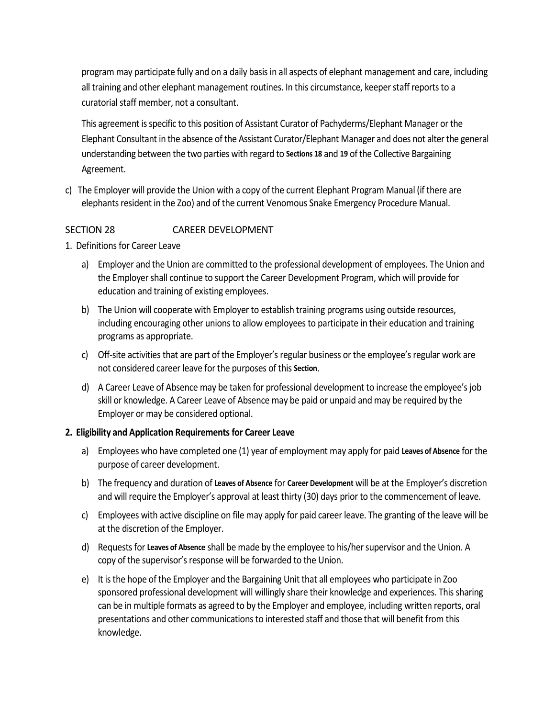program may participate fully and on a daily basis in all aspects of elephant management and care, including all training and other elephant management routines. In this circumstance, keeper staff reports to a curatorial staff member, not a consultant.

This agreement is specific to this position of Assistant Curator of Pachyderms/Elephant Manager or the Elephant Consultant in the absence of the Assistant Curator/Elephant Manager and does not alter the general understanding between the two parties with regard to **Sections 18** and **19** of the Collective Bargaining Agreement.

c) The Employer will provide the Union with a copy of the current Elephant Program Manual (if there are elephants resident in the Zoo) and of the current Venomous Snake Emergency Procedure Manual.

## SECTION 28 CAREER DEVELOPMENT

- 1. Definitions for Career Leave
	- a) Employer and the Union are committed to the professional development of employees. The Union and the Employer shall continue to support the Career Development Program, which will provide for education and training of existing employees.
	- b) The Union will cooperate with Employer to establish training programs using outside resources, including encouraging other unions to allow employees to participate in their education and training programs as appropriate.
	- c) Off-site activities that are part of the Employer's regular business or the employee's regular work are not considered career leave for the purposes of this **Section**.
	- d) A Career Leave of Absence may be taken for professional development to increase the employee's job skill or knowledge. A Career Leave of Absence may be paid or unpaid and may be required by the Employer or may be considered optional.

## **2. Eligibility and Application Requirements for Career Leave**

- a) Employees who have completed one (1) year of employment may apply for paid **Leaves of Absence** for the purpose of career development.
- b) The frequency and duration of **Leaves of Absence** for **Career Development** will be at the Employer's discretion and will require the Employer's approval at least thirty (30) days prior to the commencement of leave.
- c) Employees with active discipline on file may apply for paid career leave. The granting of the leave will be at the discretion of the Employer.
- d) Requests for **Leaves of Absence** shall be made by the employee to his/her supervisor and the Union. A copy of the supervisor's response will be forwarded to the Union.
- e) It is the hope of the Employer and the Bargaining Unit that all employees who participate in Zoo sponsored professional development will willingly share their knowledge and experiences. This sharing can be in multiple formats as agreed to by the Employer and employee, including written reports, oral presentations and other communications to interested staff and those that will benefit from this knowledge.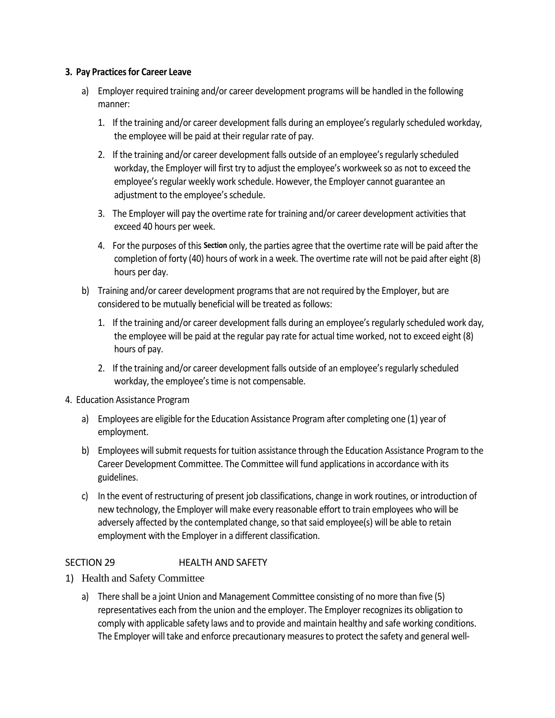## **3. Pay Practices for Career Leave**

- a) Employer required training and/or career development programs will be handled in the following manner:
	- 1. If the training and/or career development falls during an employee's regularly scheduled workday, the employee will be paid at their regular rate of pay.
	- 2. If the training and/or career development falls outside of an employee's regularly scheduled workday, the Employer will first try to adjust the employee's workweek so as not to exceed the employee's regular weekly work schedule. However, the Employer cannot guarantee an adjustment to the employee's schedule.
	- 3. The Employer will pay the overtime rate for training and/or career development activities that exceed 40 hours per week.
	- 4. For the purposes of this **Section** only, the parties agree that the overtime rate will be paid after the completion of forty (40) hours of work in a week. The overtime rate will not be paid after eight (8) hours per day.
- b) Training and/or career development programs that are not required by the Employer, but are considered to be mutually beneficial will be treated as follows:
	- 1. If the training and/or career development falls during an employee's regularly scheduled work day, the employee will be paid at the regular pay rate for actual time worked, not to exceed eight (8) hours of pay.
	- 2. If the training and/or career development falls outside of an employee's regularly scheduled workday, the employee's time is not compensable.
- 4. Education Assistance Program
	- a) Employees are eligible for the Education Assistance Program after completing one (1) year of employment.
	- b) Employees will submit requests for tuition assistance through the Education Assistance Program to the Career Development Committee. The Committee will fund applications in accordance with its guidelines.
	- c) In the event of restructuring of present job classifications, change in work routines, or introduction of new technology, the Employer will make every reasonable effort to train employees who will be adversely affected by the contemplated change, so that said employee(s) will be able to retain employment with the Employer in a different classification.

## SECTION 29 HEALTH AND SAFETY

- 1) Health and Safety Committee
	- a) There shall be a joint Union and Management Committee consisting of no more than five (5) representatives each from the union and the employer. The Employer recognizes its obligation to comply with applicable safety laws and to provide and maintain healthy and safe working conditions. The Employer will take and enforce precautionary measures to protect the safety and general well-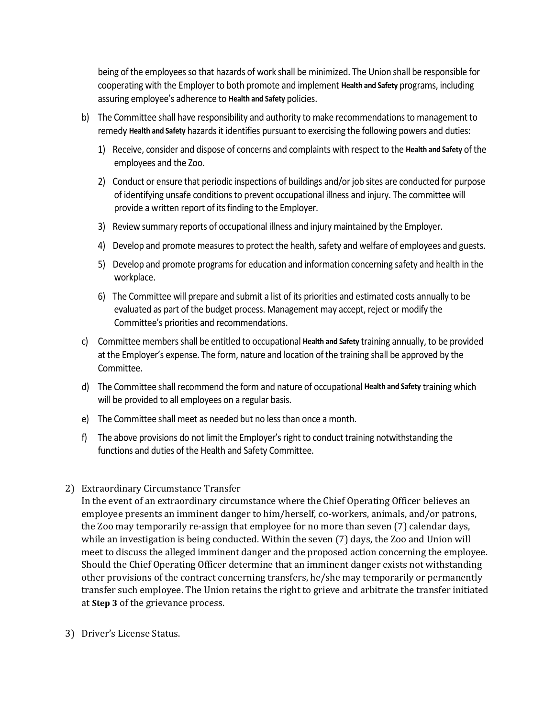being of the employees so that hazards of work shall be minimized. The Union shall be responsible for cooperating with the Employer to both promote and implement **Health and Safety** programs, including assuring employee's adherence to **Health and Safety** policies.

- b) The Committee shall have responsibility and authority to make recommendations to management to remedy **Health and Safety** hazards it identifies pursuant to exercising the following powers and duties:
	- 1) Receive, consider and dispose of concerns and complaints with respect to the **Health and Safety** of the employees and the Zoo.
	- 2) Conduct or ensure that periodic inspections of buildings and/or job sites are conducted for purpose of identifying unsafe conditions to prevent occupational illness and injury. The committee will provide a written report of its finding to the Employer.
	- 3) Review summary reports of occupational illness and injury maintained by the Employer.
	- 4) Develop and promote measures to protect the health, safety and welfare of employees and guests.
	- 5) Develop and promote programs for education and information concerning safety and health in the workplace.
	- 6) The Committee will prepare and submit a list of its priorities and estimated costs annually to be evaluated as part of the budget process. Management may accept, reject or modify the Committee's priorities and recommendations.
- c) Committee members shall be entitled to occupational **Health and Safety** training annually, to be provided at the Employer's expense. The form, nature and location of the training shall be approved by the Committee.
- d) The Committee shall recommend the form and nature of occupational **Health and Safety** training which will be provided to all employees on a regular basis.
- e) The Committee shall meet as needed but no less than once a month.
- f) The above provisions do not limit the Employer's right to conduct training notwithstanding the functions and duties of the Health and Safety Committee.
- 2) Extraordinary Circumstance Transfer

In the event of an extraordinary circumstance where the Chief Operating Officer believes an employee presents an imminent danger to him/herself, co-workers, animals, and/or patrons, the Zoo may temporarily re-assign that employee for no more than seven (7) calendar days, while an investigation is being conducted. Within the seven (7) days, the Zoo and Union will meet to discuss the alleged imminent danger and the proposed action concerning the employee. Should the Chief Operating Officer determine that an imminent danger exists not withstanding other provisions of the contract concerning transfers, he/she may temporarily or permanently transfer such employee. The Union retains the right to grieve and arbitrate the transfer initiated at **Step 3** of the grievance process.

3) Driver's License Status.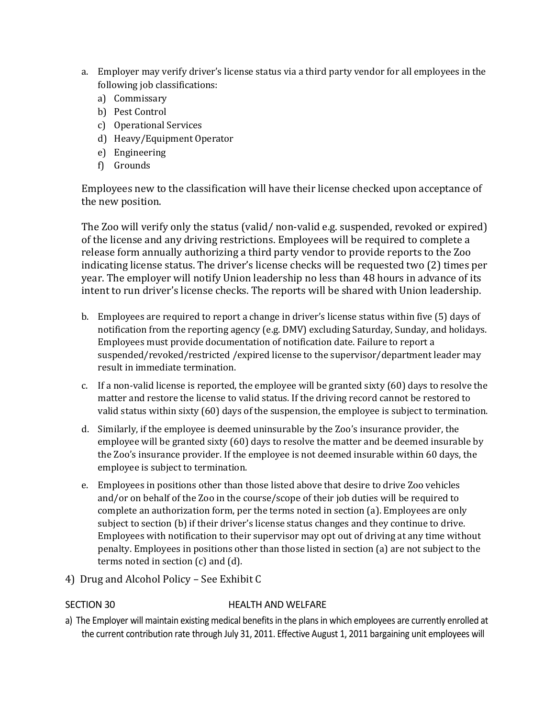- a. Employer may verify driver's license status via a third party vendor for all employees in the following job classifications:
	- a) Commissary
	- b) Pest Control
	- c) Operational Services
	- d) Heavy/Equipment Operator
	- e) Engineering
	- f) Grounds

Employees new to the classification will have their license checked upon acceptance of the new position.

The Zoo will verify only the status (valid/ non-valid e.g. suspended, revoked or expired) of the license and any driving restrictions. Employees will be required to complete a release form annually authorizing a third party vendor to provide reports to the Zoo indicating license status. The driver's license checks will be requested two (2) times per year. The employer will notify Union leadership no less than 48 hours in advance of its intent to run driver's license checks. The reports will be shared with Union leadership.

- b. Employees are required to report a change in driver's license status within five (5) days of notification from the reporting agency (e.g. DMV) excluding Saturday, Sunday, and holidays. Employees must provide documentation of notification date. Failure to report a suspended/revoked/restricted /expired license to the supervisor/department leader may result in immediate termination.
- c. If a non-valid license is reported, the employee will be granted sixty (60) days to resolve the matter and restore the license to valid status. If the driving record cannot be restored to valid status within sixty (60) days of the suspension, the employee is subject to termination.
- d. Similarly, if the employee is deemed uninsurable by the Zoo's insurance provider, the employee will be granted sixty (60) days to resolve the matter and be deemed insurable by the Zoo's insurance provider. If the employee is not deemed insurable within 60 days, the employee is subject to termination.
- e. Employees in positions other than those listed above that desire to drive Zoo vehicles and/or on behalf of the Zoo in the course/scope of their job duties will be required to complete an authorization form, per the terms noted in section (a). Employees are only subject to section (b) if their driver's license status changes and they continue to drive. Employees with notification to their supervisor may opt out of driving at any time without penalty. Employees in positions other than those listed in section (a) are not subject to the terms noted in section (c) and (d).
- 4) Drug and Alcohol Policy See Exhibit C

## SECTION 30 HEALTH AND WELFARE

a) The Employer will maintain existing medical benefits in the plans in which employees are currently enrolled at the current contribution rate through July 31, 2011. Effective August 1, 2011 bargaining unit employees will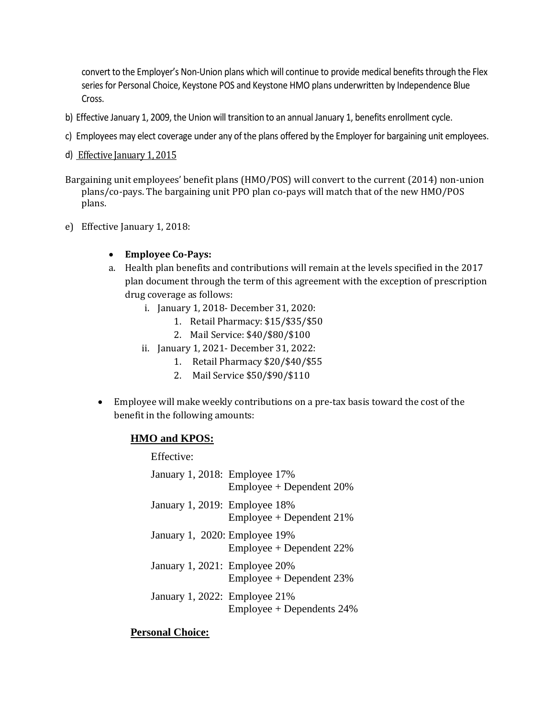convert to the Employer's Non-Union plans which will continue to provide medical benefits through the Flex series for Personal Choice, Keystone POS and Keystone HMO plans underwritten by Independence Blue Cross.

- b) Effective January 1, 2009, the Union will transition to an annual January 1, benefits enrollment cycle.
- c) Employees may elect coverage under any of the plans offered by the Employer for bargaining unit employees.
- d) Effective January 1, 2015
- Bargaining unit employees' benefit plans (HMO/POS) will convert to the current (2014) non-union plans/co-pays. The bargaining unit PPO plan co-pays will match that of the new HMO/POS plans.
- e) Effective January 1, 2018:

## • **Employee Co-Pays:**

- a. Health plan benefits and contributions will remain at the levels specified in the 2017 plan document through the term of this agreement with the exception of prescription drug coverage as follows:
	- i. January 1, 2018- December 31, 2020:
		- 1. Retail Pharmacy: \$15/\$35/\$50
		- 2. Mail Service: \$40/\$80/\$100
	- ii. January 1, 2021- December 31, 2022:
		- 1. Retail Pharmacy \$20/\$40/\$55
		- 2. Mail Service \$50/\$90/\$110
- Employee will make weekly contributions on a pre-tax basis toward the cost of the benefit in the following amounts:

## **HMO and KPOS:**

### Effective:

| January 1, 2018: Employee 17% | $Employee + Dependent 20%$   |
|-------------------------------|------------------------------|
| January 1, 2019: Employee 18% | $Emplovee + Dependent 21%$   |
| January 1, 2020: Employee 19% | $Emplovee + Dependent 22\%$  |
| January 1, 2021: Employee 20% | $Emplovee + Dependent 23%$   |
| January 1, 2022: Employee 21% | $Emplovee + Dependents 24\%$ |

## **Personal Choice:**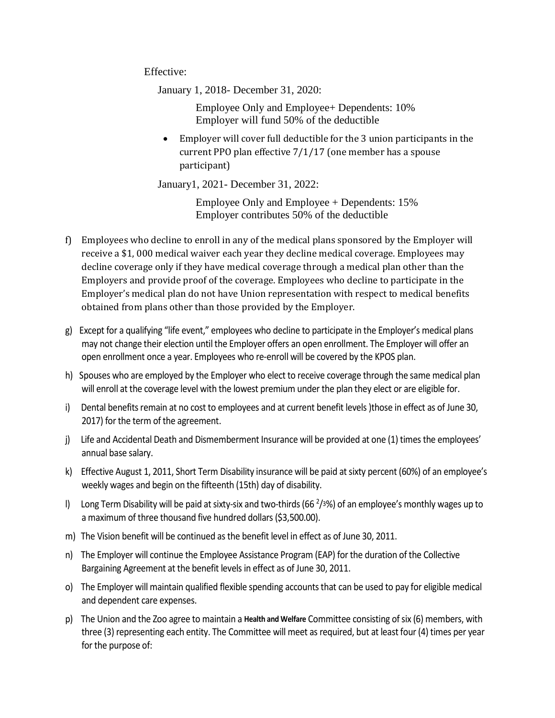Effective:

January 1, 2018- December 31, 2020:

Employee Only and Employee+ Dependents: 10% Employer will fund 50% of the deductible

• Employer will cover full deductible for the 3 union participants in the current PPO plan effective 7/1/17 (one member has a spouse participant)

January1, 2021- December 31, 2022:

Employee Only and Employee + Dependents: 15% Employer contributes 50% of the deductible

- f) Employees who decline to enroll in any of the medical plans sponsored by the Employer will receive a \$1, 000 medical waiver each year they decline medical coverage. Employees may decline coverage only if they have medical coverage through a medical plan other than the Employers and provide proof of the coverage. Employees who decline to participate in the Employer's medical plan do not have Union representation with respect to medical benefits obtained from plans other than those provided by the Employer.
- g)Except for a qualifying "life event," employees who decline to participate in the Employer's medical plans may not change their election until the Employer offers an open enrollment. The Employer will offer an open enrollment once a year. Employees who re-enroll will be covered by the KPOS plan.
- h)Spouses who are employed by the Employer who elect to receive coverage through the same medical plan will enroll at the coverage level with the lowest premium under the plan they elect or are eligible for.
- i) Dental benefits remain at no cost to employees and at current benefit levels )those in effect as of June 30, 2017) for the term of the agreement.
- j)Life and Accidental Death and Dismemberment Insurance will be provided at one (1) times the employees' annual base salary.
- k)Effective August 1, 2011, Short Term Disability insurance will be paid at sixty percent (60%) of an employee's weekly wages and begin on the fifteenth (15th) day of disability.
- l)Long Term Disability will be paid at sixty-six and two-thirds (66 <sup>2</sup> /3%) of an employee's monthly wages up to a maximum of three thousand five hundred dollars (\$3,500.00).
- m)The Vision benefit will be continued as the benefit level in effect as of June 30, 2011.
- n)The Employer will continue the Employee Assistance Program (EAP) for the duration of the Collective Bargaining Agreement at the benefit levels in effect as of June 30, 2011.
- o)The Employer will maintain qualified flexible spending accounts that can be used to pay for eligible medical and dependent care expenses.
- p)The Union and the Zoo agree to maintain a **Health and Welfare** Committee consisting of six (6) members, with three (3) representing each entity. The Committee will meet as required, but at least four (4) times per year for the purpose of: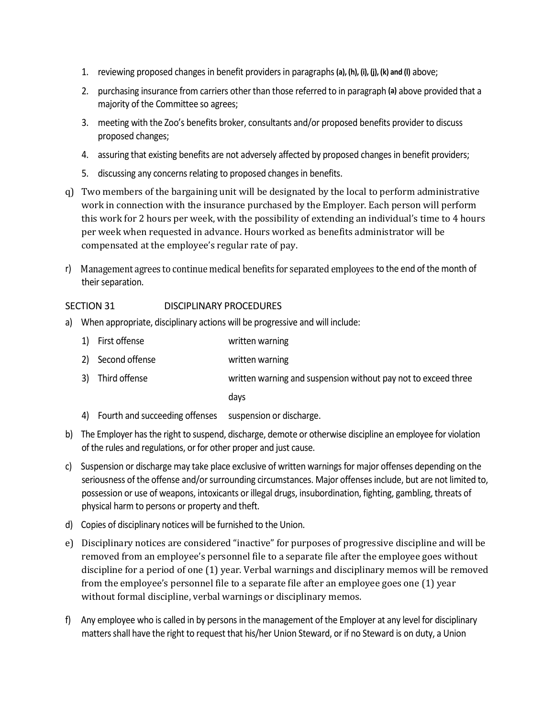- 1. reviewing proposed changes in benefit providers in paragraphs **(a), (h), (i), (j), (k) and (l)** above;
- 2. purchasing insurance from carriers other than those referred to in paragraph **(a)** above provided that a majority of the Committee so agrees;
- 3. meeting with the Zoo's benefits broker, consultants and/or proposed benefits provider to discuss proposed changes;
- 4. assuring that existing benefits are not adversely affected by proposed changes in benefit providers;
- 5. discussing any concerns relating to proposed changes in benefits.
- q) Two members of the bargaining unit will be designated by the local to perform administrative work in connection with the insurance purchased by the Employer. Each person will perform this work for 2 hours per week, with the possibility of extending an individual's time to 4 hours per week when requested in advance. Hours worked as benefits administrator will be compensated at the employee's regular rate of pay.
- r) Management agrees to continue medical benefits for separated employees to the end of the month of their separation.

## SECTION 31 DISCIPLINARY PROCEDURES

- a)When appropriate, disciplinary actions will be progressive and will include:
	- 1) First offense written warning
	- 2) Second offense written warning
	- 3) Third offense written warning and suspension without pay not to exceed three

days

- 4) Fourth and succeeding offenses suspension or discharge.
- b)The Employer has the right to suspend, discharge, demote or otherwise discipline an employee for violation of the rules and regulations, or for other proper and just cause.
- c)Suspension or discharge may take place exclusive of written warnings for major offenses depending on the seriousness of the offense and/or surrounding circumstances. Major offenses include, but are not limited to, possession or use of weapons, intoxicants or illegal drugs, insubordination, fighting, gambling, threats of physical harm to persons or property and theft.
- d)Copies of disciplinary notices will be furnished to the Union.
- e) Disciplinary notices are considered "inactive" for purposes of progressive discipline and will be removed from an employee's personnel file to a separate file after the employee goes without discipline for a period of one (1) year. Verbal warnings and disciplinary memos will be removed from the employee's personnel file to a separate file after an employee goes one (1) year without formal discipline, verbal warnings or disciplinary memos.
- f)Any employee who is called in by persons in the management of the Employer at any level for disciplinary matters shall have the right to request that his/her Union Steward, or if no Steward is on duty, a Union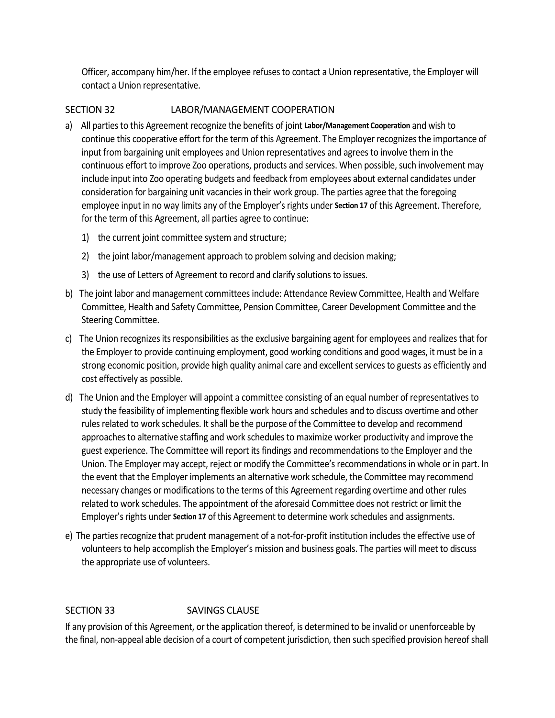Officer, accompany him/her. If the employee refuses to contact a Union representative, the Employer will contact a Union representative.

## SECTION 32 LABOR/MANAGEMENT COOPERATION

- a)All parties to this Agreement recognize the benefits of joint **Labor/Management Cooperation** and wish to continue this cooperative effort for the term of this Agreement. The Employer recognizes the importance of input from bargaining unit employees and Union representatives and agrees to involve them in the continuous effort to improve Zoo operations, products and services. When possible, such involvement may include input into Zoo operating budgets and feedback from employees about external candidates under consideration for bargaining unit vacancies in their work group. The parties agree that the foregoing employee input in no way limits any of the Employer's rights under **Section 17** of this Agreement. Therefore, for the term of this Agreement, all parties agree to continue:
	- 1) the current joint committee system and structure;
	- 2) the joint labor/management approach to problem solving and decision making;
	- 3) the use of Letters of Agreement to record and clarify solutions to issues.
- b)The joint labor and management committees include: Attendance Review Committee, Health and Welfare Committee, Health and Safety Committee, Pension Committee, Career Development Committee and the Steering Committee.
- c)The Union recognizes its responsibilities as the exclusive bargaining agent for employees and realizes that for the Employer to provide continuing employment, good working conditions and good wages, it must be in a strong economic position, provide high quality animal care and excellent services to guests as efficiently and cost effectively as possible.
- d)The Union and the Employer will appoint a committee consisting of an equal number of representatives to study the feasibility of implementing flexible work hours and schedules and to discuss overtime and other rules related to work schedules. It shall be the purpose of the Committee to develop and recommend approaches to alternative staffing and work schedules to maximize worker productivity and improve the guest experience. The Committee will report its findings and recommendations to the Employer and the Union. The Employer may accept, reject or modify the Committee's recommendations in whole or in part. In the event that the Employer implements an alternative work schedule, the Committee may recommend necessary changes or modifications to the terms of this Agreement regarding overtime and other rules related to work schedules. The appointment of the aforesaid Committee does not restrict or limit the Employer's rights under **Section 17** of this Agreement to determine work schedules and assignments.
- e) The parties recognize that prudent management of a not-for-profit institution includes the effective use of volunteers to help accomplish the Employer's mission and business goals. The parties will meet to discuss the appropriate use of volunteers.

## SECTION 33 SAVINGS CLAUSE

If any provision of this Agreement, or the application thereof, is determined to be invalid or unenforceable by the final, non-appeal able decision of a court of competent jurisdiction, then such specified provision hereof shall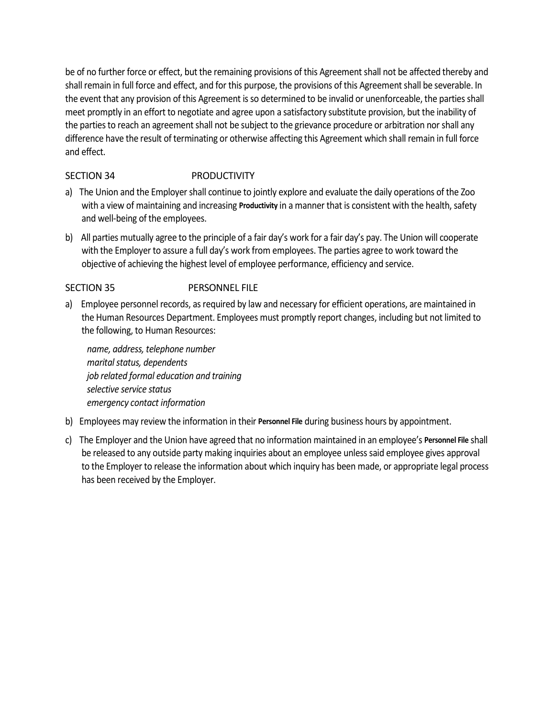be of no further force or effect, but the remaining provisions of this Agreement shall not be affected thereby and shall remain in full force and effect, and for this purpose, the provisions of this Agreement shall be severable. In the event that any provision of this Agreement is so determined to be invalid or unenforceable, the parties shall meet promptly in an effort to negotiate and agree upon a satisfactory substitute provision, but the inability of the parties to reach an agreement shall not be subject to the grievance procedure or arbitration nor shall any difference have the result of terminating or otherwise affecting this Agreement which shall remain in full force and effect.

## SECTION 34 PRODUCTIVITY

- a)The Union and the Employer shall continue to jointly explore and evaluate the daily operations of the Zoo with a view of maintaining and increasing **Productivity** in a manner that is consistent with the health, safety and well-being of the employees.
- b)All parties mutually agree to the principle of a fair day's work for a fair day's pay. The Union will cooperate with the Employer to assure a full day's work from employees. The parties agree to work toward the objective of achieving the highest level of employee performance, efficiency and service.

## SECTION 35 PERSONNEL FILE

a)Employee personnel records, as required by law and necessary for efficient operations, are maintained in the Human Resources Department. Employees must promptly report changes, including but not limited to the following, to Human Resources:

*name, address, telephone number marital status, dependents job related formal education and training selective service status emergency contact information*

- b)Employees may review the information in their **Personnel File** during business hours by appointment.
- c)The Employer and the Union have agreed that no information maintained in an employee's **Personnel File** shall be released to any outside party making inquiries about an employee unless said employee gives approval to the Employer to release the information about which inquiry has been made, or appropriate legal process has been received by the Employer.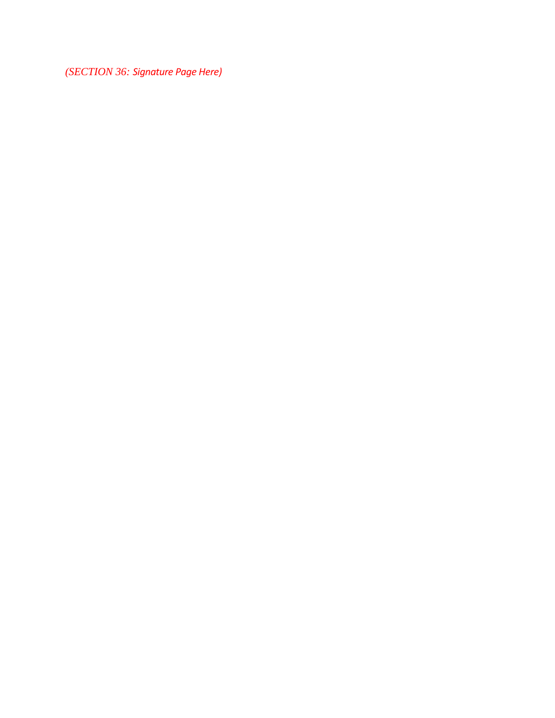*(SECTION 36: Signature Page Here)*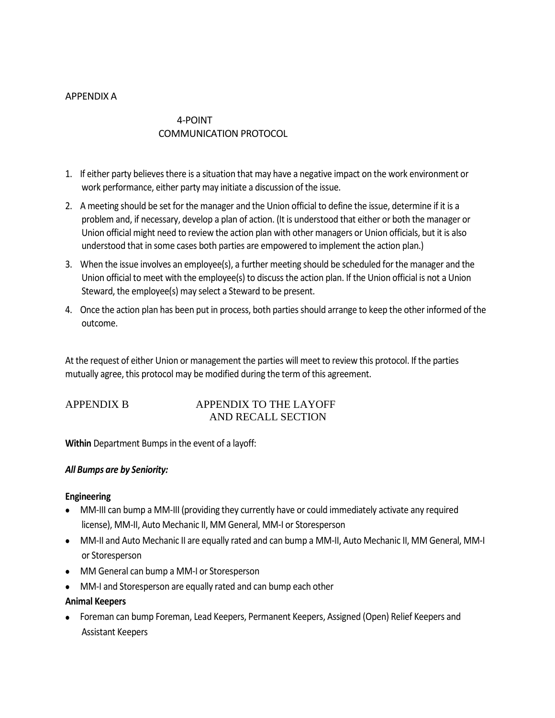## APPENDIX A

## 4-POINT COMMUNICATION PROTOCOL

- 1. If either party believes there is a situation that may have a negative impact on the work environment or work performance, either party may initiate a discussion of the issue.
- 2. A meeting should be set for the manager and the Union official to define the issue, determine if it is a problem and, if necessary, develop a plan of action. (It is understood that either or both the manager or Union official might need to review the action plan with other managers or Union officials, but it is also understood that in some cases both parties are empowered to implement the action plan.)
- 3. When the issue involves an employee(s), a further meeting should be scheduled for the manager and the Union official to meet with the employee(s) to discuss the action plan. If the Union official is not a Union Steward, the employee(s) may select a Steward to be present.
- 4. Once the action plan has been put in process, both parties should arrange to keep the other informed of the outcome.

At the request of either Union or management the parties will meet to review this protocol. If the parties mutually agree, this protocol may be modified during the term of this agreement.

## APPENDIX B APPENDIX TO THE LAYOFF AND RECALL SECTION

**Within** Department Bumps in the event of a layoff:

## *All Bumps are by Seniority:*

## **Engineering**

- MM-III can bump a MM-III (providing they currently have or could immediately activate any required license), MM-II, Auto Mechanic II, MM General, MM-I or Storesperson
- MM-II and Auto Mechanic II are equally rated and can bump a MM-II, Auto Mechanic II, MM General, MM-I or Storesperson
- MM General can bump a MM-I or Storesperson
- MM-I and Storesperson are equally rated and can bump each other

## **Animal Keepers**

• Foreman can bump Foreman, Lead Keepers, Permanent Keepers, Assigned (Open) Relief Keepers and Assistant Keepers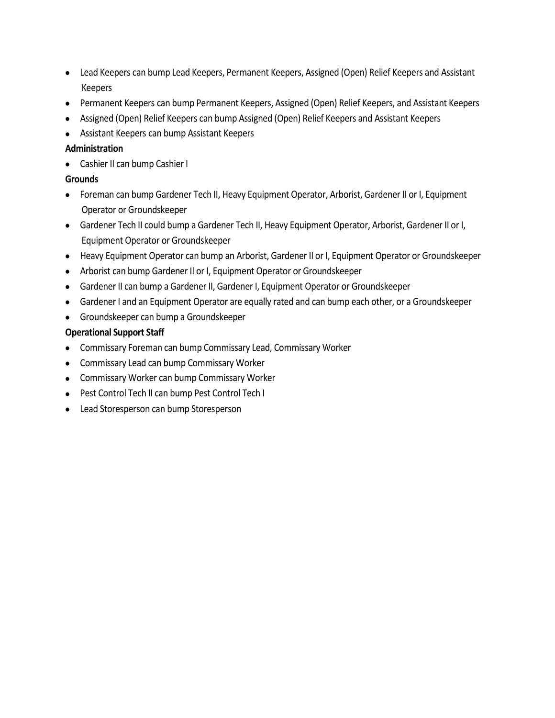- Lead Keepers can bump Lead Keepers, Permanent Keepers, Assigned (Open) Relief Keepers and Assistant Keepers
- Permanent Keepers can bump Permanent Keepers, Assigned (Open) Relief Keepers, and Assistant Keepers
- Assigned (Open) Relief Keepers can bump Assigned (Open) Relief Keepers and Assistant Keepers
- Assistant Keepers can bump Assistant Keepers

## **Administration**

• Cashier II can bump Cashier I

## **Grounds**

- Foreman can bump Gardener Tech II, Heavy Equipment Operator, Arborist, Gardener II or I, Equipment Operator or Groundskeeper
- Gardener Tech II could bump a Gardener Tech II, Heavy Equipment Operator, Arborist, Gardener II or I, Equipment Operator or Groundskeeper
- Heavy Equipment Operator can bump an Arborist, Gardener II or I, Equipment Operator or Groundskeeper
- Arborist can bump Gardener II or I, Equipment Operator or Groundskeeper
- Gardener II can bump a Gardener II, Gardener I, Equipment Operator or Groundskeeper
- Gardener I and an Equipment Operator are equally rated and can bump each other, or a Groundskeeper
- Groundskeeper can bump a Groundskeeper

## **Operational Support Staff**

- Commissary Foreman can bump Commissary Lead, Commissary Worker
- Commissary Lead can bump Commissary Worker
- Commissary Worker can bump Commissary Worker
- Pest Control Tech II can bump Pest Control Tech I
- Lead Storesperson can bump Storesperson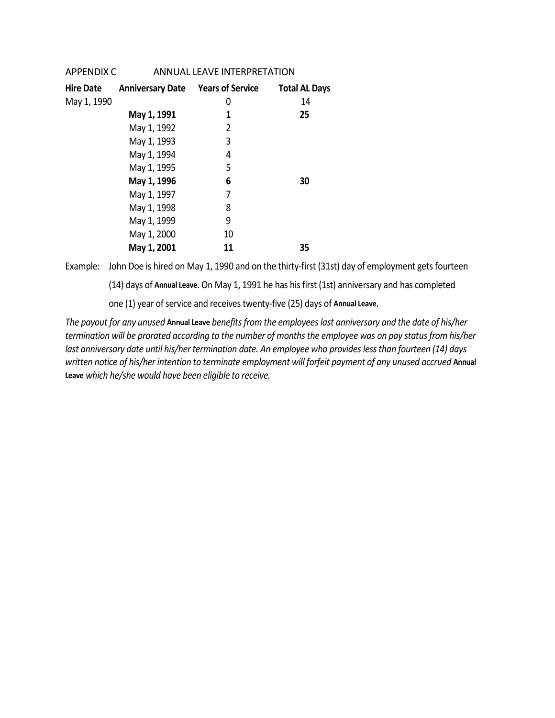| APPENDIX C       |                                          | <b>ANNUAL LEAVE INTERPRETATION</b> |                      |
|------------------|------------------------------------------|------------------------------------|----------------------|
| <b>Hire Date</b> | <b>Anniversary Date Years of Service</b> |                                    | <b>Total AL Days</b> |
| May 1, 1990      |                                          | 0                                  | 14                   |
|                  | May 1, 1991                              | 1                                  | 25                   |
|                  | May 1, 1992                              | 2                                  |                      |
|                  | May 1, 1993                              | 3                                  |                      |
|                  | May 1, 1994                              | 4                                  |                      |
|                  | May 1, 1995                              | 5                                  |                      |
|                  | May 1, 1996                              | 6                                  | 30                   |
|                  | May 1, 1997                              | 7                                  |                      |
|                  | May 1, 1998                              | 8                                  |                      |
|                  | May 1, 1999                              | 9                                  |                      |
|                  | May 1, 2000                              | 10                                 |                      |
|                  | May 1, 2001                              | 11                                 | 35                   |
|                  |                                          |                                    |                      |

Example: John Doe is hired on May 1, 1990 and on the thirty-first (31st) day of employment gets fourteen

(14) days of **Annual Leave**. On May 1, 1991 he has his first (1st) anniversary and has completed

one (1) year of service and receives twenty-five (25) days of **Annual Leave**.

*The payout for any unused* **Annual Leave** *benefits from the employees last anniversary and the date of his/her termination will be prorated according to the number of months the employee was on pay status from his/her last anniversary date until his/her termination date. An employee who provides less than fourteen (14) days written notice of his/her intention to terminate employment will forfeit payment of any unused accrued* **Annual Leave** *which he/she would have been eligible to receive.*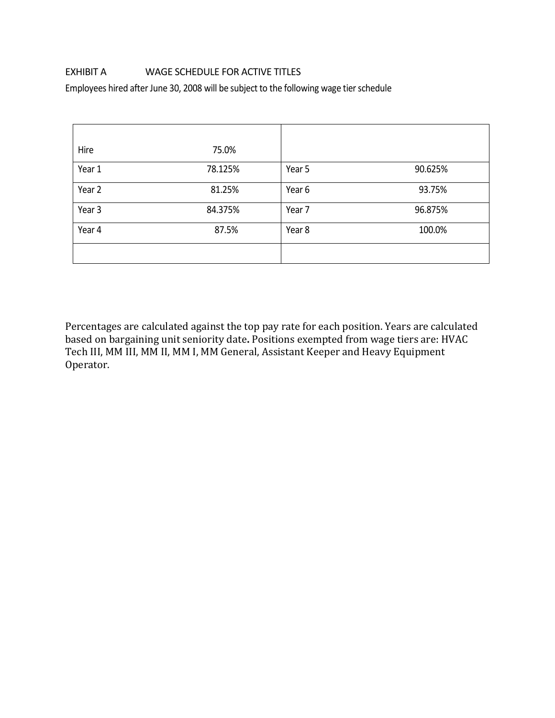## EXHIBIT A WAGE SCHEDULE FOR ACTIVE TITLES

Employees hired after June 30, 2008 will be subject to the following wage tier schedule

| Hire   | 75.0%   |        |         |
|--------|---------|--------|---------|
| Year 1 | 78.125% | Year 5 | 90.625% |
| Year 2 | 81.25%  | Year 6 | 93.75%  |
| Year 3 | 84.375% | Year 7 | 96.875% |
| Year 4 | 87.5%   | Year 8 | 100.0%  |
|        |         |        |         |

Percentages are calculated against the top pay rate for each position. Years are calculated based on bargaining unit seniority date**.** Positions exempted from wage tiers are: HVAC Tech III, MM III, MM II, MM I, MM General, Assistant Keeper and Heavy Equipment Operator.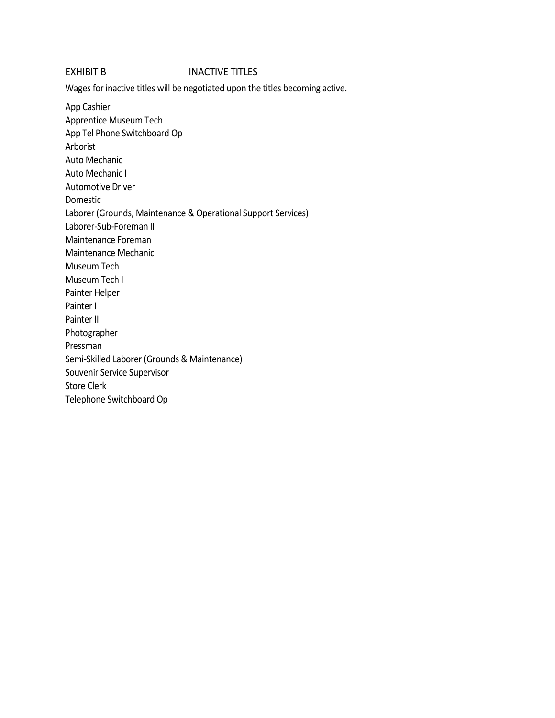#### EXHIBIT B **INACTIVE TITLES**

Wages for inactive titles will be negotiated upon the titles becoming active.

App Cashier Apprentice Museum Tech App Tel Phone Switchboard Op Arborist Auto Mechanic Auto Mechanic I Automotive Driver Domestic Laborer (Grounds, Maintenance & Operational Support Services) Laborer-Sub-Foreman II Maintenance Foreman Maintenance Mechanic Museum Tech Museum Tech I Painter Helper Painter I Painter II Photographer Pressman Semi-Skilled Laborer (Grounds & Maintenance) Souvenir Service Supervisor Store Clerk Telephone Switchboard Op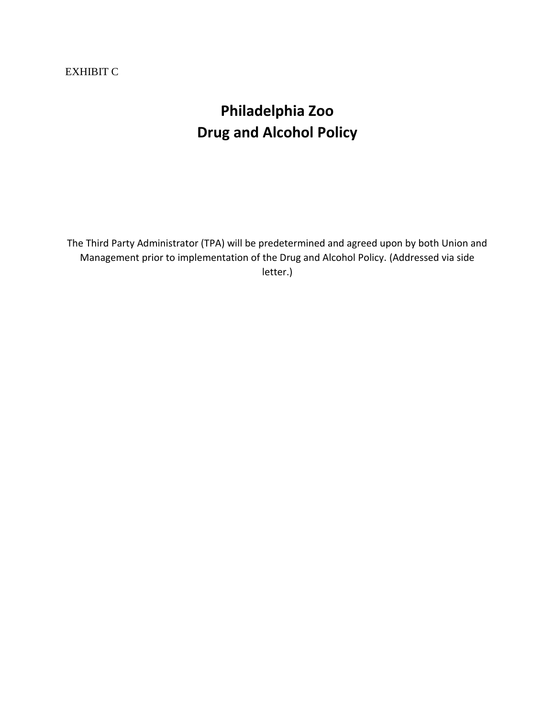## EXHIBIT C

# **Philadelphia Zoo Drug and Alcohol Policy**

The Third Party Administrator (TPA) will be predetermined and agreed upon by both Union and Management prior to implementation of the Drug and Alcohol Policy. (Addressed via side letter.)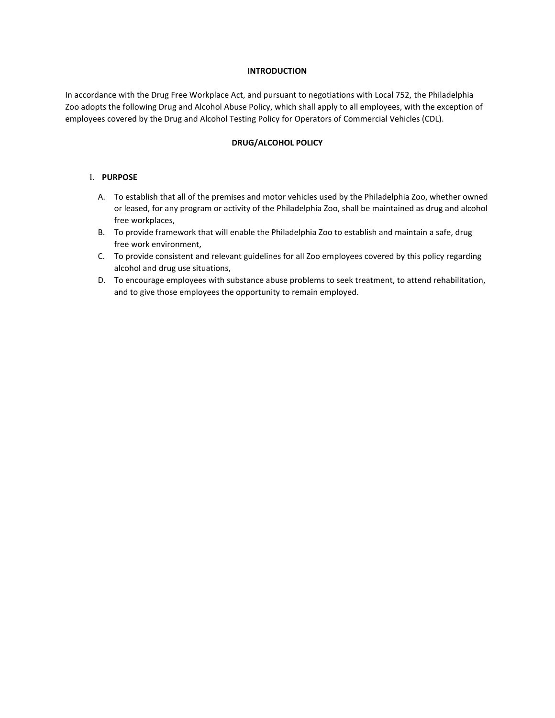#### **INTRODUCTION**

In accordance with the Drug Free Workplace Act, and pursuant to negotiations with Local 752, the Philadelphia Zoo adopts the following Drug and Alcohol Abuse Policy, which shall apply to all employees, with the exception of employees covered by the Drug and Alcohol Testing Policy for Operators of Commercial Vehicles (CDL).

#### **DRUG/ALCOHOL POLICY**

#### I. **PURPOSE**

- A. To establish that all of the premises and motor vehicles used by the Philadelphia Zoo, whether owned or leased, for any program or activity of the Philadelphia Zoo, shall be maintained as drug and alcohol free workplaces,
- B. To provide framework that will enable the Philadelphia Zoo to establish and maintain a safe, drug free work environment,
- C. To provide consistent and relevant guidelines for all Zoo employees covered by this policy regarding alcohol and drug use situations,
- D. To encourage employees with substance abuse problems to seek treatment, to attend rehabilitation, and to give those employees the opportunity to remain employed.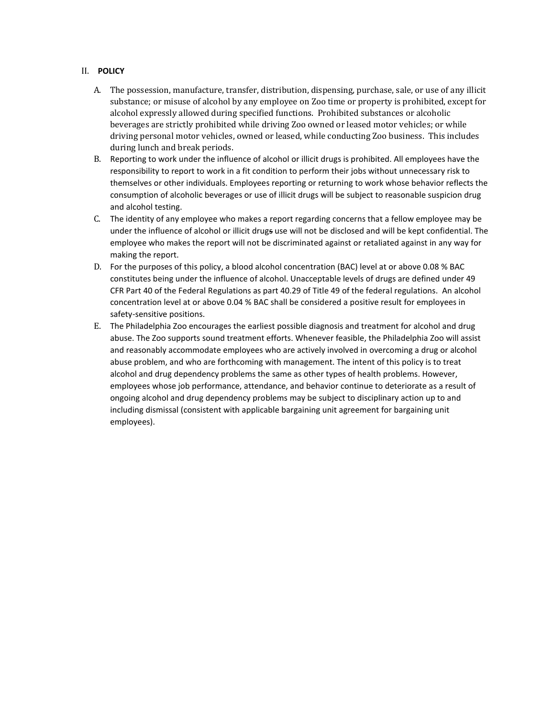#### II. **POLICY**

- A. The possession, manufacture, transfer, distribution, dispensing, purchase, sale, or use of any illicit substance; or misuse of alcohol by any employee on Zoo time or property is prohibited, except for alcohol expressly allowed during specified functions. Prohibited substances or alcoholic beverages are strictly prohibited while driving Zoo owned or leased motor vehicles; or while driving personal motor vehicles, owned or leased, while conducting Zoo business. This includes during lunch and break periods.
- B. Reporting to work under the influence of alcohol or illicit drugs is prohibited. All employees have the responsibility to report to work in a fit condition to perform their jobs without unnecessary risk to themselves or other individuals. Employees reporting or returning to work whose behavior reflects the consumption of alcoholic beverages or use of illicit drugs will be subject to reasonable suspicion drug and alcohol testing.
- C. The identity of any employee who makes a report regarding concerns that a fellow employee may be under the influence of alcohol or illicit drugs use will not be disclosed and will be kept confidential. The employee who makes the report will not be discriminated against or retaliated against in any way for making the report.
- D. For the purposes of this policy, a blood alcohol concentration (BAC) level at or above 0.08 % BAC constitutes being under the influence of alcohol. Unacceptable levels of drugs are defined under 49 CFR Part 40 of the Federal Regulations as part 40.29 of Title 49 of the federal regulations. An alcohol concentration level at or above 0.04 % BAC shall be considered a positive result for employees in safety-sensitive positions.
- E. The Philadelphia Zoo encourages the earliest possible diagnosis and treatment for alcohol and drug abuse. The Zoo supports sound treatment efforts. Whenever feasible, the Philadelphia Zoo will assist and reasonably accommodate employees who are actively involved in overcoming a drug or alcohol abuse problem, and who are forthcoming with management. The intent of this policy is to treat alcohol and drug dependency problems the same as other types of health problems. However, employees whose job performance, attendance, and behavior continue to deteriorate as a result of ongoing alcohol and drug dependency problems may be subject to disciplinary action up to and including dismissal (consistent with applicable bargaining unit agreement for bargaining unit employees).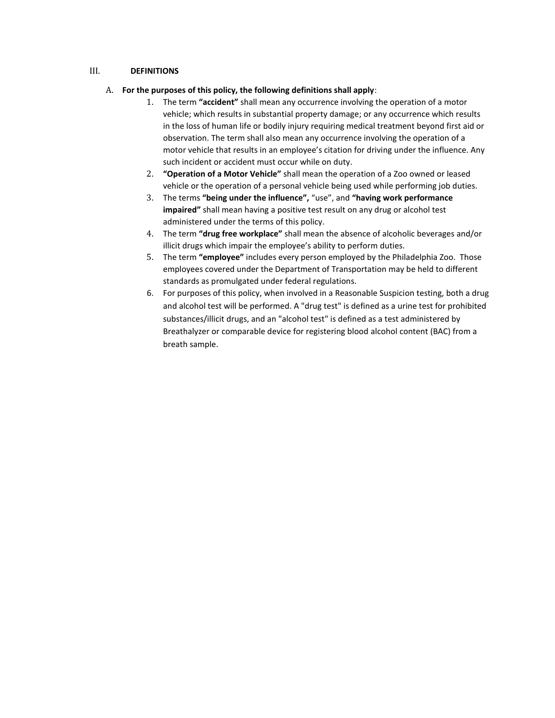#### III. **DEFINITIONS**

- A. **For the purposes of this policy, the following definitions shall apply**:
	- 1. The term **"accident"** shall mean any occurrence involving the operation of a motor vehicle; which results in substantial property damage; or any occurrence which results in the loss of human life or bodily injury requiring medical treatment beyond first aid or observation. The term shall also mean any occurrence involving the operation of a motor vehicle that results in an employee's citation for driving under the influence. Any such incident or accident must occur while on duty.
	- 2. **"Operation of a Motor Vehicle"** shall mean the operation of a Zoo owned or leased vehicle or the operation of a personal vehicle being used while performing job duties.
	- 3. The terms **"being under the influence",** "use", and **"having work performance impaired"** shall mean having a positive test result on any drug or alcohol test administered under the terms of this policy.
	- 4. The term **"drug free workplace"** shall mean the absence of alcoholic beverages and/or illicit drugs which impair the employee's ability to perform duties.
	- 5. The term **"employee"** includes every person employed by the Philadelphia Zoo. Those employees covered under the Department of Transportation may be held to different standards as promulgated under federal regulations.
	- 6. For purposes of this policy, when involved in a Reasonable Suspicion testing, both a drug and alcohol test will be performed. A "drug test" is defined as a urine test for prohibited substances/illicit drugs, and an "alcohol test" is defined as a test administered by Breathalyzer or comparable device for registering blood alcohol content (BAC) from a breath sample.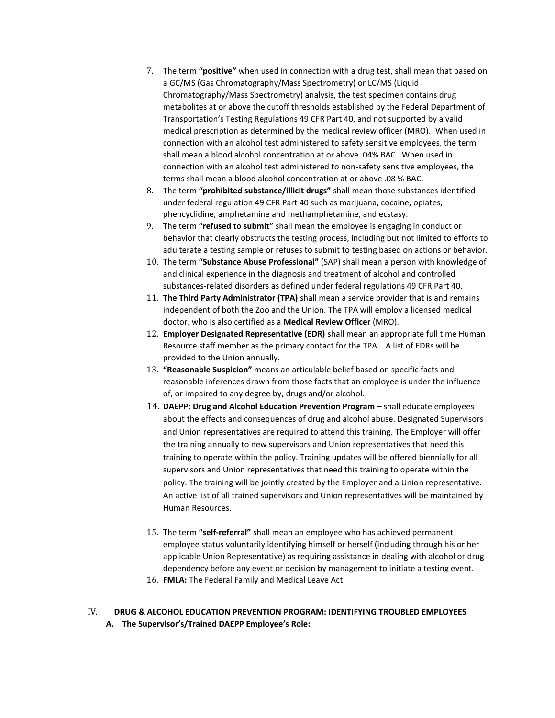- 7. The term **"positive"** when used in connection with a drug test, shall mean that based on a GC/MS (Gas Chromatography/Mass Spectrometry) or LC/MS (Liquid Chromatography/Mass Spectrometry) analysis, the test specimen contains drug metabolites at or above the cutoff thresholds established by the Federal Department of Transportation's Testing Regulations 49 CFR Part 40, and not supported by a valid medical prescription as determined by the medical review officer (MRO). When used in connection with an alcohol test administered to safety sensitive employees, the term shall mean a blood alcohol concentration at or above .04% BAC. When used in connection with an alcohol test administered to non-safety sensitive employees, the terms shall mean a blood alcohol concentration at or above .08 % BAC.
- 8. The term **"prohibited substance/illicit drugs"** shall mean those substances identified under federal regulation 49 CFR Part 40 such as marijuana, cocaine, opiates, phencyclidine, amphetamine and methamphetamine, and ecstasy.
- 9. The term **"refused to submit"** shall mean the employee is engaging in conduct or behavior that clearly obstructs the testing process, including but not limited to efforts to adulterate a testing sample or refuses to submit to testing based on actions or behavior.
- 10. The term **"Substance Abuse Professional"** (SAP) shall mean a person with knowledge of and clinical experience in the diagnosis and treatment of alcohol and controlled substances-related disorders as defined under federal regulations 49 CFR Part 40.
- 11. **The Third Party Administrator (TPA)** shall mean a service provider that is and remains independent of both the Zoo and the Union. The TPA will employ a licensed medical doctor, who is also certified as a **Medical Review Officer** (MRO).
- 12. **Employer Designated Representative (EDR)** shall mean an appropriate full time Human Resource staff member as the primary contact for the TPA. A list of EDRs will be provided to the Union annually.
- 13. **"Reasonable Suspicion"** means an articulable belief based on specific facts and reasonable inferences drawn from those facts that an employee is under the influence of, or impaired to any degree by, drugs and/or alcohol.
- 14. **DAEPP: Drug and Alcohol Education Prevention Program –** shall educate employees about the effects and consequences of drug and alcohol abuse. Designated Supervisors and Union representatives are required to attend this training. The Employer will offer the training annually to new supervisors and Union representatives that need this training to operate within the policy. Training updates will be offered biennially for all supervisors and Union representatives that need this training to operate within the policy. The training will be jointly created by the Employer and a Union representative. An active list of all trained supervisors and Union representatives will be maintained by Human Resources.
- 15. The term **"self-referral"** shall mean an employee who has achieved permanent employee status voluntarily identifying himself or herself (including through his or her applicable Union Representative) as requiring assistance in dealing with alcohol or drug dependency before any event or decision by management to initiate a testing event.
- 16. **FMLA:** The Federal Family and Medical Leave Act.

#### IV. **DRUG & ALCOHOL EDUCATION PREVENTION PROGRAM: IDENTIFYING TROUBLED EMPLOYEES A. The Supervisor's/Trained DAEPP Employee's Role:**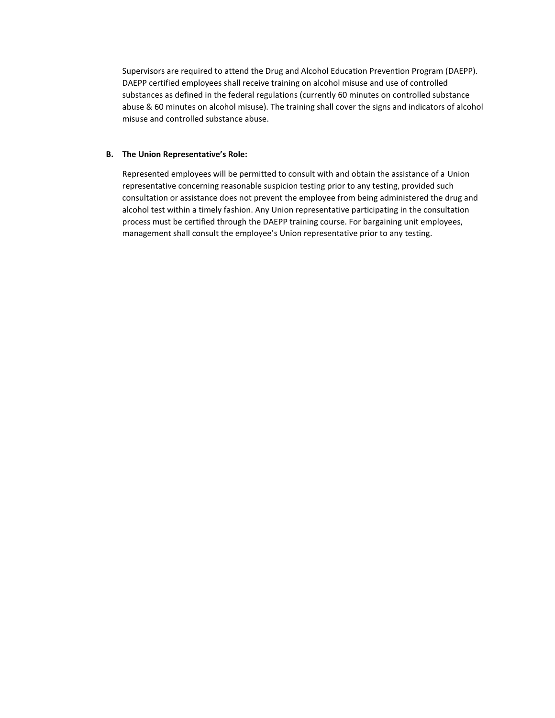Supervisors are required to attend the Drug and Alcohol Education Prevention Program (DAEPP). DAEPP certified employees shall receive training on alcohol misuse and use of controlled substances as defined in the federal regulations (currently 60 minutes on controlled substance abuse & 60 minutes on alcohol misuse). The training shall cover the signs and indicators of alcohol misuse and controlled substance abuse.

#### **B. The Union Representative's Role:**

Represented employees will be permitted to consult with and obtain the assistance of a Union representative concerning reasonable suspicion testing prior to any testing, provided such consultation or assistance does not prevent the employee from being administered the drug and alcohol test within a timely fashion. Any Union representative participating in the consultation process must be certified through the DAEPP training course. For bargaining unit employees, management shall consult the employee's Union representative prior to any testing.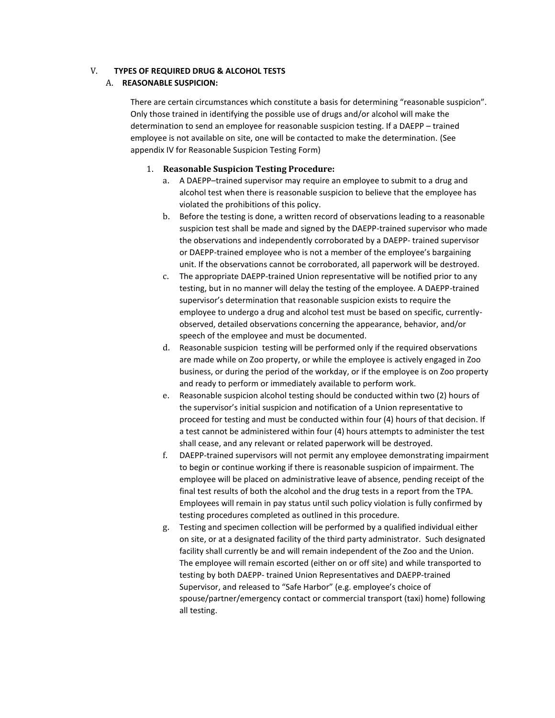#### V. **TYPES OF REQUIRED DRUG & ALCOHOL TESTS**

#### A. **REASONABLE SUSPICION:**

There are certain circumstances which constitute a basis for determining "reasonable suspicion". Only those trained in identifying the possible use of drugs and/or alcohol will make the determination to send an employee for reasonable suspicion testing. If a DAEPP – trained employee is not available on site, one will be contacted to make the determination. (See appendix IV for Reasonable Suspicion Testing Form)

#### 1. **Reasonable Suspicion Testing Procedure:**

- a. A DAEPP–trained supervisor may require an employee to submit to a drug and alcohol test when there is reasonable suspicion to believe that the employee has violated the prohibitions of this policy.
- b. Before the testing is done, a written record of observations leading to a reasonable suspicion test shall be made and signed by the DAEPP-trained supervisor who made the observations and independently corroborated by a DAEPP- trained supervisor or DAEPP-trained employee who is not a member of the employee's bargaining unit. If the observations cannot be corroborated, all paperwork will be destroyed.
- c. The appropriate DAEPP-trained Union representative will be notified prior to any testing, but in no manner will delay the testing of the employee. A DAEPP-trained supervisor's determination that reasonable suspicion exists to require the employee to undergo a drug and alcohol test must be based on specific, currentlyobserved, detailed observations concerning the appearance, behavior, and/or speech of the employee and must be documented.
- d. Reasonable suspicion testing will be performed only if the required observations are made while on Zoo property, or while the employee is actively engaged in Zoo business, or during the period of the workday, or if the employee is on Zoo property and ready to perform or immediately available to perform work.
- e. Reasonable suspicion alcohol testing should be conducted within two (2) hours of the supervisor's initial suspicion and notification of a Union representative to proceed for testing and must be conducted within four (4) hours of that decision. If a test cannot be administered within four (4) hours attempts to administer the test shall cease, and any relevant or related paperwork will be destroyed.
- f. DAEPP-trained supervisors will not permit any employee demonstrating impairment to begin or continue working if there is reasonable suspicion of impairment. The employee will be placed on administrative leave of absence, pending receipt of the final test results of both the alcohol and the drug tests in a report from the TPA. Employees will remain in pay status until such policy violation is fully confirmed by testing procedures completed as outlined in this procedure.
- g. Testing and specimen collection will be performed by a qualified individual either on site, or at a designated facility of the third party administrator. Such designated facility shall currently be and will remain independent of the Zoo and the Union. The employee will remain escorted (either on or off site) and while transported to testing by both DAEPP- trained Union Representatives and DAEPP-trained Supervisor, and released to "Safe Harbor" (e.g. employee's choice of spouse/partner/emergency contact or commercial transport (taxi) home) following all testing.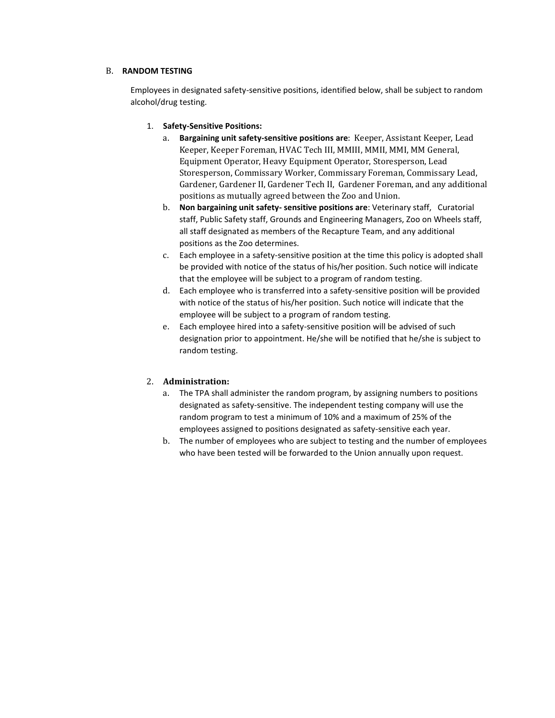#### B. **RANDOM TESTING**

Employees in designated safety-sensitive positions, identified below, shall be subject to random alcohol/drug testing.

- 1. **Safety-Sensitive Positions:**
	- a. **Bargaining unit safety-sensitive positions are**: Keeper, Assistant Keeper, Lead Keeper, Keeper Foreman, HVAC Tech III, MMIII, MMII, MMI, MM General, Equipment Operator, Heavy Equipment Operator, Storesperson, Lead Storesperson, Commissary Worker, Commissary Foreman, Commissary Lead, Gardener, Gardener II, Gardener Tech II, Gardener Foreman, and any additional positions as mutually agreed between the Zoo and Union.
	- b. **Non bargaining unit safety- sensitive positions are**: Veterinary staff, Curatorial staff, Public Safety staff, Grounds and Engineering Managers, Zoo on Wheels staff, all staff designated as members of the Recapture Team, and any additional positions as the Zoo determines.
	- c. Each employee in a safety-sensitive position at the time this policy is adopted shall be provided with notice of the status of his/her position. Such notice will indicate that the employee will be subject to a program of random testing.
	- d. Each employee who is transferred into a safety-sensitive position will be provided with notice of the status of his/her position. Such notice will indicate that the employee will be subject to a program of random testing.
	- e. Each employee hired into a safety-sensitive position will be advised of such designation prior to appointment. He/she will be notified that he/she is subject to random testing.

#### 2. **Administration:**

- a. The TPA shall administer the random program, by assigning numbers to positions designated as safety-sensitive. The independent testing company will use the random program to test a minimum of 10% and a maximum of 25% of the employees assigned to positions designated as safety-sensitive each year.
- b. The number of employees who are subject to testing and the number of employees who have been tested will be forwarded to the Union annually upon request.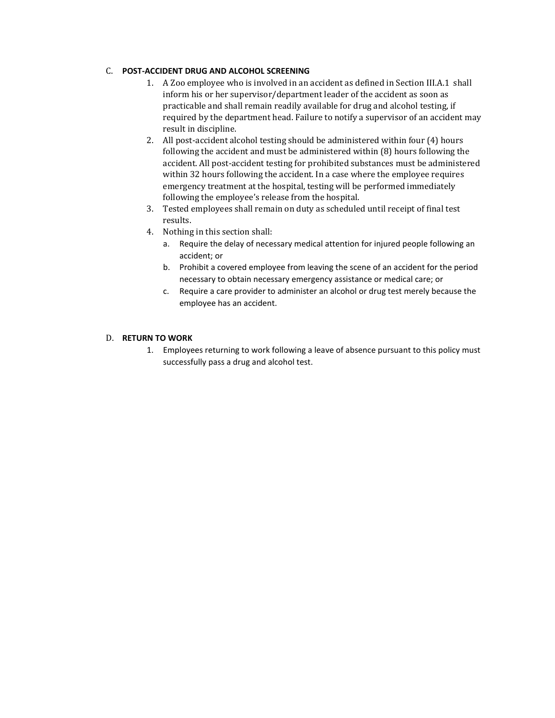### C. **POST-ACCIDENT DRUG AND ALCOHOL SCREENING**

- 1. A Zoo employee who is involved in an accident as defined in Section III.A.1 shall inform his or her supervisor/department leader of the accident as soon as practicable and shall remain readily available for drug and alcohol testing, if required by the department head. Failure to notify a supervisor of an accident may result in discipline.
- 2. All post-accident alcohol testing should be administered within four (4) hours following the accident and must be administered within (8) hours following the accident. All post-accident testing for prohibited substances must be administered within 32 hours following the accident. In a case where the employee requires emergency treatment at the hospital, testing will be performed immediately following the employee's release from the hospital.
- 3. Tested employees shall remain on duty as scheduled until receipt of final test results.
- 4. Nothing in this section shall:
	- a. Require the delay of necessary medical attention for injured people following an accident; or
	- b. Prohibit a covered employee from leaving the scene of an accident for the period necessary to obtain necessary emergency assistance or medical care; or
	- c. Require a care provider to administer an alcohol or drug test merely because the employee has an accident.

#### D. **RETURN TO WORK**

1. Employees returning to work following a leave of absence pursuant to this policy must successfully pass a drug and alcohol test.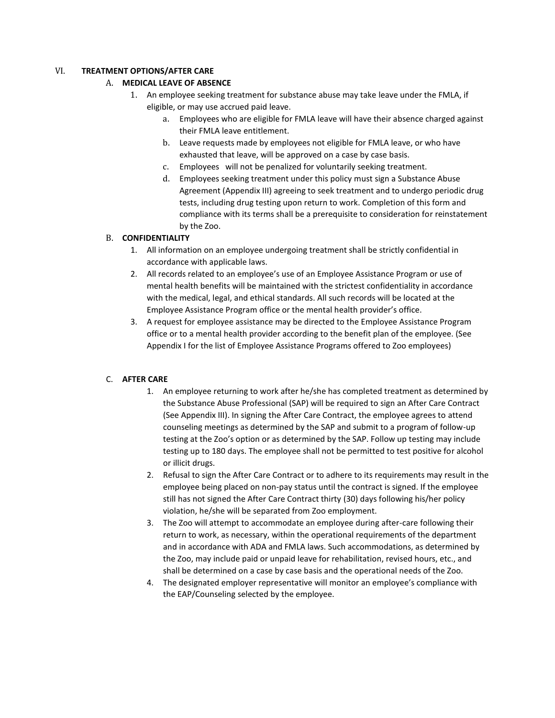#### VI. **TREATMENT OPTIONS/AFTER CARE**

#### A. **MEDICAL LEAVE OF ABSENCE**

- 1. An employee seeking treatment for substance abuse may take leave under the FMLA, if eligible, or may use accrued paid leave.
	- a. Employees who are eligible for FMLA leave will have their absence charged against their FMLA leave entitlement.
	- b. Leave requests made by employees not eligible for FMLA leave, or who have exhausted that leave, will be approved on a case by case basis.
	- c. Employees will not be penalized for voluntarily seeking treatment.
	- d. Employees seeking treatment under this policy must sign a Substance Abuse Agreement (Appendix III) agreeing to seek treatment and to undergo periodic drug tests, including drug testing upon return to work. Completion of this form and compliance with its terms shall be a prerequisite to consideration for reinstatement by the Zoo.

### B. **CONFIDENTIALITY**

- 1. All information on an employee undergoing treatment shall be strictly confidential in accordance with applicable laws.
- 2. All records related to an employee's use of an Employee Assistance Program or use of mental health benefits will be maintained with the strictest confidentiality in accordance with the medical, legal, and ethical standards. All such records will be located at the Employee Assistance Program office or the mental health provider's office.
- 3. A request for employee assistance may be directed to the Employee Assistance Program office or to a mental health provider according to the benefit plan of the employee. (See Appendix I for the list of Employee Assistance Programs offered to Zoo employees)

### C. **AFTER CARE**

- 1. An employee returning to work after he/she has completed treatment as determined by the Substance Abuse Professional (SAP) will be required to sign an After Care Contract (See Appendix III). In signing the After Care Contract, the employee agrees to attend counseling meetings as determined by the SAP and submit to a program of follow-up testing at the Zoo's option or as determined by the SAP. Follow up testing may include testing up to 180 days. The employee shall not be permitted to test positive for alcohol or illicit drugs.
- 2. Refusal to sign the After Care Contract or to adhere to its requirements may result in the employee being placed on non-pay status until the contract is signed. If the employee still has not signed the After Care Contract thirty (30) days following his/her policy violation, he/she will be separated from Zoo employment.
- 3. The Zoo will attempt to accommodate an employee during after-care following their return to work, as necessary, within the operational requirements of the department and in accordance with ADA and FMLA laws. Such accommodations, as determined by the Zoo, may include paid or unpaid leave for rehabilitation, revised hours, etc., and shall be determined on a case by case basis and the operational needs of the Zoo.
- 4. The designated employer representative will monitor an employee's compliance with the EAP/Counseling selected by the employee.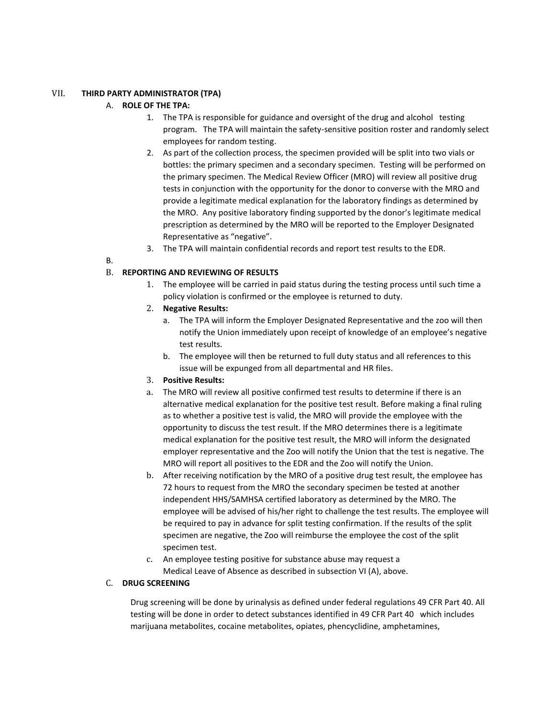#### VII. **THIRD PARTY ADMINISTRATOR (TPA)**

#### A. **ROLE OF THE TPA:**

- 1. The TPA is responsible for guidance and oversight of the drug and alcohol testing program. The TPA will maintain the safety-sensitive position roster and randomly select employees for random testing.
- 2. As part of the collection process, the specimen provided will be split into two vials or bottles: the primary specimen and a secondary specimen. Testing will be performed on the primary specimen. The Medical Review Officer (MRO) will review all positive drug tests in conjunction with the opportunity for the donor to converse with the MRO and provide a legitimate medical explanation for the laboratory findings as determined by the MRO. Any positive laboratory finding supported by the donor's legitimate medical prescription as determined by the MRO will be reported to the Employer Designated Representative as "negative".
- 3. The TPA will maintain confidential records and report test results to the EDR.
- B.

#### B. **REPORTING AND REVIEWING OF RESULTS**

- 1. The employee will be carried in paid status during the testing process until such time a policy violation is confirmed or the employee is returned to duty.
- 2. **Negative Results:**
	- a. The TPA will inform the Employer Designated Representative and the zoo will then notify the Union immediately upon receipt of knowledge of an employee's negative test results.
	- b. The employee will then be returned to full duty status and all references to this issue will be expunged from all departmental and HR files.
- 3. **Positive Results:**
- a. The MRO will review all positive confirmed test results to determine if there is an alternative medical explanation for the positive test result. Before making a final ruling as to whether a positive test is valid, the MRO will provide the employee with the opportunity to discuss the test result. If the MRO determines there is a legitimate medical explanation for the positive test result, the MRO will inform the designated employer representative and the Zoo will notify the Union that the test is negative. The MRO will report all positives to the EDR and the Zoo will notify the Union.
- b. After receiving notification by the MRO of a positive drug test result, the employee has 72 hours to request from the MRO the secondary specimen be tested at another independent HHS/SAMHSA certified laboratory as determined by the MRO. The employee will be advised of his/her right to challenge the test results. The employee will be required to pay in advance for split testing confirmation. If the results of the split specimen are negative, the Zoo will reimburse the employee the cost of the split specimen test.
- c. An employee testing positive for substance abuse may request a Medical Leave of Absence as described in subsection VI (A), above.

#### C. **DRUG SCREENING**

Drug screening will be done by urinalysis as defined under federal regulations 49 CFR Part 40. All testing will be done in order to detect substances identified in 49 CFR Part 40 which includes marijuana metabolites, cocaine metabolites, opiates, phencyclidine, amphetamines,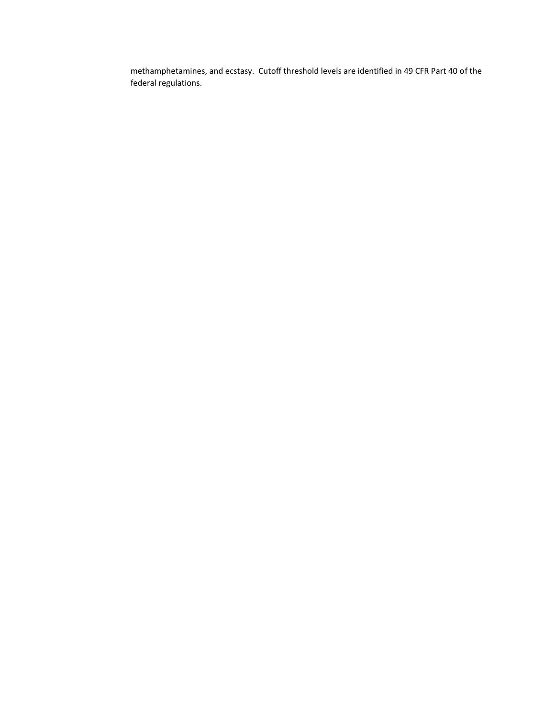methamphetamines, and ecstasy. Cutoff threshold levels are identified in 49 CFR Part 40 of the federal regulations.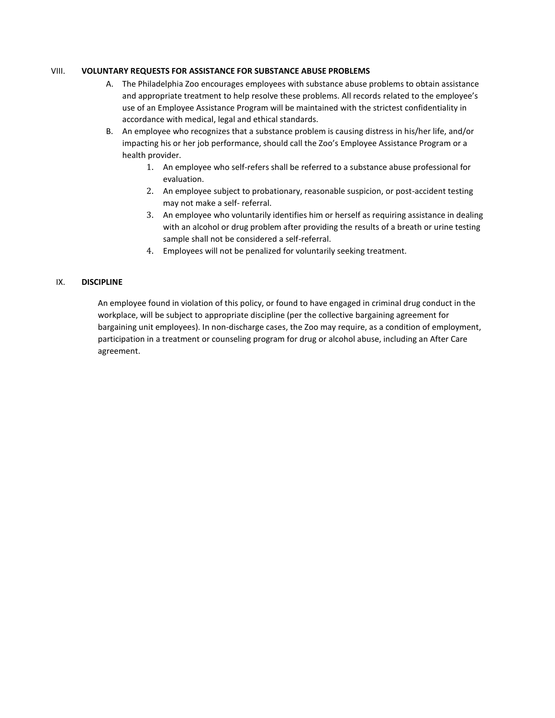#### VIII. **VOLUNTARY REQUESTS FOR ASSISTANCE FOR SUBSTANCE ABUSE PROBLEMS**

- A. The Philadelphia Zoo encourages employees with substance abuse problems to obtain assistance and appropriate treatment to help resolve these problems. All records related to the employee's use of an Employee Assistance Program will be maintained with the strictest confidentiality in accordance with medical, legal and ethical standards.
- B. An employee who recognizes that a substance problem is causing distress in his/her life, and/or impacting his or her job performance, should call the Zoo's Employee Assistance Program or a health provider.
	- 1. An employee who self-refers shall be referred to a substance abuse professional for evaluation.
	- 2. An employee subject to probationary, reasonable suspicion, or post-accident testing may not make a self- referral.
	- 3. An employee who voluntarily identifies him or herself as requiring assistance in dealing with an alcohol or drug problem after providing the results of a breath or urine testing sample shall not be considered a self-referral.
	- 4. Employees will not be penalized for voluntarily seeking treatment.

#### IX. **DISCIPLINE**

An employee found in violation of this policy, or found to have engaged in criminal drug conduct in the workplace, will be subject to appropriate discipline (per the collective bargaining agreement for bargaining unit employees). In non-discharge cases, the Zoo may require, as a condition of employment, participation in a treatment or counseling program for drug or alcohol abuse, including an After Care agreement.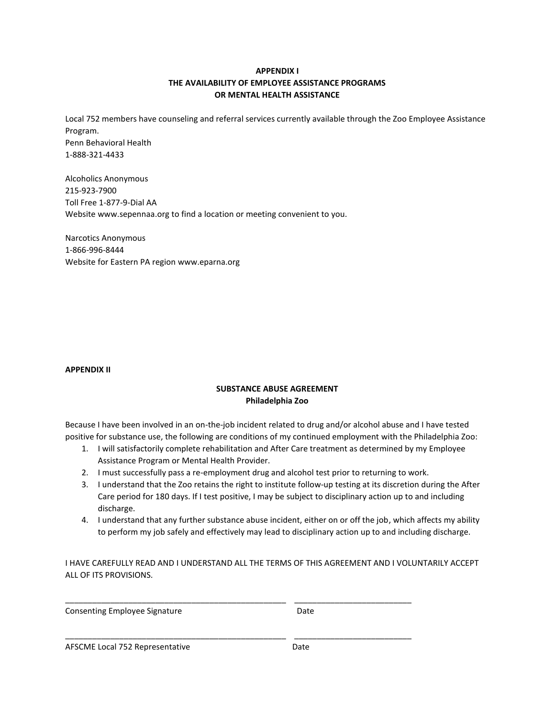### **APPENDIX I THE AVAILABILITY OF EMPLOYEE ASSISTANCE PROGRAMS OR MENTAL HEALTH ASSISTANCE**

Local 752 members have counseling and referral services currently available through the Zoo Employee Assistance Program. Penn Behavioral Health 1-888-321-4433

Alcoholics Anonymous 215-923-7900 Toll Free 1-877-9-Dial AA Website www.sepennaa.org to find a location or meeting convenient to you.

Narcotics Anonymous 1-866-996-8444 Website for Eastern PA region www.eparna.org

#### **APPENDIX II**

#### **SUBSTANCE ABUSE AGREEMENT Philadelphia Zoo**

Because I have been involved in an on-the-job incident related to drug and/or alcohol abuse and I have tested positive for substance use, the following are conditions of my continued employment with the Philadelphia Zoo:

- 1. I will satisfactorily complete rehabilitation and After Care treatment as determined by my Employee Assistance Program or Mental Health Provider.
- 2. I must successfully pass a re-employment drug and alcohol test prior to returning to work.
- 3. I understand that the Zoo retains the right to institute follow-up testing at its discretion during the After Care period for 180 days. If I test positive, I may be subject to disciplinary action up to and including discharge.
- 4. I understand that any further substance abuse incident, either on or off the job, which affects my ability to perform my job safely and effectively may lead to disciplinary action up to and including discharge.

I HAVE CAREFULLY READ AND I UNDERSTAND ALL THE TERMS OF THIS AGREEMENT AND I VOLUNTARILY ACCEPT ALL OF ITS PROVISIONS.

\_\_\_\_\_\_\_\_\_\_\_\_\_\_\_\_\_\_\_\_\_\_\_\_\_\_\_\_\_\_\_\_\_\_\_\_\_\_\_\_\_\_\_\_\_\_\_\_\_ \_\_\_\_\_\_\_\_\_\_\_\_\_\_\_\_\_\_\_\_\_\_\_\_\_\_

\_\_\_\_\_\_\_\_\_\_\_\_\_\_\_\_\_\_\_\_\_\_\_\_\_\_\_\_\_\_\_\_\_\_\_\_\_\_\_\_\_\_\_\_\_\_\_\_\_ \_\_\_\_\_\_\_\_\_\_\_\_\_\_\_\_\_\_\_\_\_\_\_\_\_\_

Consenting Employee Signature **Example 20** at the Date

AFSCME Local 752 Representative Date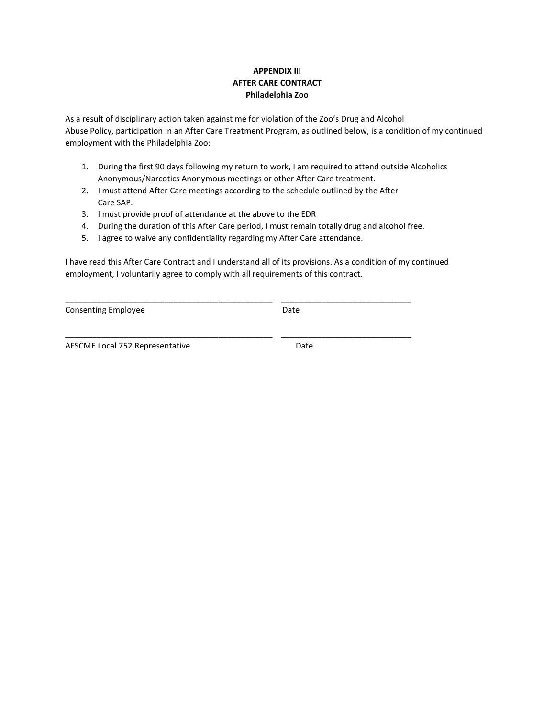### **APPENDIX III AFTER CARE CONTRACT Philadelphia Zoo**

As a result of disciplinary action taken against me for violation of the Zoo's Drug and Alcohol Abuse Policy, participation in an After Care Treatment Program, as outlined below, is a condition of my continued employment with the Philadelphia Zoo:

- 1. During the first 90 days following my return to work, I am required to attend outside Alcoholics Anonymous/Narcotics Anonymous meetings or other After Care treatment.
- 2. I must attend After Care meetings according to the schedule outlined by the After Care SAP.

\_\_\_\_\_\_\_\_\_\_\_\_\_\_\_\_\_\_\_\_\_\_\_\_\_\_\_\_\_\_\_\_\_\_\_\_\_\_\_\_\_\_\_\_\_\_ \_\_\_\_\_\_\_\_\_\_\_\_\_\_\_\_\_\_\_\_\_\_\_\_\_\_\_\_\_

\_\_\_\_\_\_\_\_\_\_\_\_\_\_\_\_\_\_\_\_\_\_\_\_\_\_\_\_\_\_\_\_\_\_\_\_\_\_\_\_\_\_\_\_\_\_ \_\_\_\_\_\_\_\_\_\_\_\_\_\_\_\_\_\_\_\_\_\_\_\_\_\_\_\_\_

- 3. I must provide proof of attendance at the above to the EDR
- 4. During the duration of this After Care period, I must remain totally drug and alcohol free.
- 5. I agree to waive any confidentiality regarding my After Care attendance.

I have read this After Care Contract and I understand all of its provisions. As a condition of my continued employment, I voluntarily agree to comply with all requirements of this contract.

| <b>Consenting Employee</b> | Date |
|----------------------------|------|
|----------------------------|------|

AFSCME Local 752 Representative Date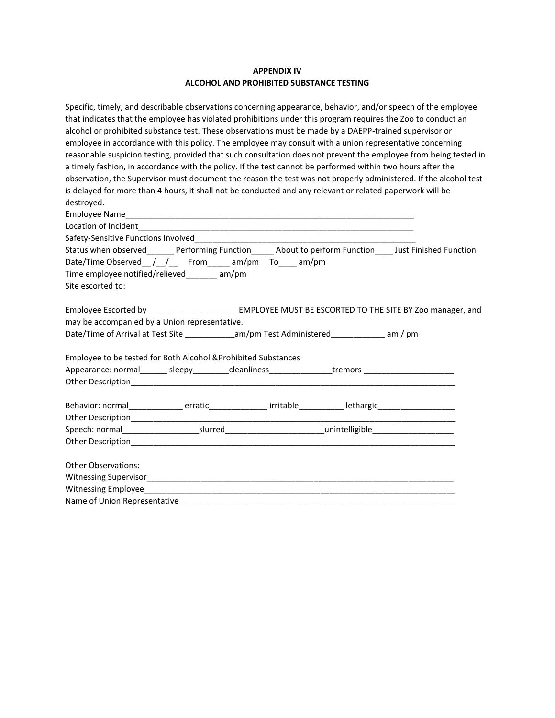#### **APPENDIX IV ALCOHOL AND PROHIBITED SUBSTANCE TESTING**

| Specific, timely, and describable observations concerning appearance, behavior, and/or speech of the employee    |  |  |  |  |  |  |
|------------------------------------------------------------------------------------------------------------------|--|--|--|--|--|--|
| that indicates that the employee has violated prohibitions under this program requires the Zoo to conduct an     |  |  |  |  |  |  |
| alcohol or prohibited substance test. These observations must be made by a DAEPP-trained supervisor or           |  |  |  |  |  |  |
| employee in accordance with this policy. The employee may consult with a union representative concerning         |  |  |  |  |  |  |
| reasonable suspicion testing, provided that such consultation does not prevent the employee from being tested in |  |  |  |  |  |  |
| a timely fashion, in accordance with the policy. If the test cannot be performed within two hours after the      |  |  |  |  |  |  |
| observation, the Supervisor must document the reason the test was not properly administered. If the alcohol test |  |  |  |  |  |  |
| is delayed for more than 4 hours, it shall not be conducted and any relevant or related paperwork will be        |  |  |  |  |  |  |
| destroyed.                                                                                                       |  |  |  |  |  |  |
|                                                                                                                  |  |  |  |  |  |  |
|                                                                                                                  |  |  |  |  |  |  |
|                                                                                                                  |  |  |  |  |  |  |
| Status when observed Performing Function About to perform Function Just Finished Function                        |  |  |  |  |  |  |
| Date/Time Observed_/_/__ From_____ am/pm To____ am/pm                                                            |  |  |  |  |  |  |
| Time employee notified/relieved_______ am/pm                                                                     |  |  |  |  |  |  |
| Site escorted to:                                                                                                |  |  |  |  |  |  |
| Employee Escorted by____________________________ EMPLOYEE MUST BE ESCORTED TO THE SITE BY Zoo manager, and       |  |  |  |  |  |  |
| may be accompanied by a Union representative.                                                                    |  |  |  |  |  |  |
| Date/Time of Arrival at Test Site _____________am/pm Test Administered______________ am / pm                     |  |  |  |  |  |  |
| Employee to be tested for Both Alcohol & Prohibited Substances                                                   |  |  |  |  |  |  |
| Appearance: normal________ sleepy__________cleanliness________________tremors ______________________             |  |  |  |  |  |  |
|                                                                                                                  |  |  |  |  |  |  |
| Behavior: normal________________erratic_________________irritable___________lethargic_____________________       |  |  |  |  |  |  |
|                                                                                                                  |  |  |  |  |  |  |
| Speech: normal_________________________slurred__________________________________nnintelligible________________   |  |  |  |  |  |  |
|                                                                                                                  |  |  |  |  |  |  |
| <b>Other Observations:</b>                                                                                       |  |  |  |  |  |  |
|                                                                                                                  |  |  |  |  |  |  |
|                                                                                                                  |  |  |  |  |  |  |
| Name of Union Representative______                                                                               |  |  |  |  |  |  |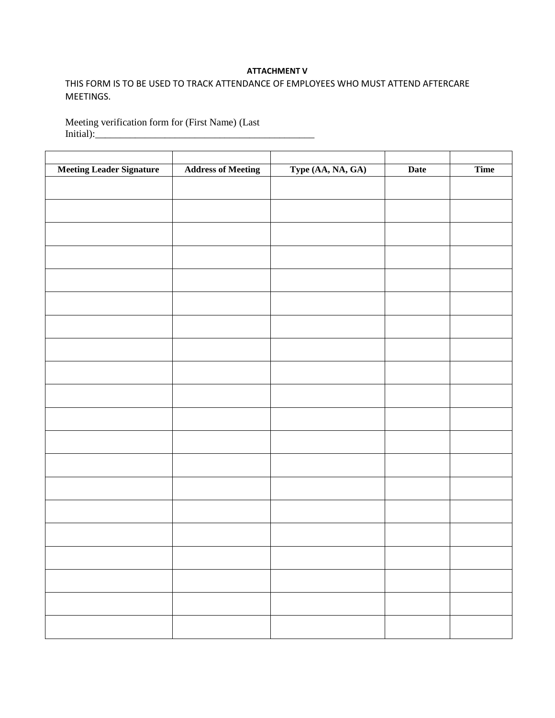#### **ATTACHMENT V**

## THIS FORM IS TO BE USED TO TRACK ATTENDANCE OF EMPLOYEES WHO MUST ATTEND AFTERCARE MEETINGS.

Meeting verification form for (First Name) (Last Initial):\_\_\_\_\_\_\_\_\_\_\_\_\_\_\_\_\_\_\_\_\_\_\_\_\_\_\_\_\_\_\_\_\_\_\_\_\_\_\_\_\_\_\_\_

| <b>Meeting Leader Signature</b> | <b>Address of Meeting</b> | Type (AA, NA, GA) | Date | Time |
|---------------------------------|---------------------------|-------------------|------|------|
|                                 |                           |                   |      |      |
|                                 |                           |                   |      |      |
|                                 |                           |                   |      |      |
|                                 |                           |                   |      |      |
|                                 |                           |                   |      |      |
|                                 |                           |                   |      |      |
|                                 |                           |                   |      |      |
|                                 |                           |                   |      |      |
|                                 |                           |                   |      |      |
|                                 |                           |                   |      |      |
|                                 |                           |                   |      |      |
|                                 |                           |                   |      |      |
|                                 |                           |                   |      |      |
|                                 |                           |                   |      |      |
|                                 |                           |                   |      |      |
|                                 |                           |                   |      |      |
|                                 |                           |                   |      |      |
|                                 |                           |                   |      |      |
|                                 |                           |                   |      |      |
|                                 |                           |                   |      |      |
|                                 |                           |                   |      |      |
|                                 |                           |                   |      |      |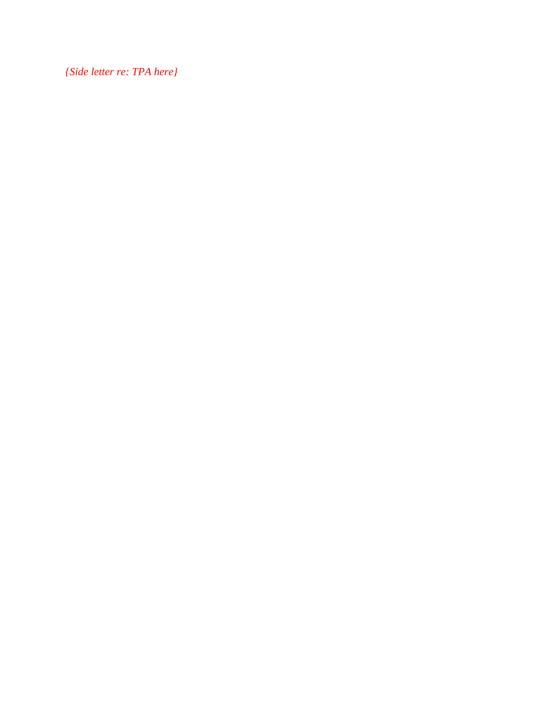*{Side letter re: TPA here}*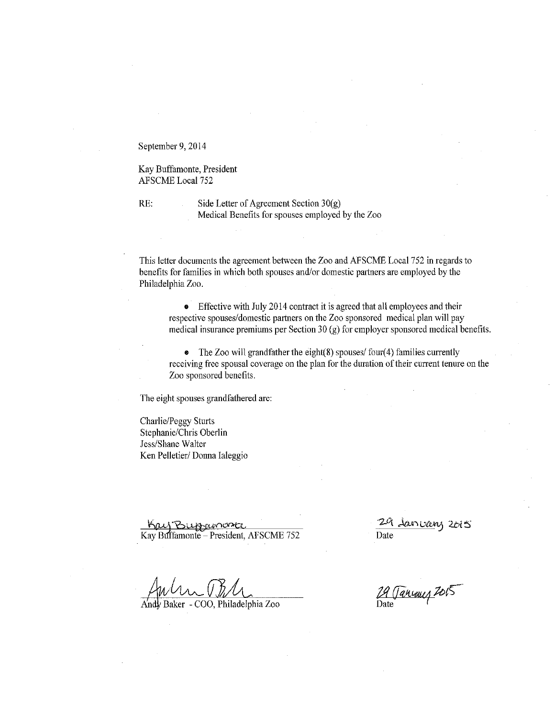September 9, 2014

Kay Buffamonte, President **AFSCME** Local 752

RE:

Side Letter of Agreement Section  $30(g)$ Medical Benefits for spouses employed by the Zoo

This letter documents the agreement between the Zoo and AFSCME Local 752 in regards to benefits for families in which both spouses and/or domestic partners are employed by the Philadelphia Zoo.

• Effective with July 2014 contract it is agreed that all employees and their respective spouses/domestic partners on the Zoo sponsored medical plan will pay medical insurance premiums per Section 30 (g) for employer sponsored medical benefits.

• The Zoo will grandfather the eight $(8)$  spouses/ four $(4)$  families currently receiving free spousal coverage on the plan for the duration of their current tenure on the Zoo sponsored benefits.

The eight spouses grandfathered are:

Charlie/Peggy Sturts Stephanie/Chris Oberlin Jess/Shane Walter Ken Pelletier/Donna Ialeggio

Kay Buggavoorte<br>Kay Buffamonte – President, AFSCME 752

29 January 2015 Date

A'ndy Baker - COO, Philadelphia Zoo

29 Tancaus 2015